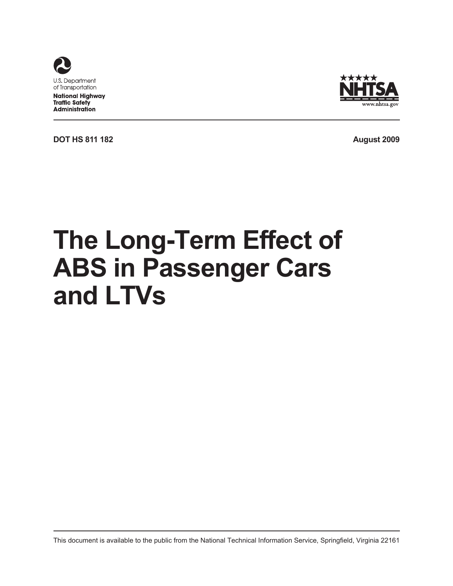

**National Highway Traffic Safety Administration** 



**DOT HS 811 182 August 2009**

# **The Long-Term Effect of ABS in Passenger Cars and LTVs**

This document is available to the public from the National Technical Information Service, Springfield, Virginia 22161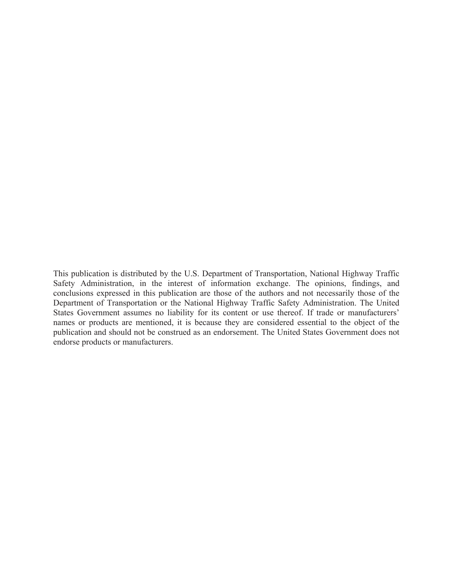This publication is distributed by the U.S. Department of Transportation, National Highway Traffic Safety Administration, in the interest of information exchange. The opinions, findings, and conclusions expressed in this publication are those of the authors and not necessarily those of the Department of Transportation or the National Highway Traffic Safety Administration. The United States Government assumes no liability for its content or use thereof. If trade or manufacturers' names or products are mentioned, it is because they are considered essential to the object of the publication and should not be construed as an endorsement. The United States Government does not endorse products or manufacturers.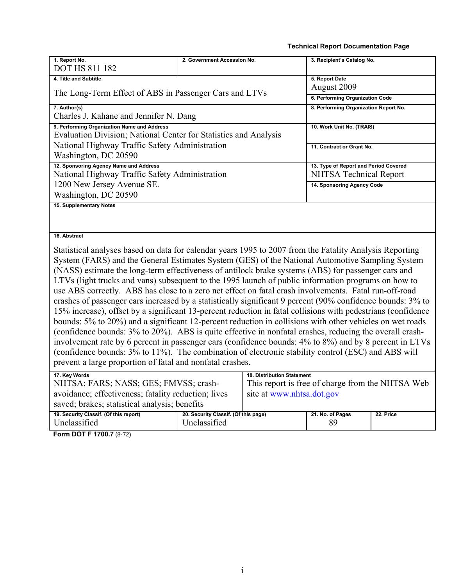#### **Technical Report Documentation Page**

| 1. Report No.<br>3. Recipient's Catalog No.<br>2. Government Accession No.                                   |  |
|--------------------------------------------------------------------------------------------------------------|--|
| <b>DOT HS 811 182</b>                                                                                        |  |
| 5. Report Date<br>4. Title and Subtitle                                                                      |  |
| August 2009<br>The Long-Term Effect of ABS in Passenger Cars and LTVs                                        |  |
| 6. Performing Organization Code                                                                              |  |
| 7. Author(s)<br>8. Performing Organization Report No.                                                        |  |
| Charles J. Kahane and Jennifer N. Dang                                                                       |  |
| 9. Performing Organization Name and Address<br>10. Work Unit No. (TRAIS)                                     |  |
| Evaluation Division; National Center for Statistics and Analysis                                             |  |
| National Highway Traffic Safety Administration<br>11. Contract or Grant No.                                  |  |
| Washington, DC 20590                                                                                         |  |
| 12. Sponsoring Agency Name and Address<br>13. Type of Report and Period Covered                              |  |
| National Highway Traffic Safety Administration<br><b>NHTSA Technical Report</b>                              |  |
| 1200 New Jersey Avenue SE.<br>14. Sponsoring Agency Code                                                     |  |
| Washington, DC 20590                                                                                         |  |
| 15. Supplementary Notes                                                                                      |  |
|                                                                                                              |  |
|                                                                                                              |  |
| 16. Abstract                                                                                                 |  |
| Statistical analyses based on data for calendar years 1995 to 2007 from the Fatality Analysis Reporting      |  |
| System (FARS) and the General Estimates System (GES) of the National Automotive Sampling System              |  |
| (NASS) estimate the long-term effectiveness of antilock brake systems (ABS) for passenger cars and           |  |
| LTVs (light trucks and vans) subsequent to the 1995 launch of public information programs on how to          |  |
| use ABS correctly. ABS has close to a zero net effect on fatal crash involvements. Fatal run-off-road        |  |
| crashes of passenger cars increased by a statistically significant 9 percent (90% confidence bounds: 3% to   |  |
| 15% increase), offset by a significant 13-percent reduction in fatal collisions with pedestrians (confidence |  |
| bounds: 5% to 20%) and a significant 12-percent reduction in collisions with other vehicles on wet roads     |  |
| (confidence bounds: 3% to 20%). ABS is quite effective in nonfatal crashes, reducing the overall crash-      |  |

involvement rate by 6 percent in passenger cars (confidence bounds: 4% to 8%) and by 8 percent in LTVs (confidence bounds: 3% to 11%). The combination of electronic stability control (ESC) and ABS will prevent a large proportion of fatal and nonfatal crashes.

| 17. Key Words                                       |                                      | <b>18. Distribution Statement</b>                |                  |           |
|-----------------------------------------------------|--------------------------------------|--------------------------------------------------|------------------|-----------|
| NHTSA; FARS; NASS; GES; FMVSS; crash-               |                                      | This report is free of charge from the NHTSA Web |                  |           |
| avoidance; effectiveness; fatality reduction; lives |                                      | site at www.nhtsa.dot.gov                        |                  |           |
| saved; brakes; statistical analysis; benefits       |                                      |                                                  |                  |           |
| 19. Security Classif. (Of this report)              | 20. Security Classif. (Of this page) |                                                  | 21. No. of Pages | 22. Price |
| Unclassified                                        | Unclassified                         |                                                  | 89               |           |

**Form DOT F 1700.7** (8-72)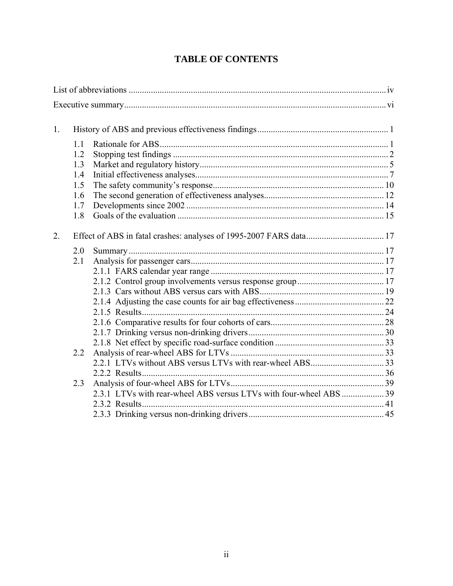| 1. |     |  |
|----|-----|--|
|    | 1.1 |  |
|    | 1.2 |  |
|    | 1.3 |  |
|    | 1.4 |  |
|    | 1.5 |  |
|    | 1.6 |  |
|    | 1.7 |  |
|    | 1.8 |  |
| 2. |     |  |
|    | 2.0 |  |
|    | 2.1 |  |
|    |     |  |
|    |     |  |
|    |     |  |
|    |     |  |
|    |     |  |
|    |     |  |
|    |     |  |
|    |     |  |
|    | 2.2 |  |
|    |     |  |
|    |     |  |
|    | 2.3 |  |
|    |     |  |
|    |     |  |
|    |     |  |

# **TABLE OF CONTENTS**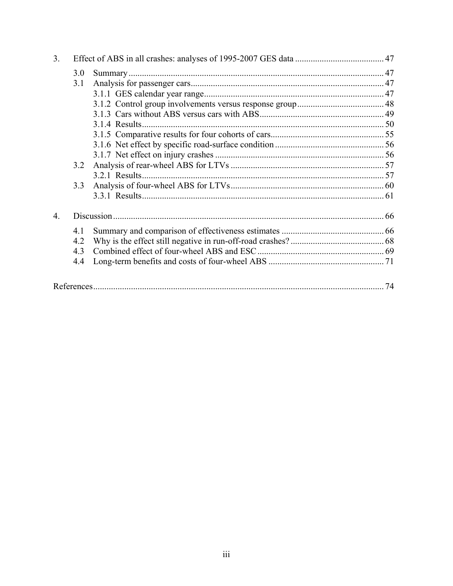| 3 <sub>1</sub>   |     |                |    |
|------------------|-----|----------------|----|
|                  | 3.0 |                |    |
|                  | 3.1 |                |    |
|                  |     |                |    |
|                  |     |                |    |
|                  |     |                |    |
|                  |     | 3.1.4 Results. |    |
|                  |     |                |    |
|                  |     |                |    |
|                  |     |                |    |
|                  | 3.2 |                |    |
|                  |     | 3.2.1 Results. |    |
|                  | 3.3 |                |    |
|                  |     |                |    |
| $\overline{4}$ . |     |                |    |
|                  | 4.1 |                |    |
|                  | 4.2 |                |    |
|                  | 4.3 |                |    |
|                  | 4.4 |                |    |
|                  |     |                | 74 |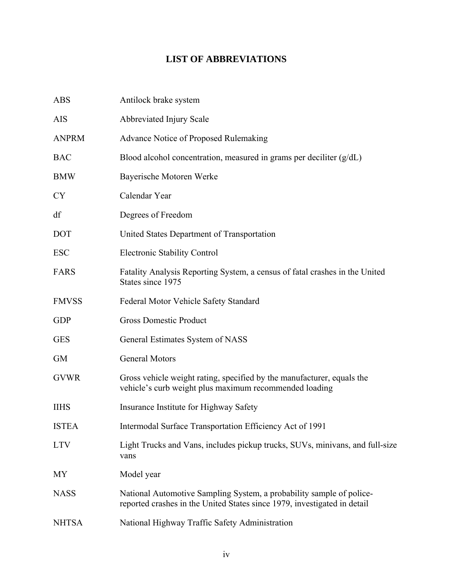# **LIST OF ABBREVIATIONS**

<span id="page-5-0"></span>

| <b>ABS</b>   | Antilock brake system                                                                                                                            |
|--------------|--------------------------------------------------------------------------------------------------------------------------------------------------|
| <b>AIS</b>   | Abbreviated Injury Scale                                                                                                                         |
| <b>ANPRM</b> | <b>Advance Notice of Proposed Rulemaking</b>                                                                                                     |
| <b>BAC</b>   | Blood alcohol concentration, measured in grams per deciliter $(g/dL)$                                                                            |
| <b>BMW</b>   | Bayerische Motoren Werke                                                                                                                         |
| <b>CY</b>    | Calendar Year                                                                                                                                    |
| df           | Degrees of Freedom                                                                                                                               |
| <b>DOT</b>   | United States Department of Transportation                                                                                                       |
| <b>ESC</b>   | <b>Electronic Stability Control</b>                                                                                                              |
| <b>FARS</b>  | Fatality Analysis Reporting System, a census of fatal crashes in the United<br>States since 1975                                                 |
| <b>FMVSS</b> | Federal Motor Vehicle Safety Standard                                                                                                            |
| <b>GDP</b>   | <b>Gross Domestic Product</b>                                                                                                                    |
| <b>GES</b>   | General Estimates System of NASS                                                                                                                 |
| <b>GM</b>    | General Motors                                                                                                                                   |
| <b>GVWR</b>  | Gross vehicle weight rating, specified by the manufacturer, equals the<br>vehicle's curb weight plus maximum recommended loading                 |
| <b>IIHS</b>  | Insurance Institute for Highway Safety                                                                                                           |
| <b>ISTEA</b> | Intermodal Surface Transportation Efficiency Act of 1991                                                                                         |
| <b>LTV</b>   | Light Trucks and Vans, includes pickup trucks, SUVs, minivans, and full-size<br>vans                                                             |
| MY           | Model year                                                                                                                                       |
| <b>NASS</b>  | National Automotive Sampling System, a probability sample of police-<br>reported crashes in the United States since 1979, investigated in detail |
| <b>NHTSA</b> | National Highway Traffic Safety Administration                                                                                                   |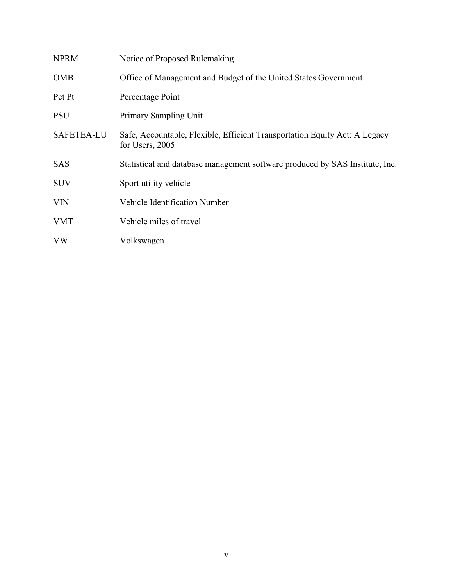| <b>NPRM</b>       | Notice of Proposed Rulemaking                                                                 |
|-------------------|-----------------------------------------------------------------------------------------------|
| <b>OMB</b>        | Office of Management and Budget of the United States Government                               |
| Pct Pt            | Percentage Point                                                                              |
| <b>PSU</b>        | Primary Sampling Unit                                                                         |
| <b>SAFETEA-LU</b> | Safe, Accountable, Flexible, Efficient Transportation Equity Act: A Legacy<br>for Users, 2005 |
| <b>SAS</b>        | Statistical and database management software produced by SAS Institute, Inc.                  |
| <b>SUV</b>        | Sport utility vehicle                                                                         |
| <b>VIN</b>        | <b>Vehicle Identification Number</b>                                                          |
| <b>VMT</b>        | Vehicle miles of travel                                                                       |
| <b>VW</b>         | Volkswagen                                                                                    |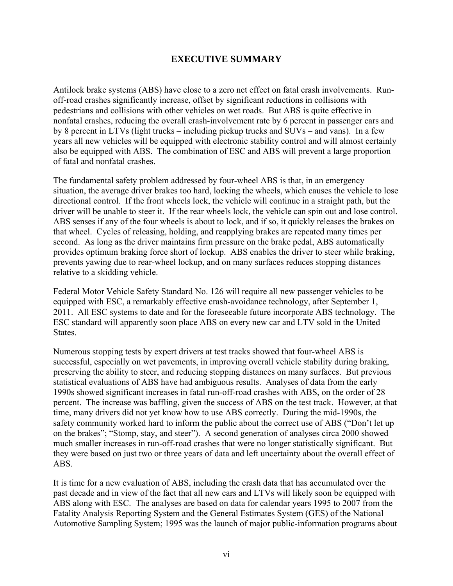# **EXECUTIVE SUMMARY**

<span id="page-7-0"></span>Antilock brake systems (ABS) have close to a zero net effect on fatal crash involvements. Runoff-road crashes significantly increase, offset by significant reductions in collisions with pedestrians and collisions with other vehicles on wet roads. But ABS is quite effective in nonfatal crashes, reducing the overall crash-involvement rate by 6 percent in passenger cars and by 8 percent in LTVs (light trucks – including pickup trucks and SUVs – and vans). In a few years all new vehicles will be equipped with electronic stability control and will almost certainly also be equipped with ABS. The combination of ESC and ABS will prevent a large proportion of fatal and nonfatal crashes.

The fundamental safety problem addressed by four-wheel ABS is that, in an emergency situation, the average driver brakes too hard, locking the wheels, which causes the vehicle to lose directional control. If the front wheels lock, the vehicle will continue in a straight path, but the driver will be unable to steer it. If the rear wheels lock, the vehicle can spin out and lose control. ABS senses if any of the four wheels is about to lock, and if so, it quickly releases the brakes on that wheel. Cycles of releasing, holding, and reapplying brakes are repeated many times per second. As long as the driver maintains firm pressure on the brake pedal, ABS automatically provides optimum braking force short of lockup. ABS enables the driver to steer while braking, prevents yawing due to rear-wheel lockup, and on many surfaces reduces stopping distances relative to a skidding vehicle.

Federal Motor Vehicle Safety Standard No. 126 will require all new passenger vehicles to be equipped with ESC, a remarkably effective crash-avoidance technology, after September 1, 2011. All ESC systems to date and for the foreseeable future incorporate ABS technology. The ESC standard will apparently soon place ABS on every new car and LTV sold in the United **States**.

Numerous stopping tests by expert drivers at test tracks showed that four-wheel ABS is successful, especially on wet pavements, in improving overall vehicle stability during braking, preserving the ability to steer, and reducing stopping distances on many surfaces. But previous statistical evaluations of ABS have had ambiguous results. Analyses of data from the early 1990s showed significant increases in fatal run-off-road crashes with ABS, on the order of 28 percent. The increase was baffling, given the success of ABS on the test track. However, at that time, many drivers did not yet know how to use ABS correctly. During the mid-1990s, the safety community worked hard to inform the public about the correct use of ABS ("Don't let up on the brakes"; "Stomp, stay, and steer"). A second generation of analyses circa 2000 showed much smaller increases in run-off-road crashes that were no longer statistically significant. But they were based on just two or three years of data and left uncertainty about the overall effect of ABS.

It is time for a new evaluation of ABS, including the crash data that has accumulated over the past decade and in view of the fact that all new cars and LTVs will likely soon be equipped with ABS along with ESC. The analyses are based on data for calendar years 1995 to 2007 from the Fatality Analysis Reporting System and the General Estimates System (GES) of the National Automotive Sampling System; 1995 was the launch of major public-information programs about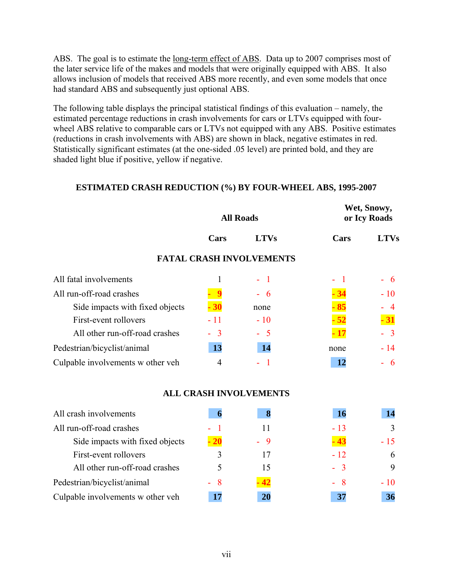ABS. The goal is to estimate the <u>long-term effect of ABS</u>. Data up to 2007 comprises most of the later service life of the makes and models that were originally equipped with ABS. It also allows inclusion of models that received ABS more recently, and even some models that once had standard ABS and subsequently just optional ABS.

The following table displays the principal statistical findings of this evaluation – namely, the estimated percentage reductions in crash involvements for cars or LTVs equipped with fourwheel ABS relative to comparable cars or LTVs not equipped with any ABS. Positive estimates (reductions in crash involvements with ABS) are shown in black, negative estimates in red. Statistically significant estimates (at the one-sided .05 level) are printed bold, and they are shaded light blue if positive, yellow if negative.

#### **ESTIMATED CRASH REDUCTION (%) BY FOUR-WHEEL ABS, 1995-2007**

|                                   |       | <b>All Roads</b>                |        | Wet, Snowy,<br>or Icy Roads |
|-----------------------------------|-------|---------------------------------|--------|-----------------------------|
|                                   | Cars  | <b>LTVs</b>                     | Cars   | <b>LTVs</b>                 |
|                                   |       | <b>FATAL CRASH INVOLVEMENTS</b> |        |                             |
| All fatal involvements            |       |                                 | $\sim$ | - 6                         |
| All run-off-road crashes          |       | $-6$                            |        | $-10$                       |
| Side impacts with fixed objects   | 30    | none                            |        | $-4$                        |
| First-event rollovers             | $-11$ | $-10$                           |        | $-31$                       |
| All other run-off-road crashes    | $-3$  | $-5$                            |        | $-3$                        |
| Pedestrian/bicyclist/animal       | 13    | 14                              | none   | $-14$                       |
| Culpable involvements w other veh | 4     |                                 | 12     | - 6                         |

#### **ALL CRASH INVOLVEMENTS**

| All crash involvements            | n     | ð    | <b>16</b> |           |
|-----------------------------------|-------|------|-----------|-----------|
| All run-off-road crashes          | - 1   | 11   | $-13$     |           |
| Side impacts with fixed objects   | $-20$ | $-9$ | .43       | $-15$     |
| First-event rollovers             |       | 17   | $-12$     | 6         |
| All other run-off-road crashes    |       | 15   | $-3$      | 9         |
| Pedestrian/bicyclist/animal       | $-8$  | 42   | - 8       | $-10^{-}$ |
| Culpable involvements w other veh |       | 20   | 37        | 36        |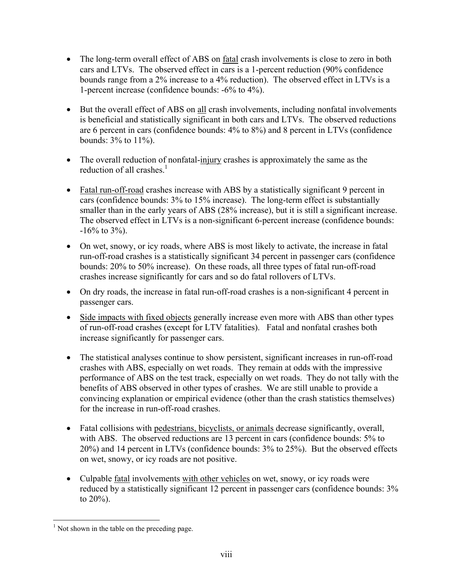- The long-term overall effect of ABS on <u>fatal</u> crash involvements is close to zero in both cars and LTVs. The observed effect in cars is a 1-percent reduction (90% confidence bounds range from a 2% increase to a 4% reduction). The observed effect in LTVs is a 1-percent increase (confidence bounds: -6% to 4%).
- But the overall effect of ABS on all crash involvements, including nonfatal involvements is beneficial and statistically significant in both cars and LTVs. The observed reductions are 6 percent in cars (confidence bounds: 4% to 8%) and 8 percent in LTVs (confidence bounds: 3% to 11%).
- The overall reduction of nonfatal-injury crashes is approximately the same as the reduction of all crashes  $<sup>1</sup>$ </sup>
- Fatal run-off-road crashes increase with ABS by a statistically significant 9 percent in cars (confidence bounds: 3% to 15% increase). The long-term effect is substantially smaller than in the early years of ABS (28% increase), but it is still a significant increase. The observed effect in LTVs is a non-significant 6-percent increase (confidence bounds:  $-16\%$  to 3%).
- On wet, snowy, or icy roads, where ABS is most likely to activate, the increase in fatal run-off-road crashes is a statistically significant 34 percent in passenger cars (confidence bounds: 20% to 50% increase). On these roads, all three types of fatal run-off-road crashes increase significantly for cars and so do fatal rollovers of LTVs.
- On dry roads, the increase in fatal run-off-road crashes is a non-significant 4 percent in passenger cars.
- Side impacts with fixed objects generally increase even more with ABS than other types of run-off-road crashes (except for LTV fatalities). Fatal and nonfatal crashes both increase significantly for passenger cars.
- The statistical analyses continue to show persistent, significant increases in run-off-road crashes with ABS, especially on wet roads. They remain at odds with the impressive performance of ABS on the test track, especially on wet roads. They do not tally with the benefits of ABS observed in other types of crashes. We are still unable to provide a convincing explanation or empirical evidence (other than the crash statistics themselves) for the increase in run-off-road crashes.
- Fatal collisions with pedestrians, bicyclists, or animals decrease significantly, overall, with ABS. The observed reductions are 13 percent in cars (confidence bounds: 5% to 20%) and 14 percent in LTVs (confidence bounds: 3% to 25%). But the observed effects on wet, snowy, or icy roads are not positive.
- Culpable fatal involvements with other vehicles on wet, snowy, or icy roads were reduced by a statistically significant 12 percent in passenger cars (confidence bounds: 3% to 20%).

 $\overline{a}$ <sup>1</sup> Not shown in the table on the preceding page.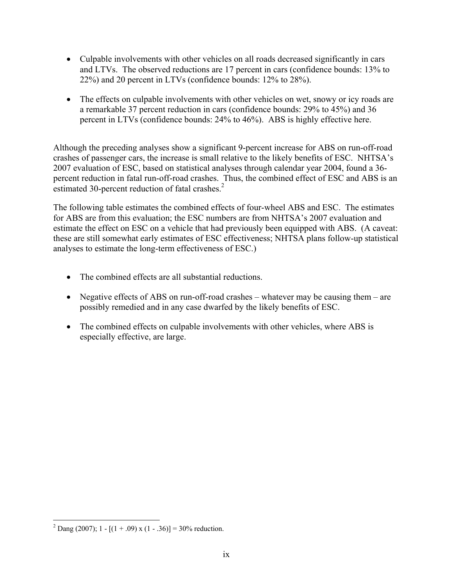- Culpable involvements with other vehicles on all roads decreased significantly in cars and LTVs. The observed reductions are 17 percent in cars (confidence bounds: 13% to 22%) and 20 percent in LTVs (confidence bounds: 12% to 28%).
- The effects on culpable involvements with other vehicles on wet, snowy or icy roads are a remarkable 37 percent reduction in cars (confidence bounds: 29% to 45%) and 36 percent in LTVs (confidence bounds: 24% to 46%). ABS is highly effective here.

Although the preceding analyses show a significant 9-percent increase for ABS on run-off-road crashes of passenger cars, the increase is small relative to the likely benefits of ESC. NHTSA's 2007 evaluation of ESC, based on statistical analyses through calendar year 2004, found a 36 percent reduction in fatal run-off-road crashes. Thus, the combined effect of ESC and ABS is an estimated 30-percent reduction of fatal crashes.<sup>2</sup>

The following table estimates the combined effects of four-wheel ABS and ESC. The estimates for ABS are from this evaluation; the ESC numbers are from NHTSA's 2007 evaluation and estimate the effect on ESC on a vehicle that had previously been equipped with ABS. (A caveat: these are still somewhat early estimates of ESC effectiveness; NHTSA plans follow-up statistical analyses to estimate the long-term effectiveness of ESC.)

- The combined effects are all substantial reductions.
- Negative effects of ABS on run-off-road crashes whatever may be causing them are possibly remedied and in any case dwarfed by the likely benefits of ESC.
- The combined effects on culpable involvements with other vehicles, where ABS is especially effective, are large.

<u>.</u>

<sup>&</sup>lt;sup>2</sup> Dang (2007); 1 - [(1 + .09) x (1 - .36)] = 30% reduction.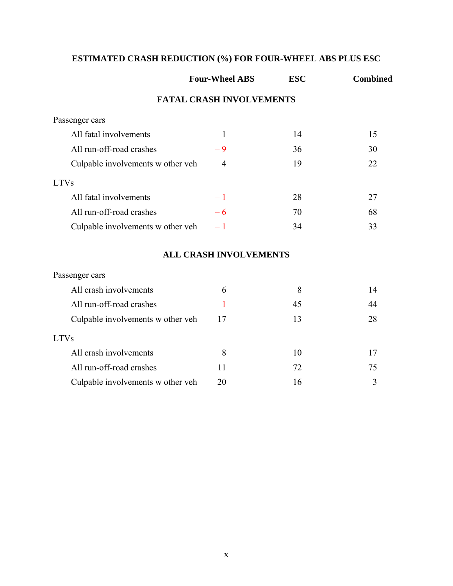# **ESTIMATED CRASH REDUCTION (%) FOR FOUR-WHEEL ABS PLUS ESC**

|                                   | <b>Four-Wheel ABS</b>           | <b>ESC</b> | <b>Combined</b> |
|-----------------------------------|---------------------------------|------------|-----------------|
|                                   | <b>FATAL CRASH INVOLVEMENTS</b> |            |                 |
| Passenger cars                    |                                 |            |                 |
| All fatal involvements            | $\mathbf{1}$                    | 14         | 15              |
| All run-off-road crashes          | $-9$                            | 36         | 30              |
| Culpable involvements w other veh | $\overline{4}$                  | 19         | 22              |
| <b>LTVs</b>                       |                                 |            |                 |
| All fatal involvements            | $-1$                            | 28         | 27              |
| All run-off-road crashes          | $-6$                            | 70         | 68              |
| Culpable involvements w other veh | $-1$                            | 34         | 33              |
|                                   | <b>ALL CRASH INVOLVEMENTS</b>   |            |                 |
| Passenger cars                    |                                 |            |                 |
| All crash involvements            | 6                               | 8          | 14              |
| All run-off-road crashes          | $-1$                            | 45         | 44              |
| Culpable involvements w other veh | 17                              | 13         | 28              |
| <b>LTVs</b>                       |                                 |            |                 |
| All crash involvements            | 8                               | 10         | 17              |
| All run-off-road crashes          | 11                              | 72         | 75              |
| Culpable involvements w other veh | 20                              | 16         | 3               |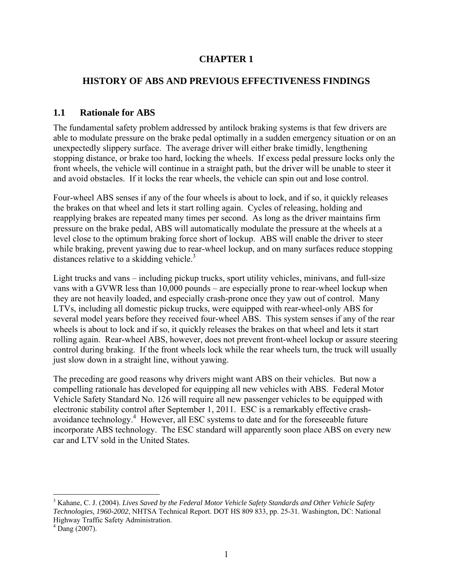# **CHAPTER 1**

## <span id="page-12-0"></span>**HISTORY OF ABS AND PREVIOUS EFFECTIVENESS FINDINGS**

## **1.1 Rationale for ABS**

The fundamental safety problem addressed by antilock braking systems is that few drivers are able to modulate pressure on the brake pedal optimally in a sudden emergency situation or on an unexpectedly slippery surface. The average driver will either brake timidly, lengthening stopping distance, or brake too hard, locking the wheels. If excess pedal pressure locks only the front wheels, the vehicle will continue in a straight path, but the driver will be unable to steer it and avoid obstacles. If it locks the rear wheels, the vehicle can spin out and lose control.

Four-wheel ABS senses if any of the four wheels is about to lock, and if so, it quickly releases the brakes on that wheel and lets it start rolling again. Cycles of releasing, holding and reapplying brakes are repeated many times per second. As long as the driver maintains firm pressure on the brake pedal, ABS will automatically modulate the pressure at the wheels at a level close to the optimum braking force short of lockup. ABS will enable the driver to steer while braking, prevent yawing due to rear-wheel lockup, and on many surfaces reduce stopping distances relative to a skidding vehicle.<sup>3</sup>

Light trucks and vans – including pickup trucks, sport utility vehicles, minivans, and full-size vans with a GVWR less than 10,000 pounds – are especially prone to rear-wheel lockup when they are not heavily loaded, and especially crash-prone once they yaw out of control. Many LTVs, including all domestic pickup trucks, were equipped with rear-wheel-only ABS for several model years before they received four-wheel ABS. This system senses if any of the rear wheels is about to lock and if so, it quickly releases the brakes on that wheel and lets it start rolling again. Rear-wheel ABS, however, does not prevent front-wheel lockup or assure steering control during braking. If the front wheels lock while the rear wheels turn, the truck will usually just slow down in a straight line, without yawing.

The preceding are good reasons why drivers might want ABS on their vehicles. But now a compelling rationale has developed for equipping all new vehicles with ABS. Federal Motor Vehicle Safety Standard No. 126 will require all new passenger vehicles to be equipped with electronic stability control after September 1, 2011. ESC is a remarkably effective crashavoidance technology.<sup>4</sup> However, all ESC systems to date and for the foreseeable future incorporate ABS technology. The ESC standard will apparently soon place ABS on every new car and LTV sold in the United States.

 $\overline{a}$ 

<sup>&</sup>lt;sup>3</sup> Kahane, C. J. (2004). *Lives Saved by the Federal Motor Vehicle Safety Standards and Other Vehicle Safety Technologies, 1960-2002*, NHTSA Technical Report. DOT HS 809 833, pp. 25-31. Washington, DC: National Highway Traffic Safety Administration.

 $4$  Dang (2007).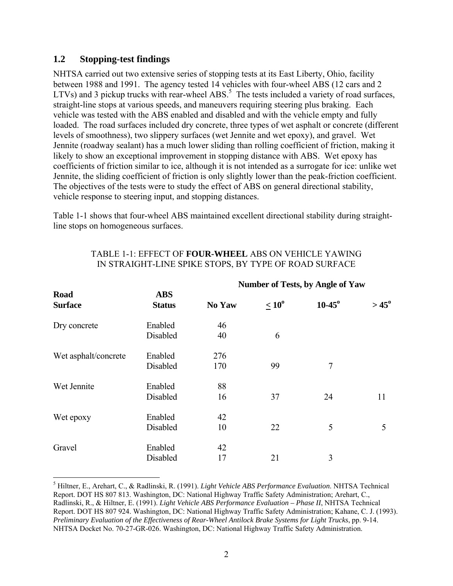## **1.2 Stopping-test findings**

1

NHTSA carried out two extensive series of stopping tests at its East Liberty, Ohio, facility between 1988 and 1991. The agency tested 14 vehicles with four-wheel ABS (12 cars and 2 LTVs) and 3 pickup trucks with rear-wheel ABS.<sup>5</sup> The tests included a variety of road surfaces, straight-line stops at various speeds, and maneuvers requiring steering plus braking. Each vehicle was tested with the ABS enabled and disabled and with the vehicle empty and fully loaded. The road surfaces included dry concrete, three types of wet asphalt or concrete (different levels of smoothness), two slippery surfaces (wet Jennite and wet epoxy), and gravel. Wet Jennite (roadway sealant) has a much lower sliding than rolling coefficient of friction, making it likely to show an exceptional improvement in stopping distance with ABS. Wet epoxy has coefficients of friction similar to ice, although it is not intended as a surrogate for ice: unlike wet Jennite, the sliding coefficient of friction is only slightly lower than the peak-friction coefficient. The objectives of the tests were to study the effect of ABS on general directional stability, vehicle response to steering input, and stopping distances.

Table 1-1 shows that four-wheel ABS maintained excellent directional stability during straightline stops on homogeneous surfaces.

|                               |                             | <b>Number of Tests, by Angle of Yaw</b> |                   |             |                |
|-------------------------------|-----------------------------|-----------------------------------------|-------------------|-------------|----------------|
| <b>Road</b><br><b>Surface</b> | <b>ABS</b><br><b>Status</b> | No Yaw                                  | $\leq 10^{\circ}$ | $10 - 45$ ° | $> 45^{\circ}$ |
| Dry concrete                  | Enabled                     | 46                                      |                   |             |                |
|                               | Disabled                    | 40                                      | 6                 |             |                |
| Wet asphalt/concrete          | Enabled                     | 276                                     |                   |             |                |
|                               | Disabled                    | 170                                     | 99                | 7           |                |
| Wet Jennite                   | Enabled                     | 88                                      |                   |             |                |
|                               | Disabled                    | 16                                      | 37                | 24          | 11             |
| Wet epoxy                     | Enabled                     | 42                                      |                   |             |                |
|                               | Disabled                    | 10                                      | 22                | 5           | 5              |
| Gravel                        | Enabled                     | 42                                      |                   |             |                |
|                               | Disabled                    | 17                                      | 21                | 3           |                |

## TABLE 1-1: EFFECT OF **FOUR-WHEEL** ABS ON VEHICLE YAWING IN STRAIGHT-LINE SPIKE STOPS, BY TYPE OF ROAD SURFACE

 Report. DOT HS 807 813. Washington, DC: National Highway Traffic Safety Administration; Arehart, C., 5 Hiltner, E., Arehart, C., & Radlinski, R. (1991). *Light Vehicle ABS Performance Evaluation*. NHTSA Technical Radlinski, R., & Hiltner, E. (1991). *Light Vehicle ABS Performance Evaluation – Phase II*, NHTSA Technical Report. DOT HS 807 924. Washington, DC: National Highway Traffic Safety Administration; Kahane, C. J. (1993). *Preliminary Evaluation of the Effectiveness of Rear-Wheel Antilock Brake Systems for Light Trucks*, pp. 9-14. NHTSA Docket No. 70-27-GR-026. Washington, DC: National Highway Traffic Safety Administration.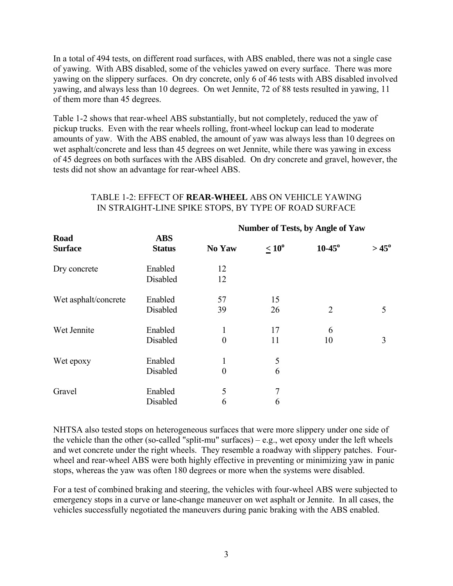In a total of 494 tests, on different road surfaces, with ABS enabled, there was not a single case of yawing. With ABS disabled, some of the vehicles yawed on every surface. There was more yawing on the slippery surfaces. On dry concrete, only 6 of 46 tests with ABS disabled involved yawing, and always less than 10 degrees. On wet Jennite, 72 of 88 tests resulted in yawing, 11 of them more than 45 degrees.

Table 1-2 shows that rear-wheel ABS substantially, but not completely, reduced the yaw of pickup trucks. Even with the rear wheels rolling, front-wheel lockup can lead to moderate amounts of yaw. With the ABS enabled, the amount of yaw was always less than 10 degrees on wet asphalt/concrete and less than 45 degrees on wet Jennite, while there was yawing in excess of 45 degrees on both surfaces with the ABS disabled. On dry concrete and gravel, however, the tests did not show an advantage for rear-wheel ABS.

|                        |                             | $1$ annote of Tests, by Tingle of Taw |                   |                |                |
|------------------------|-----------------------------|---------------------------------------|-------------------|----------------|----------------|
| Road<br><b>Surface</b> | <b>ABS</b><br><b>Status</b> | No Yaw                                | $\leq 10^{\circ}$ | $10 - 45$ °    | $> 45^{\circ}$ |
| Dry concrete           | Enabled<br>Disabled         | 12<br>12                              |                   |                |                |
| Wet asphalt/concrete   | Enabled<br>Disabled         | 57<br>39                              | 15<br>26          | $\overline{2}$ | 5              |
| Wet Jennite            | Enabled<br>Disabled         | $\boldsymbol{0}$                      | 17<br>11          | 6<br>10        | 3              |
| Wet epoxy              | Enabled<br>Disabled         | 1<br>$\overline{0}$                   | 5<br>6            |                |                |
| Gravel                 | Enabled<br>Disabled         | 5<br>6                                | 7<br>6            |                |                |

## TABLE 1-2: EFFECT OF **REAR-WHEEL** ABS ON VEHICLE YAWING IN STRAIGHT-LINE SPIKE STOPS, BY TYPE OF ROAD SURFACE

 **Number of Tests, by Angle of Yaw** 

NHTSA also tested stops on heterogeneous surfaces that were more slippery under one side of the vehicle than the other (so-called "split-mu" surfaces) – e.g., wet epoxy under the left wheels and wet concrete under the right wheels. They resemble a roadway with slippery patches. Fourwheel and rear-wheel ABS were both highly effective in preventing or minimizing yaw in panic stops, whereas the yaw was often 180 degrees or more when the systems were disabled.

For a test of combined braking and steering, the vehicles with four-wheel ABS were subjected to emergency stops in a curve or lane-change maneuver on wet asphalt or Jennite. In all cases, the vehicles successfully negotiated the maneuvers during panic braking with the ABS enabled.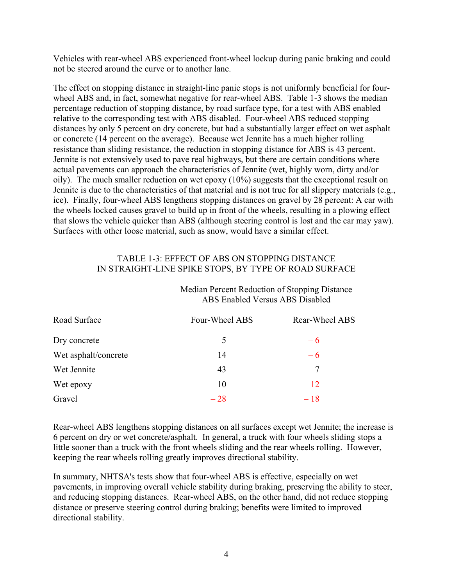Vehicles with rear-wheel ABS experienced front-wheel lockup during panic braking and could not be steered around the curve or to another lane.

The effect on stopping distance in straight-line panic stops is not uniformly beneficial for fourwheel ABS and, in fact, somewhat negative for rear-wheel ABS. Table 1-3 shows the median percentage reduction of stopping distance, by road surface type, for a test with ABS enabled relative to the corresponding test with ABS disabled. Four-wheel ABS reduced stopping distances by only 5 percent on dry concrete, but had a substantially larger effect on wet asphalt or concrete (14 percent on the average). Because wet Jennite has a much higher rolling resistance than sliding resistance, the reduction in stopping distance for ABS is 43 percent. Jennite is not extensively used to pave real highways, but there are certain conditions where actual pavements can approach the characteristics of Jennite (wet, highly worn, dirty and/or oily). The much smaller reduction on wet epoxy (10%) suggests that the exceptional result on Jennite is due to the characteristics of that material and is not true for all slippery materials (e.g., ice). Finally, four-wheel ABS lengthens stopping distances on gravel by 28 percent: A car with the wheels locked causes gravel to build up in front of the wheels, resulting in a plowing effect that slows the vehicle quicker than ABS (although steering control is lost and the car may yaw). Surfaces with other loose material, such as snow, would have a similar effect.

## TABLE 1-3: EFFECT OF ABS ON STOPPING DISTANCE IN STRAIGHT-LINE SPIKE STOPS, BY TYPE OF ROAD SURFACE

#### Median Percent Reduction of Stopping Distance ABS Enabled Versus ABS Disabled

| Road Surface         | Four-Wheel ABS | Rear-Wheel ABS |
|----------------------|----------------|----------------|
| Dry concrete         | 5              | $-6$           |
| Wet asphalt/concrete | 14             | $-6$           |
| Wet Jennite          | 43             | 7              |
| Wet epoxy            | 10             | $-12$          |
| Gravel               | $-28$          | $-18$          |

Rear-wheel ABS lengthens stopping distances on all surfaces except wet Jennite; the increase is 6 percent on dry or wet concrete/asphalt. In general, a truck with four wheels sliding stops a little sooner than a truck with the front wheels sliding and the rear wheels rolling. However, keeping the rear wheels rolling greatly improves directional stability.

In summary, NHTSA's tests show that four-wheel ABS is effective, especially on wet pavements, in improving overall vehicle stability during braking, preserving the ability to steer, and reducing stopping distances. Rear-wheel ABS, on the other hand, did not reduce stopping distance or preserve steering control during braking; benefits were limited to improved directional stability.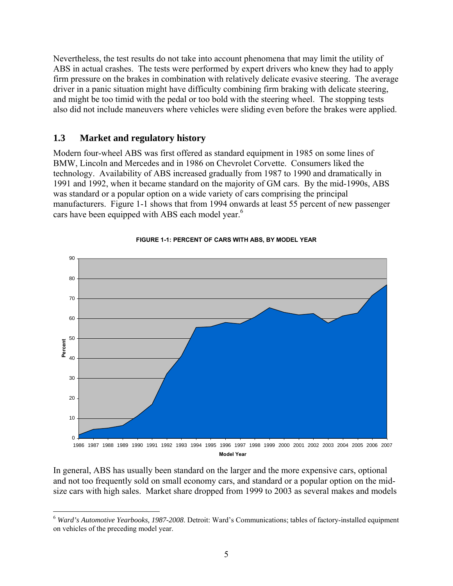<span id="page-16-0"></span>Nevertheless, the test results do not take into account phenomena that may limit the utility of ABS in actual crashes. The tests were performed by expert drivers who knew they had to apply firm pressure on the brakes in combination with relatively delicate evasive steering. The average driver in a panic situation might have difficulty combining firm braking with delicate steering, and might be too timid with the pedal or too bold with the steering wheel. The stopping tests also did not include maneuvers where vehicles were sliding even before the brakes were applied.

# **1.3 Market and regulatory history**

1

cars have been equipped with ABS each model year.<sup>6</sup> Modern four-wheel ABS was first offered as standard equipment in 1985 on some lines of BMW, Lincoln and Mercedes and in 1986 on Chevrolet Corvette. Consumers liked the technology. Availability of ABS increased gradually from 1987 to 1990 and dramatically in 1991 and 1992, when it became standard on the majority of GM cars. By the mid-1990s, ABS was standard or a popular option on a wide variety of cars comprising the principal manufacturers. Figure 1-1 shows that from 1994 onwards at least 55 percent of new passenger





In general, ABS has usually been standard on the larger and the more expensive cars, optional and not too frequently sold on small economy cars, and standard or a popular option on the midsize cars with high sales. Market share dropped from 1999 to 2003 as several makes and models

<sup>6</sup>*Ward's Automotive Yearbooks, 1987-2008*. Detroit: Ward's Communications; tables of factory-installed equipment on vehicles of the preceding model year.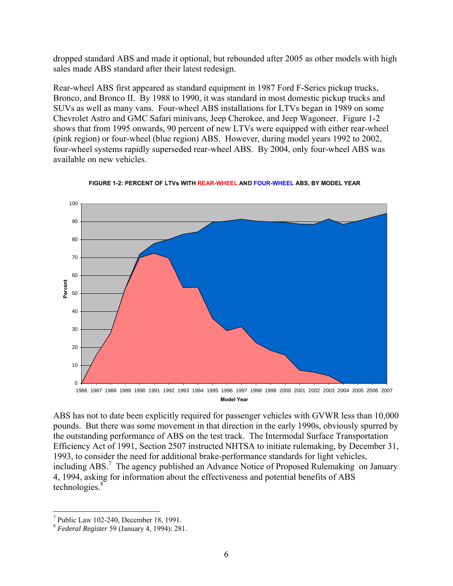dropped standard ABS and made it optional, but rebounded after 2005 as other models with high sales made ABS standard after their latest redesign.

Rear-wheel ABS first appeared as standard equipment in 1987 Ford F-Series pickup trucks, Bronco, and Bronco II. By 1988 to 1990, it was standard in most domestic pickup trucks and SUVs as well as many vans. Four-wheel ABS installations for LTVs began in 1989 on some Chevrolet Astro and GMC Safari minivans, Jeep Cherokee, and Jeep Wagoneer. Figure 1-2 shows that from 1995 onwards, 90 percent of new LTVs were equipped with either rear-wheel (pink region) or four-wheel (blue region) ABS. However, during model years 1992 to 2002, four-wheel systems rapidly superseded rear-wheel ABS. By 2004, only four-wheel ABS was available on new vehicles.





1986 1987 1988 1989 1990 1991 1992 1993 1994 1995 1996 1997 1998 1999 2000 2001 2002 2003 2004 2005 2006 2007 **Model Year** 

technologies.<sup>8</sup> ABS has not to date been explicitly required for passenger vehicles with GVWR less than 10,000 pounds. But there was some movement in that direction in the early 1990s, obviously spurred by the outstanding performance of ABS on the test track. The Intermodal Surface Transportation Efficiency Act of 1991, Section 2507 instructed NHTSA to initiate rulemaking, by December 31, 1993, to consider the need for additional brake-performance standards for light vehicles, including ABS.<sup>7</sup> The agency published an Advance Notice of Proposed Rulemaking on January 4, 1994, asking for information about the effectiveness and potential benefits of ABS

 $\overline{a}$ 

<sup>7</sup> Public Law 102-240, December 18, 1991.

 <sup>8</sup>*Federal Register* 59 (January 4, 1994): 281.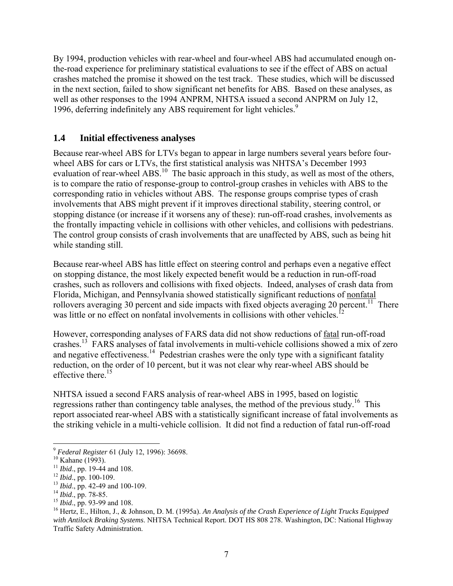<span id="page-18-0"></span>By 1994, production vehicles with rear-wheel and four-wheel ABS had accumulated enough onthe-road experience for preliminary statistical evaluations to see if the effect of ABS on actual crashes matched the promise it showed on the test track. These studies, which will be discussed in the next section, failed to show significant net benefits for ABS. Based on these analyses, as well as other responses to the 1994 ANPRM, NHTSA issued a second ANPRM on July 12, 1996, deferring indefinitely any ABS requirement for light vehicles.<sup>9</sup>

# **1.4 Initial effectiveness analyses**

Because rear-wheel ABS for LTVs began to appear in large numbers several years before fourwheel ABS for cars or LTVs, the first statistical analysis was NHTSA's December 1993 evaluation of rear-wheel ABS.<sup>10</sup> The basic approach in this study, as well as most of the others, is to compare the ratio of response-group to control-group crashes in vehicles with ABS to the corresponding ratio in vehicles without ABS. The response groups comprise types of crash involvements that ABS might prevent if it improves directional stability, steering control, or stopping distance (or increase if it worsens any of these): run-off-road crashes, involvements as the frontally impacting vehicle in collisions with other vehicles, and collisions with pedestrians. The control group consists of crash involvements that are unaffected by ABS, such as being hit while standing still.

Because rear-wheel ABS has little effect on steering control and perhaps even a negative effect on stopping distance, the most likely expected benefit would be a reduction in run-off-road crashes, such as rollovers and collisions with fixed objects. Indeed, analyses of crash data from Florida, Michigan, and Pennsylvania showed statistically significant reductions of nonfatal rollovers averaging 30 percent and side impacts with fixed objects averaging 20 percent.<sup>11</sup> There was little or no effect on nonfatal involvements in collisions with other vehicles.<sup>12</sup>

However, corresponding analyses of FARS data did not show reductions of fatal run-off-road crashes.13 FARS analyses of fatal involvements in multi-vehicle collisions showed a mix of zero and negative effectiveness.<sup>14</sup> Pedestrian crashes were the only type with a significant fatality reduction, on the order of 10 percent, but it was not clear why rear-wheel ABS should be effective there. $15$ 

NHTSA issued a second FARS analysis of rear-wheel ABS in 1995, based on logistic regressions rather than contingency table analyses, the method of the previous study.<sup>16</sup> This report associated rear-wheel ABS with a statistically significant increase of fatal involvements as the striking vehicle in a multi-vehicle collision. It did not find a reduction of fatal run-off-road

1

<sup>&</sup>lt;sup>9</sup> *Federal Register* 61 (July 12, 1996): 36698.<br><sup>10</sup> Kahane (1993).<br><sup>11</sup> *Ibid.*, pp. 19-44 and 108.

<sup>&</sup>lt;sup>12</sup> *Ibid.*, pp. 100-109.<br><sup>13</sup> *Ibid.*, pp. 42-49 and 100-109.<br><sup>14</sup> *Ibid.*, pp. 78-85.

<sup>&</sup>lt;sup>15</sup> *Ibid.*, pp. 93-99 and 108.<br><sup>16</sup> Hertz, E., Hilton, J., & Johnson, D. M. (1995a). *An Analysis of the Crash Experience of Light Trucks Equipped with Antilock Braking Systems*. NHTSA Technical Report. DOT HS 808 278. Washington, DC: National Highway Traffic Safety Administration.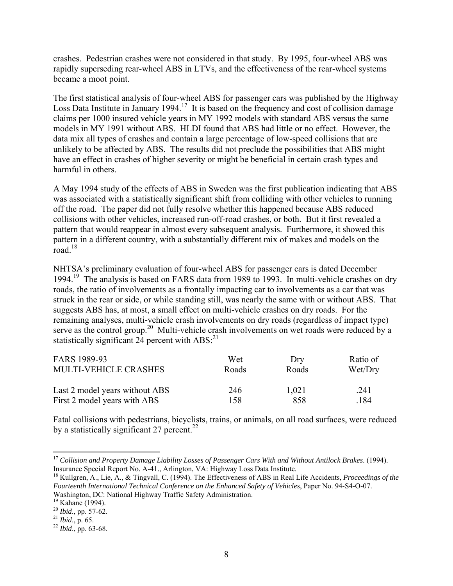crashes. Pedestrian crashes were not considered in that study. By 1995, four-wheel ABS was rapidly superseding rear-wheel ABS in LTVs, and the effectiveness of the rear-wheel systems became a moot point.

The first statistical analysis of four-wheel ABS for passenger cars was published by the Highway Loss Data Institute in January 1994.<sup>17</sup> It is based on the frequency and cost of collision damage claims per 1000 insured vehicle years in MY 1992 models with standard ABS versus the same models in MY 1991 without ABS. HLDI found that ABS had little or no effect. However, the data mix all types of crashes and contain a large percentage of low-speed collisions that are unlikely to be affected by ABS. The results did not preclude the possibilities that ABS might have an effect in crashes of higher severity or might be beneficial in certain crash types and harmful in others.

A May 1994 study of the effects of ABS in Sweden was the first publication indicating that ABS was associated with a statistically significant shift from colliding with other vehicles to running off the road. The paper did not fully resolve whether this happened because ABS reduced collisions with other vehicles, increased run-off-road crashes, or both. But it first revealed a pattern that would reappear in almost every subsequent analysis. Furthermore, it showed this pattern in a different country, with a substantially different mix of makes and models on the road. $18$ 

NHTSA's preliminary evaluation of four-wheel ABS for passenger cars is dated December 1994.<sup>19</sup> The analysis is based on FARS data from 1989 to 1993. In multi-vehicle crashes on dry roads, the ratio of involvements as a frontally impacting car to involvements as a car that was struck in the rear or side, or while standing still, was nearly the same with or without ABS. That suggests ABS has, at most, a small effect on multi-vehicle crashes on dry roads. For the remaining analyses, multi-vehicle crash involvements on dry roads (regardless of impact type) serve as the control group.<sup>20</sup> Multi-vehicle crash involvements on wet roads were reduced by a statistically significant  $24$  percent with ABS:<sup>21</sup>

| FARS 1989-93                   | Wet          | Dry   | Ratio of |
|--------------------------------|--------------|-------|----------|
| <b>MULTI-VEHICLE CRASHES</b>   | <b>Roads</b> | Roads | Wet/Dry  |
| Last 2 model years without ABS | 246          | 1,021 | .241     |
| First 2 model years with ABS   | 158          | 858   | -184     |

Fatal collisions with pedestrians, bicyclists, trains, or animals, on all road surfaces, were reduced by a statistically significant 27 percent.<sup>22</sup>

1

<sup>17</sup>*Collision and Property Damage Liability Losses of Passenger Cars With and Without Antilock Brakes*. (1994). Insurance Special Report No. A-41., Arlington, VA: Highway Loss Data Institute.

<sup>&</sup>lt;sup>18</sup> Kullgren, A., Lie, A., & Tingvall, C. (1994). The Effectiveness of ABS in Real Life Accidents, *Proceedings of the Fourteenth International Technical Conference on the Enhanced Safety of Vehicles*, Paper No. 94-S4-O-07. Washington, DC: National Highway Traffic Safety Administration.

<sup>&</sup>lt;sup>19</sup> Kahane (1994).

<sup>20</sup>*Ibid*., pp. 57-62. 21 *Ibid*., p. 65.

<sup>22</sup>*Ibid*., pp. 63-68.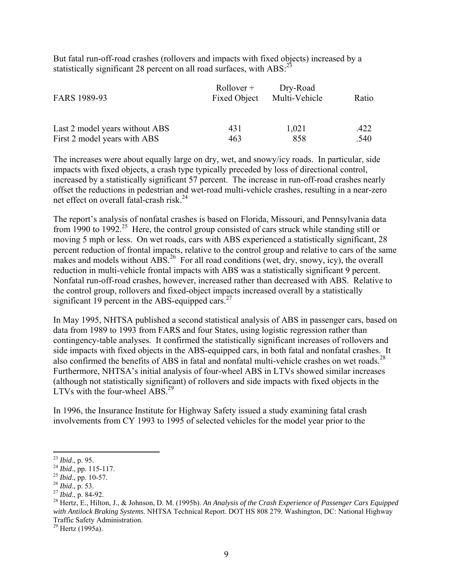But fatal run-off-road crashes (rollovers and impacts with fixed objects) increased by a statistically significant 28 percent on all road surfaces, with  $\text{ABS}$ :<sup>23</sup>

| FARS 1989-93                   | $Rollover +$<br><b>Fixed Object</b> | Dry-Road<br>Multi-Vehicle | Ratio |
|--------------------------------|-------------------------------------|---------------------------|-------|
| Last 2 model years without ABS | 431                                 | 1,021                     | .422  |
| First 2 model years with ABS   | 463                                 | 858                       | .540  |

The increases were about equally large on dry, wet, and snowy/icy roads. In particular, side impacts with fixed objects, a crash type typically preceded by loss of directional control, increased by a statistically significant 57 percent. The increase in run-off-road crashes nearly offset the reductions in pedestrian and wet-road multi-vehicle crashes, resulting in a near-zero net effect on overall fatal-crash risk. $^{24}$ 

significant 19 percent in the ABS-equipped cars.<sup>27</sup> The report's analysis of nonfatal crashes is based on Florida, Missouri, and Pennsylvania data from 1990 to 1992.<sup>25</sup> Here, the control group consisted of cars struck while standing still or moving 5 mph or less. On wet roads, cars with ABS experienced a statistically significant, 28 percent reduction of frontal impacts, relative to the control group and relative to cars of the same makes and models without  $\overrightarrow{ABS}^2$  For all road conditions (wet, dry, snowy, icy), the overall reduction in multi-vehicle frontal impacts with ABS was a statistically significant 9 percent. Nonfatal run-off-road crashes, however, increased rather than decreased with ABS. Relative to the control group, rollovers and fixed-object impacts increased overall by a statistically

also confirmed the benefits of ABS in fatal and nonfatal multi-vehicle crashes on wet roads. $^{28}$ LTVs with the four-wheel  $\overline{ABS}^2$ . In May 1995, NHTSA published a second statistical analysis of ABS in passenger cars, based on data from 1989 to 1993 from FARS and four States, using logistic regression rather than contingency-table analyses. It confirmed the statistically significant increases of rollovers and side impacts with fixed objects in the ABS-equipped cars, in both fatal and nonfatal crashes. It Furthermore, NHTSA's initial analysis of four-wheel ABS in LTVs showed similar increases (although not statistically significant) of rollovers and side impacts with fixed objects in the

In 1996, the Insurance Institute for Highway Safety issued a study examining fatal crash involvements from CY 1993 to 1995 of selected vehicles for the model year prior to the

 $29$  Hertz (1995a).

 $\overline{a}$ <sup>23</sup>*Ibid*., p. 95.

<sup>24</sup>*Ibid*., pp. 115-117. 25 *Ibid*., pp. 10-57. 26 *Ibid*., p. 53.

<sup>27</sup>*Ibid*., p. 84-92.

<sup>&</sup>lt;sup>2</sup> Ibid., p. 84-92.<br><sup>28</sup> Hertz, E., Hilton, J., & Johnson, D. M. (1995b). *An Analysis of the Crash Experience of Passenger Cars Equipped with Antilock Braking Systems*. NHTSA Technical Report. DOT HS 808 279. Washington, DC: National Highway Traffic Safety Administration.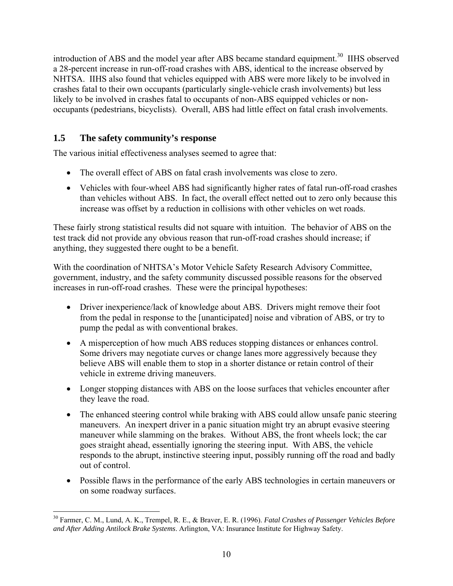<span id="page-21-0"></span>introduction of ABS and the model year after ABS became standard equipment.<sup>30</sup> IIHS observed a 28-percent increase in run-off-road crashes with ABS, identical to the increase observed by NHTSA. IIHS also found that vehicles equipped with ABS were more likely to be involved in crashes fatal to their own occupants (particularly single-vehicle crash involvements) but less likely to be involved in crashes fatal to occupants of non-ABS equipped vehicles or nonoccupants (pedestrians, bicyclists). Overall, ABS had little effect on fatal crash involvements.

# **1.5 The safety community's response**

1

The various initial effectiveness analyses seemed to agree that:

- The overall effect of ABS on fatal crash involvements was close to zero.
- Vehicles with four-wheel ABS had significantly higher rates of fatal run-off-road crashes than vehicles without ABS. In fact, the overall effect netted out to zero only because this increase was offset by a reduction in collisions with other vehicles on wet roads.

These fairly strong statistical results did not square with intuition. The behavior of ABS on the test track did not provide any obvious reason that run-off-road crashes should increase; if anything, they suggested there ought to be a benefit.

With the coordination of NHTSA's Motor Vehicle Safety Research Advisory Committee, government, industry, and the safety community discussed possible reasons for the observed increases in run-off-road crashes. These were the principal hypotheses:

- Driver inexperience/lack of knowledge about ABS. Drivers might remove their foot from the pedal in response to the [unanticipated] noise and vibration of ABS, or try to pump the pedal as with conventional brakes.
- A misperception of how much ABS reduces stopping distances or enhances control. Some drivers may negotiate curves or change lanes more aggressively because they believe ABS will enable them to stop in a shorter distance or retain control of their vehicle in extreme driving maneuvers.
- Longer stopping distances with ABS on the loose surfaces that vehicles encounter after they leave the road.
- The enhanced steering control while braking with ABS could allow unsafe panic steering maneuvers. An inexpert driver in a panic situation might try an abrupt evasive steering maneuver while slamming on the brakes. Without ABS, the front wheels lock; the car goes straight ahead, essentially ignoring the steering input. With ABS, the vehicle responds to the abrupt, instinctive steering input, possibly running off the road and badly out of control.
- Possible flaws in the performance of the early ABS technologies in certain maneuvers or on some roadway surfaces.

<sup>30</sup> Farmer, C. M., Lund, A. K., Trempel, R. E., & Braver, E. R. (1996). *Fatal Crashes of Passenger Vehicles Before and After Adding Antilock Brake Systems*. Arlington, VA: Insurance Institute for Highway Safety.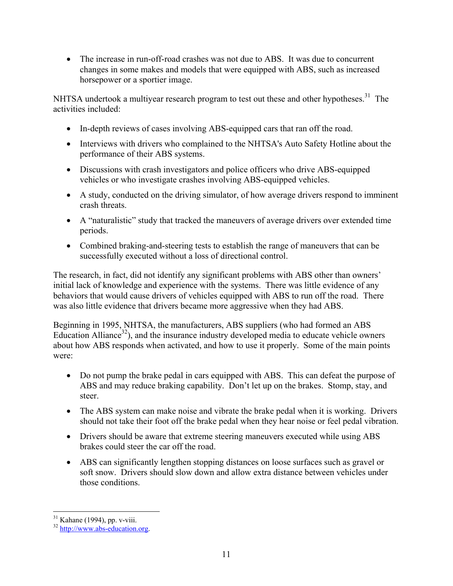• The increase in run-off-road crashes was not due to ABS. It was due to concurrent changes in some makes and models that were equipped with ABS, such as increased horsepower or a sportier image.

NHTSA undertook a multiyear research program to test out these and other hypotheses.<sup>31</sup> The activities included:

- In-depth reviews of cases involving ABS-equipped cars that ran off the road.
- Interviews with drivers who complained to the NHTSA's Auto Safety Hotline about the performance of their ABS systems.
- Discussions with crash investigators and police officers who drive ABS-equipped vehicles or who investigate crashes involving ABS-equipped vehicles.
- A study, conducted on the driving simulator, of how average drivers respond to imminent crash threats.
- A "naturalistic" study that tracked the maneuvers of average drivers over extended time periods.
- Combined braking-and-steering tests to establish the range of maneuvers that can be successfully executed without a loss of directional control.

The research, in fact, did not identify any significant problems with ABS other than owners' initial lack of knowledge and experience with the systems. There was little evidence of any behaviors that would cause drivers of vehicles equipped with ABS to run off the road. There was also little evidence that drivers became more aggressive when they had ABS.

Beginning in 1995, NHTSA, the manufacturers, ABS suppliers (who had formed an ABS Education Alliance<sup>32</sup>), and the insurance industry developed media to educate vehicle owners about how ABS responds when activated, and how to use it properly. Some of the main points were:

- Do not pump the brake pedal in cars equipped with ABS. This can defeat the purpose of ABS and may reduce braking capability. Don't let up on the brakes. Stomp, stay, and steer.
- The ABS system can make noise and vibrate the brake pedal when it is working. Drivers should not take their foot off the brake pedal when they hear noise or feel pedal vibration.
- Drivers should be aware that extreme steering maneuvers executed while using ABS brakes could steer the car off the road.
- ABS can significantly lengthen stopping distances on loose surfaces such as gravel or soft snow. Drivers should slow down and allow extra distance between vehicles under those conditions.

<sup>1</sup>  $31$  Kahane (1994), pp. v-viii.

<sup>32</sup> http://www.abs-education.org.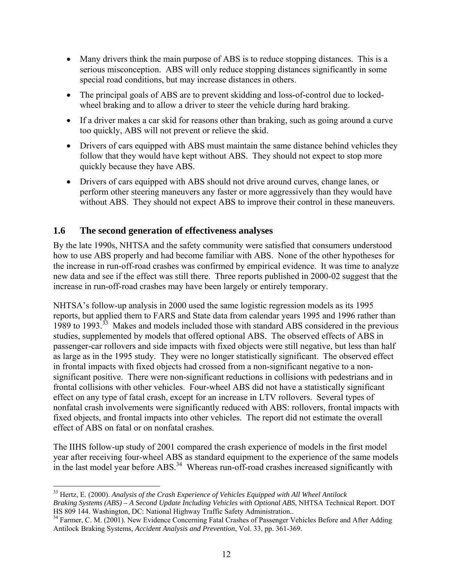- <span id="page-23-0"></span> Many drivers think the main purpose of ABS is to reduce stopping distances. This is a serious misconception. ABS will only reduce stopping distances significantly in some special road conditions, but may increase distances in others.
- The principal goals of ABS are to prevent skidding and loss-of-control due to lockedwheel braking and to allow a driver to steer the vehicle during hard braking.
- If a driver makes a car skid for reasons other than braking, such as going around a curve too quickly, ABS will not prevent or relieve the skid.
- Drivers of cars equipped with ABS must maintain the same distance behind vehicles they follow that they would have kept without ABS. They should not expect to stop more quickly because they have ABS.
- Drivers of cars equipped with ABS should not drive around curves, change lanes, or perform other steering maneuvers any faster or more aggressively than they would have without ABS. They should not expect ABS to improve their control in these maneuvers.

# **1.6 The second generation of effectiveness analyses**

By the late 1990s, NHTSA and the safety community were satisfied that consumers understood how to use ABS properly and had become familiar with ABS. None of the other hypotheses for the increase in run-off-road crashes was confirmed by empirical evidence. It was time to analyze new data and see if the effect was still there. Three reports published in 2000-02 suggest that the increase in run-off-road crashes may have been largely or entirely temporary.

NHTSA's follow-up analysis in 2000 used the same logistic regression models as its 1995 reports, but applied them to FARS and State data from calendar years 1995 and 1996 rather than 1989 to 1993<sup>33</sup> Makes and models included those with standard ABS considered in the previous studies, supplemented by models that offered optional ABS. The observed effects of ABS in passenger-car rollovers and side impacts with fixed objects were still negative, but less than half as large as in the 1995 study. They were no longer statistically significant. The observed effect in frontal impacts with fixed objects had crossed from a non-significant negative to a nonsignificant positive. There were non-significant reductions in collisions with pedestrians and in frontal collisions with other vehicles. Four-wheel ABS did not have a statistically significant effect on any type of fatal crash, except for an increase in LTV rollovers. Several types of nonfatal crash involvements were significantly reduced with ABS: rollovers, frontal impacts with fixed objects, and frontal impacts into other vehicles. The report did not estimate the overall effect of ABS on fatal or on nonfatal crashes.

The IIHS follow-up study of 2001 compared the crash experience of models in the first model year after receiving four-wheel ABS as standard equipment to the experience of the same models in the last model year before ABS.<sup>34</sup> Whereas run-off-road crashes increased significantly with

 $\overline{a}$  *Braking Systems (ABS) – A Second Update Including Vehicles with Optional ABS*, NHTSA Technical Report. DOT 33 Hertz, E. (2000). *Analysis of the Crash Experience of Vehicles Equipped with All Wheel Antilock*  HS 809 144. Washington, DC: National Highway Traffic Safety Administration..

<sup>&</sup>lt;sup>34</sup> Farmer, C. M. (2001). New Evidence Concerning Fatal Crashes of Passenger Vehicles Before and After Adding Antilock Braking Systems, *Accident Analysis and Prevention*, Vol. 33, pp. 361-369.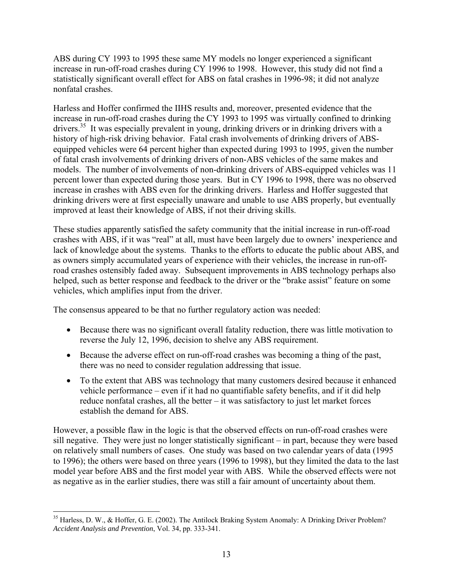ABS during CY 1993 to 1995 these same MY models no longer experienced a significant increase in run-off-road crashes during CY 1996 to 1998. However, this study did not find a statistically significant overall effect for ABS on fatal crashes in 1996-98; it did not analyze nonfatal crashes.

Harless and Hoffer confirmed the IIHS results and, moreover, presented evidence that the increase in run-off-road crashes during the CY 1993 to 1995 was virtually confined to drinking drivers.<sup>35</sup> It was especially prevalent in young, drinking drivers or in drinking drivers with a history of high-risk driving behavior. Fatal crash involvements of drinking drivers of ABSequipped vehicles were 64 percent higher than expected during 1993 to 1995, given the number of fatal crash involvements of drinking drivers of non-ABS vehicles of the same makes and models. The number of involvements of non-drinking drivers of ABS-equipped vehicles was 11 percent lower than expected during those years. But in CY 1996 to 1998, there was no observed increase in crashes with ABS even for the drinking drivers. Harless and Hoffer suggested that drinking drivers were at first especially unaware and unable to use ABS properly, but eventually improved at least their knowledge of ABS, if not their driving skills.

These studies apparently satisfied the safety community that the initial increase in run-off-road crashes with ABS, if it was "real" at all, must have been largely due to owners' inexperience and lack of knowledge about the systems. Thanks to the efforts to educate the public about ABS, and as owners simply accumulated years of experience with their vehicles, the increase in run-offroad crashes ostensibly faded away. Subsequent improvements in ABS technology perhaps also helped, such as better response and feedback to the driver or the "brake assist" feature on some vehicles, which amplifies input from the driver.

The consensus appeared to be that no further regulatory action was needed:

- Because there was no significant overall fatality reduction, there was little motivation to reverse the July 12, 1996, decision to shelve any ABS requirement.
- Because the adverse effect on run-off-road crashes was becoming a thing of the past, there was no need to consider regulation addressing that issue.
- To the extent that ABS was technology that many customers desired because it enhanced vehicle performance – even if it had no quantifiable safety benefits, and if it did help reduce nonfatal crashes, all the better – it was satisfactory to just let market forces establish the demand for ABS.

However, a possible flaw in the logic is that the observed effects on run-off-road crashes were sill negative. They were just no longer statistically significant – in part, because they were based on relatively small numbers of cases. One study was based on two calendar years of data (1995 to 1996); the others were based on three years (1996 to 1998), but they limited the data to the last model year before ABS and the first model year with ABS. While the observed effects were not as negative as in the earlier studies, there was still a fair amount of uncertainty about them.

 $\overline{a}$  $35$  Harless, D. W., & Hoffer, G. E. (2002). The Antilock Braking System Anomaly: A Drinking Driver Problem? *Accident Analysis and Prevention*, Vol. 34, pp. 333-341.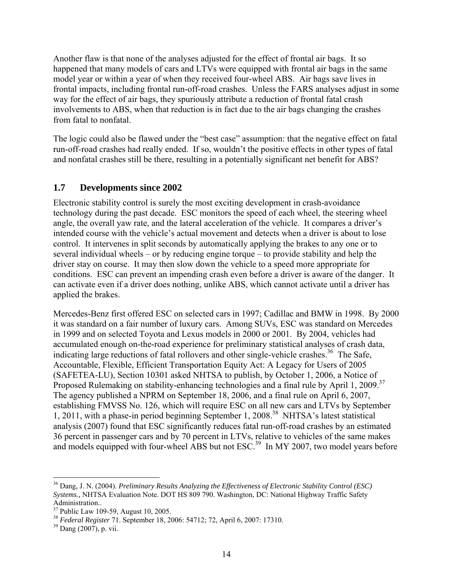<span id="page-25-0"></span>Another flaw is that none of the analyses adjusted for the effect of frontal air bags. It so happened that many models of cars and LTVs were equipped with frontal air bags in the same model year or within a year of when they received four-wheel ABS. Air bags save lives in frontal impacts, including frontal run-off-road crashes. Unless the FARS analyses adjust in some way for the effect of air bags, they spuriously attribute a reduction of frontal fatal crash involvements to ABS, when that reduction is in fact due to the air bags changing the crashes from fatal to nonfatal.

The logic could also be flawed under the "best case" assumption: that the negative effect on fatal run-off-road crashes had really ended. If so, wouldn't the positive effects in other types of fatal and nonfatal crashes still be there, resulting in a potentially significant net benefit for ABS?

# **1.7 Developments since 2002**

Electronic stability control is surely the most exciting development in crash-avoidance technology during the past decade. ESC monitors the speed of each wheel, the steering wheel angle, the overall yaw rate, and the lateral acceleration of the vehicle. It compares a driver's intended course with the vehicle's actual movement and detects when a driver is about to lose control. It intervenes in split seconds by automatically applying the brakes to any one or to several individual wheels – or by reducing engine torque – to provide stability and help the driver stay on course. It may then slow down the vehicle to a speed more appropriate for conditions. ESC can prevent an impending crash even before a driver is aware of the danger. It can activate even if a driver does nothing, unlike ABS, which cannot activate until a driver has applied the brakes.

Proposed Rulemaking on stability-enhancing technologies and a final rule by April 1, 2009.<sup>37</sup> Mercedes-Benz first offered ESC on selected cars in 1997; Cadillac and BMW in 1998. By 2000 it was standard on a fair number of luxury cars. Among SUVs, ESC was standard on Mercedes in 1999 and on selected Toyota and Lexus models in 2000 or 2001. By 2004, vehicles had accumulated enough on-the-road experience for preliminary statistical analyses of crash data, indicating large reductions of fatal rollovers and other single-vehicle crashes.<sup>36</sup> The Safe, Accountable, Flexible, Efficient Transportation Equity Act: A Legacy for Users of 2005 (SAFETEA-LU), Section 10301 asked NHTSA to publish, by October 1, 2006, a Notice of The agency published a NPRM on September 18, 2006, and a final rule on April 6, 2007, establishing FMVSS No. 126, which will require ESC on all new cars and LTVs by September 1, 2011, with a phase-in period beginning September 1, 2008.38 NHTSA's latest statistical analysis (2007) found that ESC significantly reduces fatal run-off-road crashes by an estimated 36 percent in passenger cars and by 70 percent in LTVs, relative to vehicles of the same makes and models equipped with four-wheel ABS but not ESC.<sup>39</sup> In MY 2007, two model years before

1

<sup>36</sup> Dang, J. N. (2004). *Preliminary Results Analyzing the Effectiveness of Electronic Stability Control (ESC) Systems.,* NHTSA Evaluation Note. DOT HS 809 790. Washington, DC: National Highway Traffic Safety Administration..<br><sup>37</sup> Public Law 109-59, August 10, 2005.

<sup>&</sup>lt;sup>38</sup> Federal Register 71. September 18, 2006: 54712; 72, April 6, 2007: 17310.<br><sup>39</sup> Dang (2007), p. vii.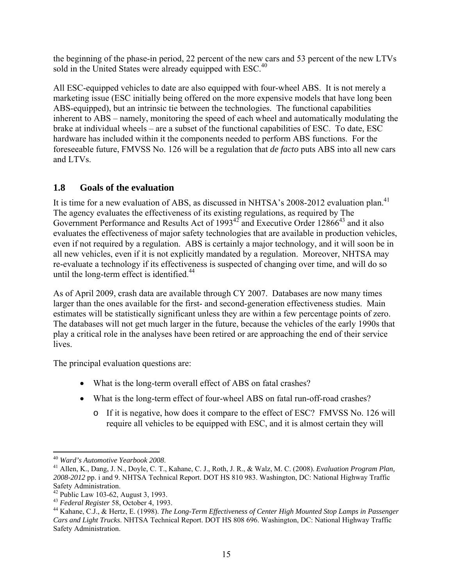<span id="page-26-0"></span>the beginning of the phase-in period, 22 percent of the new cars and 53 percent of the new LTVs sold in the United States were already equipped with ESC.<sup>40</sup>

All ESC-equipped vehicles to date are also equipped with four-wheel ABS. It is not merely a marketing issue (ESC initially being offered on the more expensive models that have long been ABS-equipped), but an intrinsic tie between the technologies. The functional capabilities inherent to ABS – namely, monitoring the speed of each wheel and automatically modulating the brake at individual wheels – are a subset of the functional capabilities of ESC. To date, ESC hardware has included within it the components needed to perform ABS functions. For the foreseeable future, FMVSS No. 126 will be a regulation that *de facto* puts ABS into all new cars and LTVs.

# **1.8 Goals of the evaluation**

It is time for a new evaluation of ABS, as discussed in NHTSA's 2008-2012 evaluation plan.<sup>41</sup> The agency evaluates the effectiveness of its existing regulations, as required by The Government Performance and Results Act of  $1993^{42}$  and Executive Order  $12866^{43}$  and it also evaluates the effectiveness of major safety technologies that are available in production vehicles, even if not required by a regulation. ABS is certainly a major technology, and it will soon be in all new vehicles, even if it is not explicitly mandated by a regulation. Moreover, NHTSA may re-evaluate a technology if its effectiveness is suspected of changing over time, and will do so until the long-term effect is identified. $44$ 

As of April 2009, crash data are available through CY 2007. Databases are now many times larger than the ones available for the first- and second-generation effectiveness studies. Main estimates will be statistically significant unless they are within a few percentage points of zero. The databases will not get much larger in the future, because the vehicles of the early 1990s that play a critical role in the analyses have been retired or are approaching the end of their service lives.

The principal evaluation questions are:

- What is the long-term overall effect of ABS on fatal crashes?
- What is the long-term effect of four-wheel ABS on fatal run-off-road crashes?
	- o If it is negative, how does it compare to the effect of ESC? FMVSS No. 126 will require all vehicles to be equipped with ESC, and it is almost certain they will

 $\overline{a}$ 

<sup>&</sup>lt;sup>40</sup> Ward's Automotive Yearbook 2008.<br><sup>41</sup> Allen, K., Dang, J. N., Doyle, C. T., Kahane, C. J., Roth, J. R., & Walz, M. C. (2008). *Evaluation Program Plan*, *2008-2012* pp. i and 9. NHTSA Technical Report. DOT HS 810 983. Washington, DC: National Highway Traffic Safety Administration.<br><sup>42</sup> Public Law 103-62, August 3, 1993.

<sup>&</sup>lt;sup>42</sup> Public Law 103-62, August 3, 1993.<br><sup>43</sup> Federal Register 58, October 4, 1993.<br><sup>44</sup> Kahane, C.J., & Hertz, E. (1998). *The Long-Term Effectiveness of Center High Mounted Stop Lamps in Passenger Cars and Light Trucks*. NHTSA Technical Report. DOT HS 808 696. Washington, DC: National Highway Traffic Safety Administration.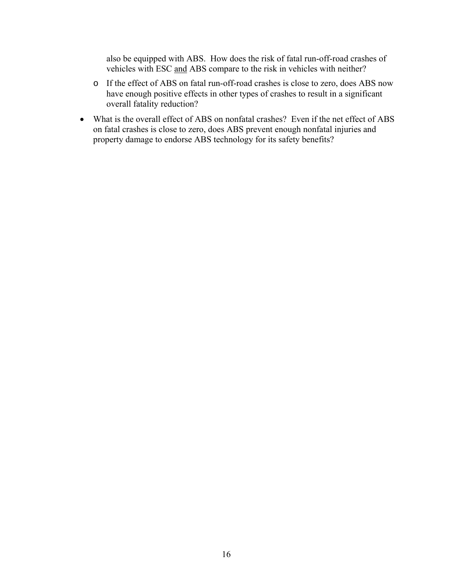also be equipped with ABS. How does the risk of fatal run-off-road crashes of vehicles with ESC and ABS compare to the risk in vehicles with neither?

- o If the effect of ABS on fatal run-off-road crashes is close to zero, does ABS now have enough positive effects in other types of crashes to result in a significant overall fatality reduction?
- property damage to endorse ABS technology for its safety benefits? What is the overall effect of ABS on nonfatal crashes? Even if the net effect of ABS on fatal crashes is close to zero, does ABS prevent enough nonfatal injuries and property damage to endorse ABS technology for its safety benefits?<br>
<sup>16</sup>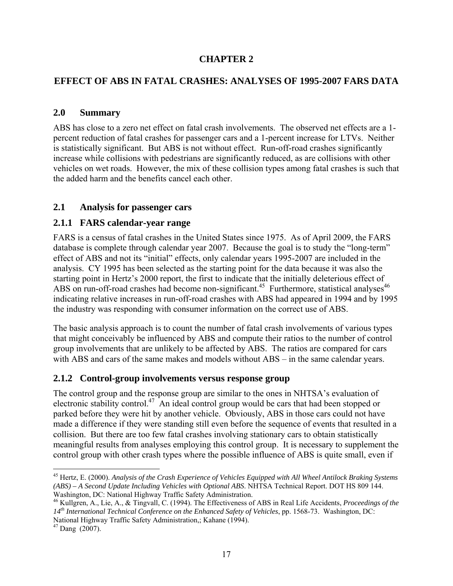# **CHAPTER 2**

# <span id="page-28-0"></span>**EFFECT OF ABS IN FATAL CRASHES: ANALYSES OF 1995-2007 FARS DATA**

## **2.0 Summary**

ABS has close to a zero net effect on fatal crash involvements. The observed net effects are a 1 percent reduction of fatal crashes for passenger cars and a 1-percent increase for LTVs. Neither is statistically significant. But ABS is not without effect. Run-off-road crashes significantly increase while collisions with pedestrians are significantly reduced, as are collisions with other vehicles on wet roads. However, the mix of these collision types among fatal crashes is such that the added harm and the benefits cancel each other.

# **2.1 Analysis for passenger cars**

# **2.1.1 FARS calendar-year range**

FARS is a census of fatal crashes in the United States since 1975. As of April 2009, the FARS database is complete through calendar year 2007. Because the goal is to study the "long-term" effect of ABS and not its "initial" effects, only calendar years 1995-2007 are included in the analysis. CY 1995 has been selected as the starting point for the data because it was also the starting point in Hertz's 2000 report, the first to indicate that the initially deleterious effect of ABS on run-off-road crashes had become non-significant.<sup>45</sup> Furthermore, statistical analyses<sup>46</sup> indicating relative increases in run-off-road crashes with ABS had appeared in 1994 and by 1995 the industry was responding with consumer information on the correct use of ABS.

The basic analysis approach is to count the number of fatal crash involvements of various types that might conceivably be influenced by ABS and compute their ratios to the number of control group involvements that are unlikely to be affected by ABS. The ratios are compared for cars with ABS and cars of the same makes and models without ABS – in the same calendar years.

## **2.1.2 Control-group involvements versus response group**

The control group and the response group are similar to the ones in NHTSA's evaluation of electronic stability control.<sup>47</sup> An ideal control group would be cars that had been stopped or parked before they were hit by another vehicle. Obviously, ABS in those cars could not have made a difference if they were standing still even before the sequence of events that resulted in a collision. But there are too few fatal crashes involving stationary cars to obtain statistically meaningful results from analyses employing this control group. It is necessary to supplement the control group with other crash types where the possible influence of ABS is quite small, even if

<u>.</u>

<sup>45</sup> Hertz, E. (2000). *Analysis of the Crash Experience of Vehicles Equipped with All Wheel Antilock Braking Systems (ABS) – A Second Update Including Vehicles with Optional ABS*. NHTSA Technical Report. DOT HS 809 144. Washington, DC: National Highway Traffic Safety Administration.

 46 Kullgren, A., Lie, A., & Tingvall, C. (1994). The Effectiveness of ABS in Real Life Accidents, *Proceedings of the 14th International Technical Conference on the Enhanced Safety of Vehicles*, pp. 1568-73. Washington, DC: National Highway Traffic Safety Administration,; Kahane (1994).

 $47$  Dang (2007).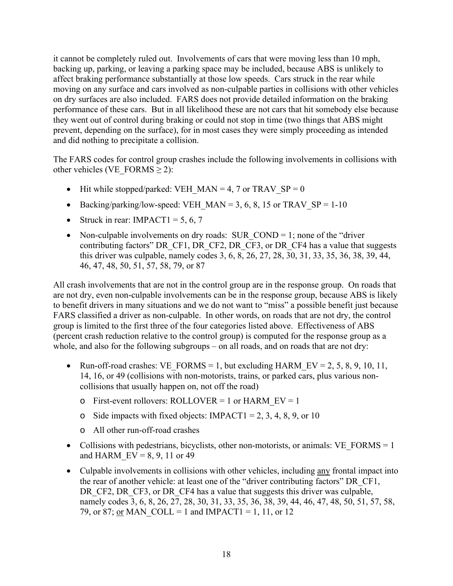it cannot be completely ruled out. Involvements of cars that were moving less than 10 mph, backing up, parking, or leaving a parking space may be included, because ABS is unlikely to affect braking performance substantially at those low speeds. Cars struck in the rear while moving on any surface and cars involved as non-culpable parties in collisions with other vehicles on dry surfaces are also included. FARS does not provide detailed information on the braking performance of these cars. But in all likelihood these are not cars that hit somebody else because they went out of control during braking or could not stop in time (two things that ABS might prevent, depending on the surface), for in most cases they were simply proceeding as intended and did nothing to precipitate a collision.

The FARS codes for control group crashes include the following involvements in collisions with other vehicles (VE\_FORMS  $\geq$  2):

- $\bullet$  Hit while stopped/parked: VEH\_MAN = 4, 7 or TRAV\_SP = 0
- Backing/parking/low-speed: VEH\_MAN = 3, 6, 8, 15 or TRAV\_SP = 1-10
- Struck in rear: IMPACT1 = 5, 6, 7
- Non-culpable involvements on dry roads: SUR  $\text{COMP} = 1$ ; none of the "driver" contributing factors" DR\_CF1, DR\_CF2, DR\_CF3, or DR\_CF4 has a value that suggests this driver was culpable, namely codes 3, 6, 8, 26, 27, 28, 30, 31, 33, 35, 36, 38, 39, 44, 46, 47, 48, 50, 51, 57, 58, 79, or 87

All crash involvements that are not in the control group are in the response group. On roads that are not dry, even non-culpable involvements can be in the response group, because ABS is likely to benefit drivers in many situations and we do not want to "miss" a possible benefit just because FARS classified a driver as non-culpable. In other words, on roads that are not dry, the control group is limited to the first three of the four categories listed above. Effectiveness of ABS (percent crash reduction relative to the control group) is computed for the response group as a whole, and also for the following subgroups – on all roads, and on roads that are not dry:

- Run-off-road crashes: VE\_FORMS = 1, but excluding HARM\_EV = 2, 5, 8, 9, 10, 11, 14, 16, or 49 (collisions with non-motorists, trains, or parked cars, plus various noncollisions that usually happen on, not off the road)
	- $\circ$  First-event rollovers: ROLLOVER = 1 or HARM EV = 1
	- o Side impacts with fixed objects: IMPACT1 = 2, 3, 4, 8, 9, or 10
	- o All other run-off-road crashes
- Collisions with pedestrians, bicyclists, other non-motorists, or animals:  $VE\_FORMS = 1$ and HARM  $EV = 8, 9, 11$  or 49
- Culpable involvements in collisions with other vehicles, including <u>any</u> frontal impact into the rear of another vehicle: at least one of the "driver contributing factors" DR\_CF1, DR\_CF2, DR\_CF3, or DR\_CF4 has a value that suggests this driver was culpable, namely codes 3, 6, 8, 26, 27, 28, 30, 31, 33, 35, 36, 38, 39, 44, 46, 47, 48, 50, 51, 57, 58, 79, or 87; <u>or</u> MAN COLL = 1 and IMPACT1 = 1, 11, or 12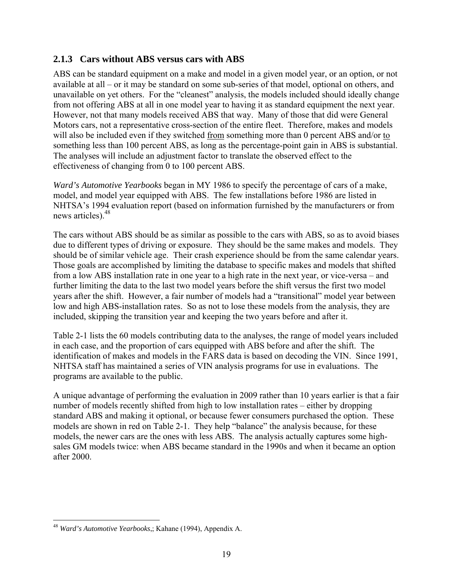# <span id="page-30-0"></span>**2.1.3 Cars without ABS versus cars with ABS**

ABS can be standard equipment on a make and model in a given model year, or an option, or not available at all – or it may be standard on some sub-series of that model, optional on others, and unavailable on yet others. For the "cleanest" analysis, the models included should ideally change from not offering ABS at all in one model year to having it as standard equipment the next year. However, not that many models received ABS that way. Many of those that did were General Motors cars, not a representative cross-section of the entire fleet. Therefore, makes and models will also be included even if they switched from something more than 0 percent ABS and/or to something less than 100 percent ABS, as long as the percentage-point gain in ABS is substantial. The analyses will include an adjustment factor to translate the observed effect to the effectiveness of changing from 0 to 100 percent ABS.

news articles). $48$ *Ward's Automotive Yearbooks* began in MY 1986 to specify the percentage of cars of a make, model, and model year equipped with ABS. The few installations before 1986 are listed in NHTSA's 1994 evaluation report (based on information furnished by the manufacturers or from

The cars without ABS should be as similar as possible to the cars with ABS, so as to avoid biases due to different types of driving or exposure. They should be the same makes and models. They should be of similar vehicle age. Their crash experience should be from the same calendar years. Those goals are accomplished by limiting the database to specific makes and models that shifted from a low ABS installation rate in one year to a high rate in the next year, or vice-versa – and further limiting the data to the last two model years before the shift versus the first two model years after the shift. However, a fair number of models had a "transitional" model year between low and high ABS-installation rates. So as not to lose these models from the analysis, they are included, skipping the transition year and keeping the two years before and after it.

Table 2-1 lists the 60 models contributing data to the analyses, the range of model years included in each case, and the proportion of cars equipped with ABS before and after the shift. The identification of makes and models in the FARS data is based on decoding the VIN. Since 1991, NHTSA staff has maintained a series of VIN analysis programs for use in evaluations. The programs are available to the public.

A unique advantage of performing the evaluation in 2009 rather than 10 years earlier is that a fair number of models recently shifted from high to low installation rates – either by dropping standard ABS and making it optional, or because fewer consumers purchased the option. These models are shown in red on Table 2-1. They help "balance" the analysis because, for these models, the newer cars are the ones with less ABS. The analysis actually captures some highsales GM models twice: when ABS became standard in the 1990s and when it became an option after 2000.

 $\overline{a}$ 

<sup>48</sup>*Ward's Automotive Yearbooks*,; Kahane (1994), Appendix A.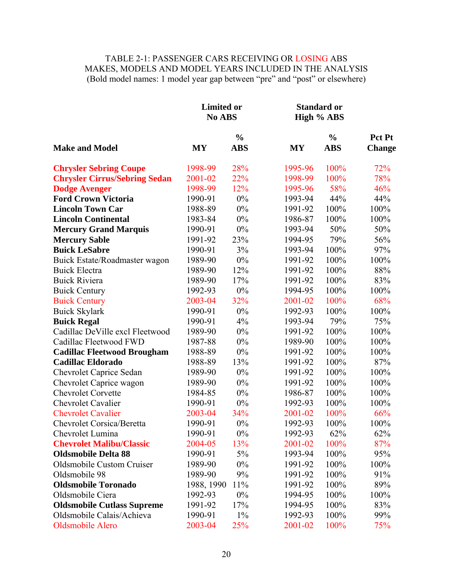# TABLE 2-1: PASSENGER CARS RECEIVING OR LOSING ABS MAKES, MODELS AND MODEL YEARS INCLUDED IN THE ANALYSIS (Bold model names: 1 model year gap between "pre" and "post" or elsewhere)

|                                      | <b>Limited or</b><br>No ABS |               |           | <b>Standard or</b><br>High % ABS |               |
|--------------------------------------|-----------------------------|---------------|-----------|----------------------------------|---------------|
|                                      |                             | $\frac{0}{0}$ |           | $\frac{0}{0}$                    | Pct Pt        |
| <b>Make and Model</b>                | <b>MY</b>                   | <b>ABS</b>    | <b>MY</b> | <b>ABS</b>                       | <b>Change</b> |
| <b>Chrysler Sebring Coupe</b>        | 1998-99                     | 28%           | 1995-96   | 100%                             | 72%           |
| <b>Chrysler Cirrus/Sebring Sedan</b> | 2001-02                     | 22%           | 1998-99   | 100%                             | 78%           |
| <b>Dodge Avenger</b>                 | 1998-99                     | 12%           | 1995-96   | 58%                              | 46%           |
| <b>Ford Crown Victoria</b>           | 1990-91                     | 0%            | 1993-94   | 44%                              | 44%           |
| <b>Lincoln Town Car</b>              | 1988-89                     | $0\%$         | 1991-92   | 100%                             | 100%          |
| <b>Lincoln Continental</b>           | 1983-84                     | $0\%$         | 1986-87   | 100%                             | 100%          |
| <b>Mercury Grand Marquis</b>         | 1990-91                     | $0\%$         | 1993-94   | 50%                              | 50%           |
| <b>Mercury Sable</b>                 | 1991-92                     | 23%           | 1994-95   | 79%                              | 56%           |
| <b>Buick LeSabre</b>                 | 1990-91                     | 3%            | 1993-94   | 100%                             | 97%           |
| Buick Estate/Roadmaster wagon        | 1989-90                     | $0\%$         | 1991-92   | 100%                             | 100%          |
| <b>Buick Electra</b>                 | 1989-90                     | 12%           | 1991-92   | 100%                             | 88%           |
| <b>Buick Riviera</b>                 | 1989-90                     | 17%           | 1991-92   | 100%                             | 83%           |
| <b>Buick Century</b>                 | 1992-93                     | $0\%$         | 1994-95   | 100%                             | 100%          |
| <b>Buick Century</b>                 | 2003-04                     | 32%           | 2001-02   | 100%                             | 68%           |
| <b>Buick Skylark</b>                 | 1990-91                     | 0%            | 1992-93   | 100%                             | 100%          |
| <b>Buick Regal</b>                   | 1990-91                     | 4%            | 1993-94   | 79%                              | 75%           |
| Cadillac DeVille excl Fleetwood      | 1989-90                     | $0\%$         | 1991-92   | 100%                             | 100%          |
| Cadillac Fleetwood FWD               | 1987-88                     | 0%            | 1989-90   | 100%                             | 100%          |
| <b>Cadillac Fleetwood Brougham</b>   | 1988-89                     | $0\%$         | 1991-92   | 100%                             | 100%          |
| <b>Cadillac Eldorado</b>             | 1988-89                     | 13%           | 1991-92   | 100%                             | 87%           |
| <b>Chevrolet Caprice Sedan</b>       | 1989-90                     | 0%            | 1991-92   | 100%                             | 100%          |
| Chevrolet Caprice wagon              | 1989-90                     | 0%            | 1991-92   | 100%                             | 100%          |
| <b>Chevrolet Corvette</b>            | 1984-85                     | 0%            | 1986-87   | 100%                             | 100%          |
| <b>Chevrolet Cavalier</b>            | 1990-91                     | $0\%$         | 1992-93   | 100%                             | 100%          |
| <b>Chevrolet Cavalier</b>            | 2003-04                     | 34%           | 2001-02   | 100%                             | 66%           |
| <b>Chevrolet Corsica/Beretta</b>     | 1990-91                     | 0%            | 1992-93   | 100%                             | 100%          |
| Chevrolet Lumina                     | 1990-91                     | $0\%$         | 1992-93   | 62%                              | 62%           |
| <b>Chevrolet Malibu/Classic</b>      | 2004-05                     | 13%           | 2001-02   | 100%                             | 87%           |
| <b>Oldsmobile Delta 88</b>           | 1990-91                     | 5%            | 1993-94   | 100%                             | 95%           |
| Oldsmobile Custom Cruiser            | 1989-90                     | $0\%$         | 1991-92   | 100%                             | 100%          |
| Oldsmobile 98                        | 1989-90                     | 9%            | 1991-92   | 100%                             | 91%           |
| <b>Oldsmobile Toronado</b>           | 1988, 1990                  | 11%           | 1991-92   | 100%                             | 89%           |
| Oldsmobile Ciera                     | 1992-93                     | $0\%$         | 1994-95   | 100%                             | 100%          |
| <b>Oldsmobile Cutlass Supreme</b>    | 1991-92                     | 17%           | 1994-95   | 100%                             | 83%           |
| Oldsmobile Calais/Achieva            | 1990-91                     | $1\%$         | 1992-93   | 100%                             | 99%           |
| Oldsmobile Alero                     | 2003-04                     | 25%           | 2001-02   | 100%                             | 75%           |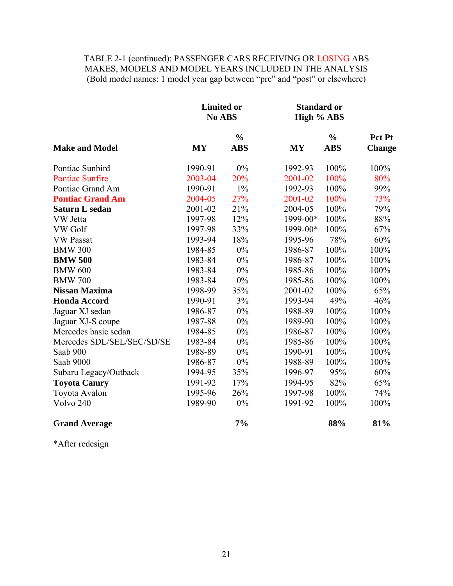# TABLE 2-1 (continued): PASSENGER CARS RECEIVING OR LOSING ABS MAKES, MODELS AND MODEL YEARS INCLUDED IN THE ANALYSIS (Bold model names: 1 model year gap between "pre" and "post" or elsewhere)

|                            | <b>Limited or</b><br>No ABS |               | <b>Standard or</b><br>High % ABS |               |               |
|----------------------------|-----------------------------|---------------|----------------------------------|---------------|---------------|
|                            |                             | $\frac{0}{0}$ |                                  | $\frac{0}{0}$ | Pct Pt        |
| <b>Make and Model</b>      | <b>MY</b>                   | <b>ABS</b>    | <b>MY</b>                        | <b>ABS</b>    | <b>Change</b> |
| Pontiac Sunbird            | 1990-91                     | 0%            | 1992-93                          | 100%          | 100%          |
| <b>Pontiac Sunfire</b>     | 2003-04                     | 20%           | 2001-02                          | 100%          | 80%           |
| Pontiac Grand Am           | 1990-91                     | $1\%$         | 1992-93                          | 100%          | 99%           |
| <b>Pontiac Grand Am</b>    | 2004-05                     | 27%           | 2001-02                          | 100%          | 73%           |
| Saturn L sedan             | 2001-02                     | 21%           | 2004-05                          | 100%          | 79%           |
| VW Jetta                   | 1997-98                     | 12%           | 1999-00*                         | 100%          | 88%           |
| <b>VW</b> Golf             | 1997-98                     | 33%           | 1999-00*                         | 100%          | 67%           |
| <b>VW Passat</b>           | 1993-94                     | 18%           | 1995-96                          | 78%           | 60%           |
| <b>BMW 300</b>             | 1984-85                     | $0\%$         | 1986-87                          | 100%          | 100%          |
| <b>BMW 500</b>             | 1983-84                     | $0\%$         | 1986-87                          | 100%          | 100%          |
| <b>BMW 600</b>             | 1983-84                     | $0\%$         | 1985-86                          | 100%          | 100%          |
| <b>BMW 700</b>             | 1983-84                     | $0\%$         | 1985-86                          | 100%          | 100%          |
| <b>Nissan Maxima</b>       | 1998-99                     | 35%           | 2001-02                          | 100%          | 65%           |
| <b>Honda Accord</b>        | 1990-91                     | 3%            | 1993-94                          | 49%           | 46%           |
| Jaguar XJ sedan            | 1986-87                     | 0%            | 1988-89                          | 100%          | 100%          |
| Jaguar XJ-S coupe          | 1987-88                     | $0\%$         | 1989-90                          | 100%          | 100%          |
| Mercedes basic sedan       | 1984-85                     | 0%            | 1986-87                          | 100%          | 100%          |
| Mercedes SDL/SEL/SEC/SD/SE | 1983-84                     | 0%            | 1985-86                          | 100%          | 100%          |
| Saab 900                   | 1988-89                     | 0%            | 1990-91                          | 100%          | 100%          |
| Saab 9000                  | 1986-87                     | $0\%$         | 1988-89                          | 100%          | 100%          |
| Subaru Legacy/Outback      | 1994-95                     | 35%           | 1996-97                          | 95%           | 60%           |
| <b>Toyota Camry</b>        | 1991-92                     | 17%           | 1994-95                          | 82%           | 65%           |
| Toyota Avalon              | 1995-96                     | 26%           | 1997-98                          | 100%          | 74%           |
| Volvo 240                  | 1989-90                     | $0\%$         | 1991-92                          | 100%          | 100%          |
| <b>Grand Average</b>       |                             | 7%            |                                  | 88%           | 81%           |

\*After redesign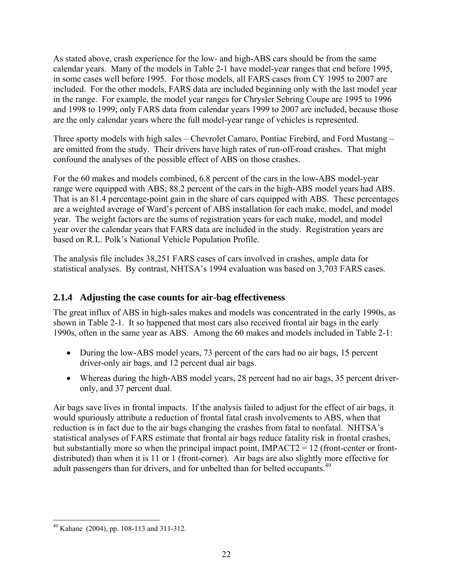<span id="page-33-0"></span>As stated above, crash experience for the low- and high-ABS cars should be from the same calendar years. Many of the models in Table 2-1 have model-year ranges that end before 1995, in some cases well before 1995. For those models, all FARS cases from CY 1995 to 2007 are included. For the other models, FARS data are included beginning only with the last model year in the range. For example, the model year ranges for Chrysler Sebring Coupe are 1995 to 1996 and 1998 to 1999; only FARS data from calendar years 1999 to 2007 are included, because those are the only calendar years where the full model-year range of vehicles is represented.

Three sporty models with high sales – Chevrolet Camaro, Pontiac Firebird, and Ford Mustang – are omitted from the study. Their drivers have high rates of run-off-road crashes. That might confound the analyses of the possible effect of ABS on those crashes.

For the 60 makes and models combined, 6.8 percent of the cars in the low-ABS model-year range were equipped with ABS; 88.2 percent of the cars in the high-ABS model years had ABS. That is an 81.4 percentage-point gain in the share of cars equipped with ABS. These percentages are a weighted average of Ward's percent of ABS installation for each make, model, and model year. The weight factors are the sums of registration years for each make, model, and model year over the calendar years that FARS data are included in the study. Registration years are based on R.L. Polk's National Vehicle Population Profile.

The analysis file includes 38,251 FARS cases of cars involved in crashes, ample data for statistical analyses. By contrast, NHTSA's 1994 evaluation was based on 3,703 FARS cases.

# **2.1.4 Adjusting the case counts for air-bag effectiveness**

The great influx of ABS in high-sales makes and models was concentrated in the early 1990s, as shown in Table 2-1. It so happened that most cars also received frontal air bags in the early 1990s, often in the same year as ABS. Among the 60 makes and models included in Table 2-1:

- During the low-ABS model years, 73 percent of the cars had no air bags, 15 percent driver-only air bags, and 12 percent dual air bags.
- Whereas during the high-ABS model years, 28 percent had no air bags, 35 percent driveronly, and 37 percent dual.

Air bags save lives in frontal impacts. If the analysis failed to adjust for the effect of air bags, it would spuriously attribute a reduction of frontal fatal crash involvements to ABS, when that reduction is in fact due to the air bags changing the crashes from fatal to nonfatal. NHTSA's statistical analyses of FARS estimate that frontal air bags reduce fatality risk in frontal crashes, but substantially more so when the principal impact point, IMPACT2 = 12 (front-center or frontdistributed) than when it is 11 or 1 (front-corner). Air bags are also slightly more effective for adult passengers than for drivers, and for unbelted than for belted occupants.<sup>49</sup>

 $\overline{a}$  $49$  Kahane (2004), pp. 108-113 and 311-312.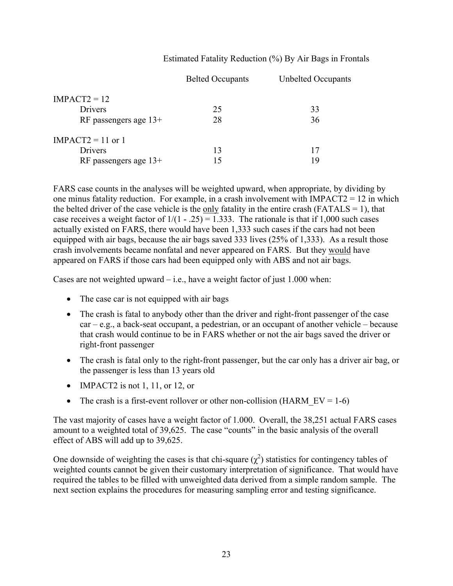### Estimated Fatality Reduction (%) By Air Bags in Frontals

|                         | <b>Belted Occupants</b> | <b>Unbelted Occupants</b> |
|-------------------------|-------------------------|---------------------------|
| $IMPACT2 = 12$          |                         |                           |
| Drivers                 | 25                      | 33                        |
| RF passengers age $13+$ | 28                      | 36                        |
| IMPACT2 = 11 or 1       |                         |                           |
| Drivers                 | 13                      | 17                        |
| RF passengers age $13+$ | 15                      | 19                        |

FARS case counts in the analyses will be weighted upward, when appropriate, by dividing by one minus fatality reduction. For example, in a crash involvement with IMPACT2 = 12 in which the belted driver of the case vehicle is the only fatality in the entire crash ( $FATALS = 1$ ), that case receives a weight factor of  $1/(1 - .25) = 1.333$ . The rationale is that if 1,000 such cases actually existed on FARS, there would have been 1,333 such cases if the cars had not been equipped with air bags, because the air bags saved 333 lives (25% of 1,333). As a result those crash involvements became nonfatal and never appeared on FARS. But they would have appeared on FARS if those cars had been equipped only with ABS and not air bags.

Cases are not weighted upward  $-$  i.e., have a weight factor of just 1.000 when:

- The case car is not equipped with air bags
- The crash is fatal to anybody other than the driver and right-front passenger of the case  $car - e.g., a back-seat occupant, a pedestrian, or an occupant of another vehicle - because$ that crash would continue to be in FARS whether or not the air bags saved the driver or right-front passenger
- The crash is fatal only to the right-front passenger, but the car only has a driver air bag, or the passenger is less than 13 years old
- $\bullet$  IMPACT2 is not 1, 11, or 12, or
- The crash is a first-event rollover or other non-collision (HARM  $EV = 1-6$ )

The vast majority of cases have a weight factor of 1.000. Overall, the 38,251 actual FARS cases amount to a weighted total of 39,625. The case "counts" in the basic analysis of the overall effect of ABS will add up to 39,625.

One downside of weighting the cases is that chi-square  $(\chi^2)$  statistics for contingency tables of weighted counts cannot be given their customary interpretation of significance. That would have required the tables to be filled with unweighted data derived from a simple random sample. The next section explains the procedures for measuring sampling error and testing significance.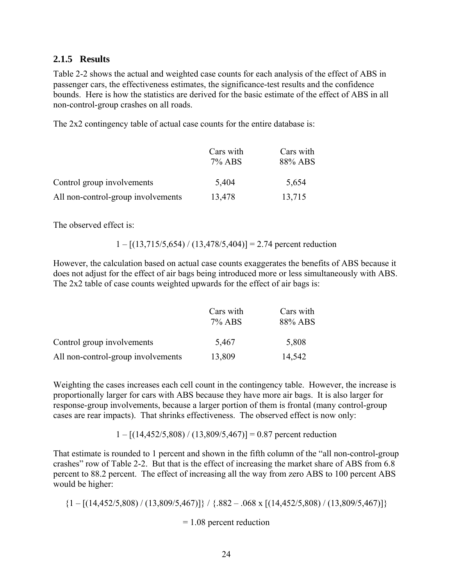## **2.1.5 Results**

Table 2-2 shows the actual and weighted case counts for each analysis of the effect of ABS in passenger cars, the effectiveness estimates, the significance-test results and the confidence bounds. Here is how the statistics are derived for the basic estimate of the effect of ABS in all non-control-group crashes on all roads.

The 2x2 contingency table of actual case counts for the entire database is:

|                                    | Cars with<br>7% ABS | Cars with<br>88% ABS |
|------------------------------------|---------------------|----------------------|
| Control group involvements         | 5,404               | 5,654                |
| All non-control-group involvements | 13,478              | 13,715               |

The observed effect is:

$$
1 - [(13,715/5,654) / (13,478/5,404)] = 2.74
$$
 percent reduction

However, the calculation based on actual case counts exaggerates the benefits of ABS because it does not adjust for the effect of air bags being introduced more or less simultaneously with ABS. The 2x2 table of case counts weighted upwards for the effect of air bags is:

|                                    | Cars with | Cars with |  |
|------------------------------------|-----------|-----------|--|
|                                    | 7% ABS    | 88% ABS   |  |
| Control group involvements         | 5,467     | 5,808     |  |
| All non-control-group involvements | 13,809    | 14,542    |  |

Weighting the cases increases each cell count in the contingency table. However, the increase is proportionally larger for cars with ABS because they have more air bags. It is also larger for response-group involvements, because a larger portion of them is frontal (many control-group cases are rear impacts). That shrinks effectiveness. The observed effect is now only:

 $1 - [(14,452/5,808) / (13,809/5,467)] = 0.87$  percent reduction

That estimate is rounded to 1 percent and shown in the fifth column of the "all non-control-group crashes" row of Table 2-2. But that is the effect of increasing the market share of ABS from 6.8 percent to 88.2 percent. The effect of increasing all the way from zero ABS to 100 percent ABS would be higher:

 $\{1 - \left[\frac{(14,452/5,808)}{(13,809/5,467)}\right] \}/ \{.882 - .068 \times \left[\frac{(14,452/5,808)}{(13,809/5,467)}\right] \}$ 

= 1.08 percent reduction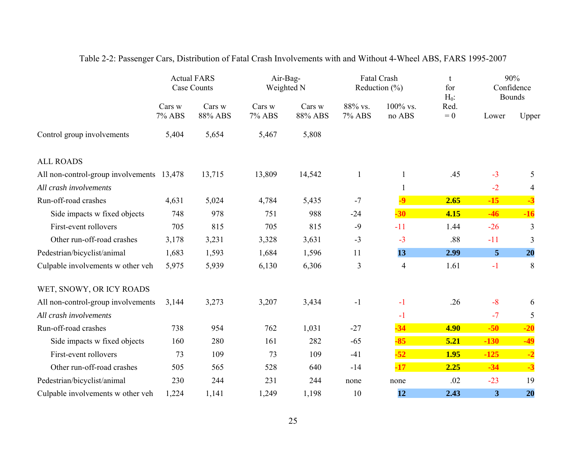|                                           |                  | <b>Actual FARS</b><br>Case Counts | Air-Bag-<br>Weighted N |                   |                   | Fatal Crash<br>Reduction $(\% )$ | t<br>for<br>$H_0$ : |                | 90%<br>Confidence<br><b>Bounds</b> |
|-------------------------------------------|------------------|-----------------------------------|------------------------|-------------------|-------------------|----------------------------------|---------------------|----------------|------------------------------------|
|                                           | Cars w<br>7% ABS | Cars w<br>88% ABS                 | Cars w<br>7% ABS       | Cars w<br>88% ABS | 88% vs.<br>7% ABS | 100% vs.<br>no ABS               | Red.<br>$= 0$       | Lower          | Upper                              |
| Control group involvements                | 5,404            | 5,654                             | 5,467                  | 5,808             |                   |                                  |                     |                |                                    |
| <b>ALL ROADS</b>                          |                  |                                   |                        |                   |                   |                                  |                     |                |                                    |
| All non-control-group involvements 13,478 |                  | 13,715                            | 13,809                 | 14,542            | $\mathbf{1}$      | 1                                | .45                 | $-3$           | 5                                  |
| All crash involvements                    |                  |                                   |                        |                   |                   | $\mathbf{1}$                     |                     | $-2$           | $\overline{4}$                     |
| Run-off-road crashes                      | 4,631            | 5,024                             | 4,784                  | 5,435             | $-7$              | $-9$                             | 2.65                | $-15$          | $-3$                               |
| Side impacts w fixed objects              | 748              | 978                               | 751                    | 988               | $-24$             | $-30$                            | 4.15                | $-46$          | $-16$                              |
| First-event rollovers                     | 705              | 815                               | 705                    | 815               | $-9$              | $-11$                            | 1.44                | $-26$          | 3                                  |
| Other run-off-road crashes                | 3,178            | 3,231                             | 3,328                  | 3,631             | $-3$              | $-3$                             | .88                 | $-11$          | 3                                  |
| Pedestrian/bicyclist/animal               | 1,683            | 1,593                             | 1,684                  | 1,596             | 11                | 13                               | 2.99                | 5 <sup>5</sup> | 20                                 |
| Culpable involvements w other veh         | 5,975            | 5,939                             | 6,130                  | 6,306             | 3                 | $\overline{4}$                   | 1.61                | $-1$           | 8                                  |
| WET, SNOWY, OR ICY ROADS                  |                  |                                   |                        |                   |                   |                                  |                     |                |                                    |
| All non-control-group involvements        | 3,144            | 3,273                             | 3,207                  | 3,434             | $-1$              | $-1$                             | .26                 | $-8$           | 6                                  |
| All crash involvements                    |                  |                                   |                        |                   |                   | $-1$                             |                     | $-7$           | 5                                  |
| Run-off-road crashes                      | 738              | 954                               | 762                    | 1,031             | $-27$             | $-34$                            | 4.90                | $-50$          | $-20$                              |
| Side impacts w fixed objects              | 160              | 280                               | 161                    | 282               | $-65$             | $-85$                            | 5.21                | $-130$         | $-49$                              |
| First-event rollovers                     | 73               | 109                               | 73                     | 109               | $-41$             | $-52$                            | 1.95                | $-125$         | $-2$                               |
| Other run-off-road crashes                | 505              | 565                               | 528                    | 640               | $-14$             | $-17$                            | 2.25                | $-34$          | $-3$                               |
| Pedestrian/bicyclist/animal               | 230              | 244                               | 231                    | 244               | none              | none                             | .02                 | $-23$          | 19                                 |
| Culpable involvements w other veh         | 1,224            | 1,141                             | 1,249                  | 1,198             | 10                | 12                               | 2.43                | 3              | 20                                 |

# Table 2-2: Passenger Cars, Distribution of Fatal Crash Involvements with and Without 4-Wheel ABS, FARS 1995-2007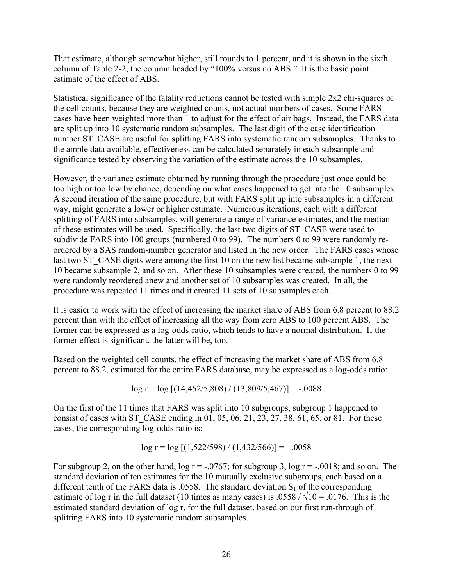That estimate, although somewhat higher, still rounds to 1 percent, and it is shown in the sixth column of Table 2-2, the column headed by "100% versus no ABS." It is the basic point estimate of the effect of ABS.

Statistical significance of the fatality reductions cannot be tested with simple 2x2 chi-squares of the cell counts, because they are weighted counts, not actual numbers of cases. Some FARS cases have been weighted more than 1 to adjust for the effect of air bags. Instead, the FARS data are split up into 10 systematic random subsamples. The last digit of the case identification number ST\_CASE are useful for splitting FARS into systematic random subsamples. Thanks to the ample data available, effectiveness can be calculated separately in each subsample and significance tested by observing the variation of the estimate across the 10 subsamples.

However, the variance estimate obtained by running through the procedure just once could be too high or too low by chance, depending on what cases happened to get into the 10 subsamples. A second iteration of the same procedure, but with FARS split up into subsamples in a different way, might generate a lower or higher estimate. Numerous iterations, each with a different splitting of FARS into subsamples, will generate a range of variance estimates, and the median of these estimates will be used. Specifically, the last two digits of ST\_CASE were used to subdivide FARS into 100 groups (numbered 0 to 99). The numbers 0 to 99 were randomly reordered by a SAS random-number generator and listed in the new order. The FARS cases whose last two ST\_CASE digits were among the first 10 on the new list became subsample 1, the next 10 became subsample 2, and so on. After these 10 subsamples were created, the numbers 0 to 99 were randomly reordered anew and another set of 10 subsamples was created. In all, the procedure was repeated 11 times and it created 11 sets of 10 subsamples each.

It is easier to work with the effect of increasing the market share of ABS from 6.8 percent to 88.2 percent than with the effect of increasing all the way from zero ABS to 100 percent ABS. The former can be expressed as a log-odds-ratio, which tends to have a normal distribution. If the former effect is significant, the latter will be, too.

Based on the weighted cell counts, the effect of increasing the market share of ABS from 6.8 percent to 88.2, estimated for the entire FARS database, may be expressed as a log-odds ratio:

$$
\log r = \log [(14,452/5,808) / (13,809/5,467)] = -.0088
$$

On the first of the 11 times that FARS was split into 10 subgroups, subgroup 1 happened to consist of cases with ST\_CASE ending in  $01, 05, 06, 21, 23, 27, 38, 61, 65,$  or 81. For these cases, the corresponding log-odds ratio is:

$$
\log r = \log [(1,522/598) / (1,432/566)] = +0.0058
$$

For subgroup 2, on the other hand,  $\log r = -0.0767$ ; for subgroup 3,  $\log r = -0.0018$ ; and so on. The standard deviation of ten estimates for the 10 mutually exclusive subgroups, each based on a different tenth of the FARS data is .0558. The standard deviation  $S_1$  of the corresponding estimate of log r in the full dataset (10 times as many cases) is .0558 /  $\sqrt{10}$  = .0176. This is the estimated standard deviation of log r, for the full dataset, based on our first run-through of splitting FARS into 10 systematic random subsamples.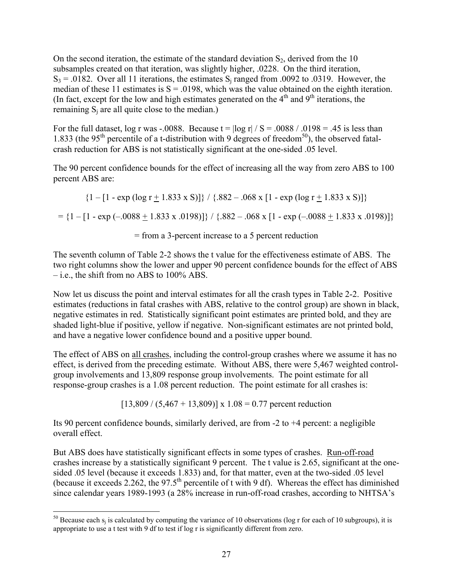On the second iteration, the estimate of the standard deviation  $S_2$ , derived from the 10 subsamples created on that iteration, was slightly higher, .0228. On the third iteration,  $S_3$  = .0182. Over all 11 iterations, the estimates  $S_i$  ranged from .0092 to .0319. However, the median of these 11 estimates is  $S = 0.0198$ , which was the value obtained on the eighth iteration. (In fact, except for the low and high estimates generated on the  $4<sup>th</sup>$  and  $9<sup>th</sup>$  iterations, the remaining  $S_i$  are all quite close to the median.)

For the full dataset, log r was -.0088. Because  $t = \log r / S = .0088 / .0198 = .45$  is less than 1.833 (the 95<sup>th</sup> percentile of a t-distribution with 9 degrees of freedom<sup>50</sup>), the observed fatalcrash reduction for ABS is not statistically significant at the one-sided .05 level.

The 90 percent confidence bounds for the effect of increasing all the way from zero ABS to 100 percent ABS are:

 $\{1 - [1 - \exp(\log r + 1.833 \times S)]\}$  /  $\{.882 - .068 \times [1 - \exp(\log r + 1.833 \times S)]\}$  $=$  {1 – [1 - exp (–.0088 + 1.833 x .0198)]} / {.882 – .068 x [1 - exp (–.0088 + 1.833 x .0198)]}

= from a 3-percent increase to a 5 percent reduction

The seventh column of Table 2-2 shows the t value for the effectiveness estimate of ABS. The two right columns show the lower and upper 90 percent confidence bounds for the effect of ABS – i.e., the shift from no ABS to 100% ABS.

Now let us discuss the point and interval estimates for all the crash types in Table 2-2. Positive estimates (reductions in fatal crashes with ABS, relative to the control group) are shown in black, negative estimates in red. Statistically significant point estimates are printed bold, and they are shaded light-blue if positive, yellow if negative. Non-significant estimates are not printed bold, and have a negative lower confidence bound and a positive upper bound.

The effect of ABS on all crashes, including the control-group crashes where we assume it has no effect, is derived from the preceding estimate. Without ABS, there were 5,467 weighted controlgroup involvements and 13,809 response group involvements. The point estimate for all response-group crashes is a 1.08 percent reduction. The point estimate for all crashes is:

 $[13,809 / (5,467 + 13,809)] \times 1.08 = 0.77$  percent reduction

Its 90 percent confidence bounds, similarly derived, are from -2 to +4 percent: a negligible overall effect.

But ABS does have statistically significant effects in some types of crashes. Run-off-road crashes increase by a statistically significant 9 percent. The t value is 2.65, significant at the onesided .05 level (because it exceeds 1.833) and, for that matter, even at the two-sided .05 level (because it exceeds 2.262, the 97.5<sup>th</sup> percentile of t with 9 df). Whereas the effect has diminished since calendar years 1989-1993 (a 28% increase in run-off-road crashes, according to NHTSA's

 $\overline{a}$  appropriate to use a t test with 9 df to test if log r is significantly different from zero. <sup>50</sup> Because each s<sub>j</sub> is calculated by computing the variance of 10 observations (log r for each of 10 subgroups), it is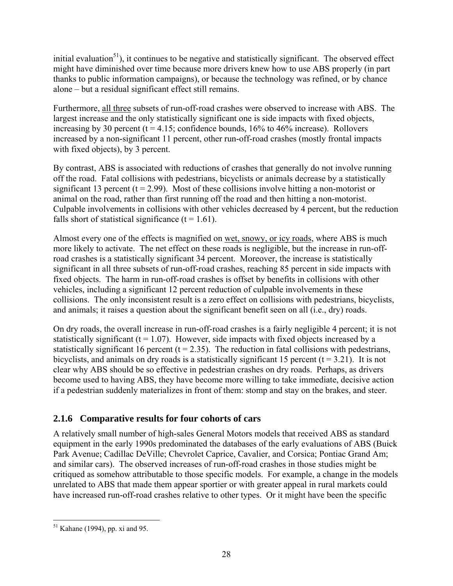initial evaluation $51$ ), it continues to be negative and statistically significant. The observed effect might have diminished over time because more drivers knew how to use ABS properly (in part thanks to public information campaigns), or because the technology was refined, or by chance alone – but a residual significant effect still remains.

Furthermore, all three subsets of run-off-road crashes were observed to increase with ABS. The largest increase and the only statistically significant one is side impacts with fixed objects, increasing by 30 percent ( $t = 4.15$ ; confidence bounds, 16% to 46% increase). Rollovers increased by a non-significant 11 percent, other run-off-road crashes (mostly frontal impacts with fixed objects), by 3 percent.

By contrast, ABS is associated with reductions of crashes that generally do not involve running off the road. Fatal collisions with pedestrians, bicyclists or animals decrease by a statistically significant 13 percent ( $t = 2.99$ ). Most of these collisions involve hitting a non-motorist or animal on the road, rather than first running off the road and then hitting a non-motorist. Culpable involvements in collisions with other vehicles decreased by 4 percent, but the reduction falls short of statistical significance  $(t = 1.61)$ .

Almost every one of the effects is magnified on wet, snowy, or icy roads, where ABS is much more likely to activate. The net effect on these roads is negligible, but the increase in run-offroad crashes is a statistically significant 34 percent. Moreover, the increase is statistically significant in all three subsets of run-off-road crashes, reaching 85 percent in side impacts with fixed objects. The harm in run-off-road crashes is offset by benefits in collisions with other vehicles, including a significant 12 percent reduction of culpable involvements in these collisions. The only inconsistent result is a zero effect on collisions with pedestrians, bicyclists, and animals; it raises a question about the significant benefit seen on all (i.e., dry) roads.

On dry roads, the overall increase in run-off-road crashes is a fairly negligible 4 percent; it is not statistically significant  $(t = 1.07)$ . However, side impacts with fixed objects increased by a statistically significant 16 percent ( $t = 2.35$ ). The reduction in fatal collisions with pedestrians, bicyclists, and animals on dry roads is a statistically significant 15 percent ( $t = 3.21$ ). It is not clear why ABS should be so effective in pedestrian crashes on dry roads. Perhaps, as drivers become used to having ABS, they have become more willing to take immediate, decisive action if a pedestrian suddenly materializes in front of them: stomp and stay on the brakes, and steer.

# **2.1.6 Comparative results for four cohorts of cars**

A relatively small number of high-sales General Motors models that received ABS as standard equipment in the early 1990s predominated the databases of the early evaluations of ABS (Buick Park Avenue; Cadillac DeVille; Chevrolet Caprice, Cavalier, and Corsica; Pontiac Grand Am; and similar cars). The observed increases of run-off-road crashes in those studies might be critiqued as somehow attributable to those specific models. For example, a change in the models unrelated to ABS that made them appear sportier or with greater appeal in rural markets could have increased run-off-road crashes relative to other types. Or it might have been the specific

<sup>&</sup>lt;u>.</u>  $51$  Kahane (1994), pp. xi and 95.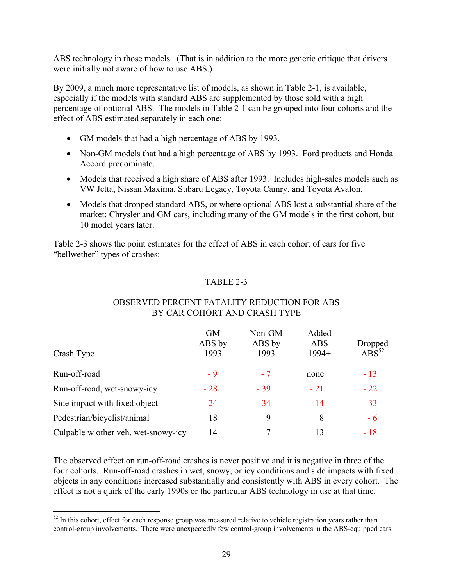ABS technology in those models. (That is in addition to the more generic critique that drivers were initially not aware of how to use ABS.)

By 2009, a much more representative list of models, as shown in Table 2-1, is available, especially if the models with standard ABS are supplemented by those sold with a high percentage of optional ABS. The models in Table 2-1 can be grouped into four cohorts and the effect of ABS estimated separately in each one:

- GM models that had a high percentage of ABS by 1993.
- Non-GM models that had a high percentage of ABS by 1993. Ford products and Honda Accord predominate.
- Models that received a high share of ABS after 1993. Includes high-sales models such as VW Jetta, Nissan Maxima, Subaru Legacy, Toyota Camry, and Toyota Avalon.
- Models that dropped standard ABS, or where optional ABS lost a substantial share of the market: Chrysler and GM cars, including many of the GM models in the first cohort, but 10 model years later.

Table 2-3 shows the point estimates for the effect of ABS in each cohort of cars for five "bellwether" types of crashes:

## TABLE 2-3

| Crash Type                          | <b>GM</b><br>ABS by<br>1993 | Non-GM<br>ABS by<br>1993 | Added<br><b>ABS</b><br>$1994+$ | Dropped<br>$\text{ABS}^{52}$ |
|-------------------------------------|-----------------------------|--------------------------|--------------------------------|------------------------------|
| Run-off-road                        | - 9                         | $-7$                     | none                           | $-13$                        |
| Run-off-road, wet-snowy-icy         | $-28$                       | $-39$                    | $-21$                          | $-22$                        |
| Side impact with fixed object       | $-24$                       | $-34$                    | $-14$                          | $-33$                        |
| Pedestrian/bicyclist/animal         | 18                          | 9                        | 8                              | $-6$                         |
| Culpable w other veh, wet-snowy-icy | 14                          | 7                        | 13                             | $-18$                        |

## OBSERVED PERCENT FATALITY REDUCTION FOR ABS BY CAR COHORT AND CRASH TYPE

The observed effect on run-off-road crashes is never positive and it is negative in three of the four cohorts. Run-off-road crashes in wet, snowy, or icy conditions and side impacts with fixed objects in any conditions increased substantially and consistently with ABS in every cohort. The effect is not a quirk of the early 1990s or the particular ABS technology in use at that time.

 $\overline{a}$ 

 $52$  In this cohort, effect for each response group was measured relative to vehicle registration years rather than control-group involvements. There were unexpectedly few control-group involvements in the ABS-equipped cars.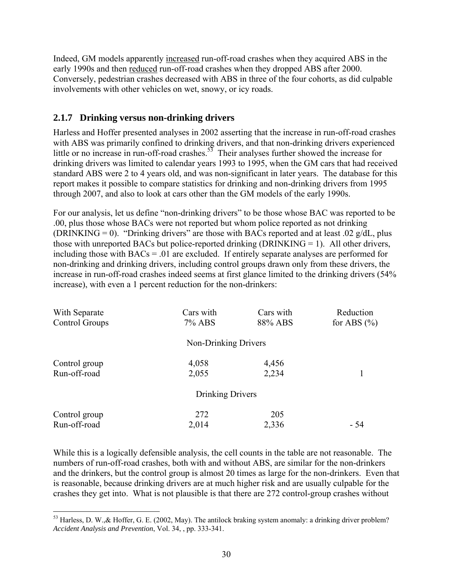Indeed, GM models apparently increased run-off-road crashes when they acquired ABS in the early 1990s and then reduced run-off-road crashes when they dropped ABS after 2000. Conversely, pedestrian crashes decreased with ABS in three of the four cohorts, as did culpable involvements with other vehicles on wet, snowy, or icy roads.

## **2.1.7 Drinking versus non-drinking drivers**

 $\overline{a}$ 

Harless and Hoffer presented analyses in 2002 asserting that the increase in run-off-road crashes with ABS was primarily confined to drinking drivers, and that non-drinking drivers experienced little or no increase in run-off-road crashes.<sup>53</sup> Their analyses further showed the increase for drinking drivers was limited to calendar years 1993 to 1995, when the GM cars that had received standard ABS were 2 to 4 years old, and was non-significant in later years. The database for this report makes it possible to compare statistics for drinking and non-drinking drivers from 1995 through 2007, and also to look at cars other than the GM models of the early 1990s.

For our analysis, let us define "non-drinking drivers" to be those whose BAC was reported to be .00, plus those whose BACs were not reported but whom police reported as not drinking (DRINKING = 0). "Drinking drivers" are those with BACs reported and at least .02  $g/dL$ , plus those with unreported BACs but police-reported drinking  $(DRINKING = 1)$ . All other drivers, including those with  $BACs = .01$  are excluded. If entirely separate analyses are performed for non-drinking and drinking drivers, including control groups drawn only from these drivers, the increase in run-off-road crashes indeed seems at first glance limited to the drinking drivers (54% increase), with even a 1 percent reduction for the non-drinkers:

| With Separate<br>Control Groups | Cars with<br>7% ABS  | Cars with<br>88% ABS | Reduction<br>for ABS $(\% )$ |
|---------------------------------|----------------------|----------------------|------------------------------|
|                                 | Non-Drinking Drivers |                      |                              |
| Control group<br>Run-off-road   | 4,058<br>2,055       | 4,456<br>2,234       |                              |
|                                 | Drinking Drivers     |                      |                              |
|                                 |                      |                      |                              |
| Control group                   | 272                  | 205                  |                              |
| Run-off-road                    | 2,014                | 2,336                | - 54                         |

While this is a logically defensible analysis, the cell counts in the table are not reasonable. The numbers of run-off-road crashes, both with and without ABS, are similar for the non-drinkers and the drinkers, but the control group is almost 20 times as large for the non-drinkers. Even that is reasonable, because drinking drivers are at much higher risk and are usually culpable for the crashes they get into. What is not plausible is that there are 272 control-group crashes without

 $53$  Harless, D. W., & Hoffer, G. E. (2002, May). The antilock braking system anomaly: a drinking driver problem? *Accident Analysis and Prevention*, Vol. 34, , pp. 333-341.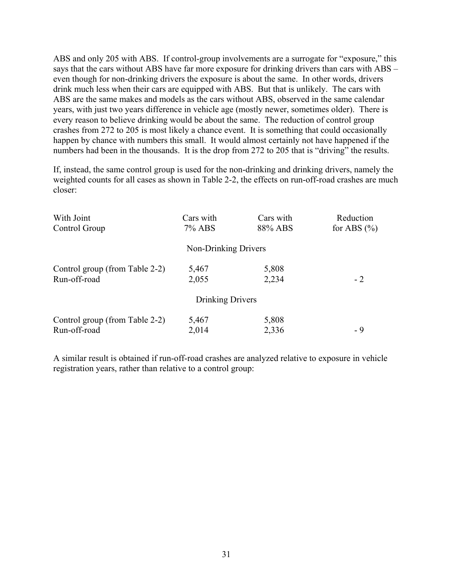ABS and only 205 with ABS. If control-group involvements are a surrogate for "exposure," this says that the cars without ABS have far more exposure for drinking drivers than cars with ABS – even though for non-drinking drivers the exposure is about the same. In other words, drivers drink much less when their cars are equipped with ABS. But that is unlikely. The cars with ABS are the same makes and models as the cars without ABS, observed in the same calendar years, with just two years difference in vehicle age (mostly newer, sometimes older). There is every reason to believe drinking would be about the same. The reduction of control group crashes from 272 to 205 is most likely a chance event. It is something that could occasionally happen by chance with numbers this small. It would almost certainly not have happened if the numbers had been in the thousands. It is the drop from 272 to 205 that is "driving" the results.

If, instead, the same control group is used for the non-drinking and drinking drivers, namely the weighted counts for all cases as shown in Table 2-2, the effects on run-off-road crashes are much closer:

| With Joint<br>Control Group                    | Cars with<br>7% ABS  | Cars with<br>88% ABS | Reduction<br>for ABS $(\% )$ |
|------------------------------------------------|----------------------|----------------------|------------------------------|
|                                                | Non-Drinking Drivers |                      |                              |
| Control group (from Table 2-2)<br>Run-off-road | 5,467<br>2,055       | 5,808<br>2,234       | $-2$                         |
|                                                | Drinking Drivers     |                      |                              |
| Control group (from Table 2-2)                 | 5,467                | 5,808                |                              |
| Run-off-road                                   | 2,014                | 2,336                | - 9                          |

A similar result is obtained if run-off-road crashes are analyzed relative to exposure in vehicle registration years, rather than relative to a control group: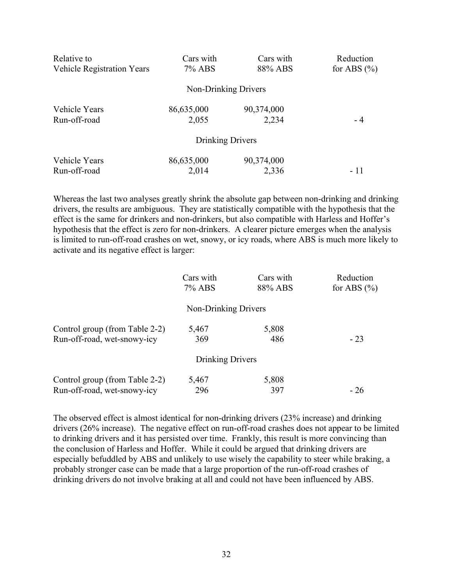| Relative to                       | Cars with            | Cars with  | Reduction       |
|-----------------------------------|----------------------|------------|-----------------|
| <b>Vehicle Registration Years</b> | 7% ABS               | 88% ABS    | for ABS $(\% )$ |
|                                   | Non-Drinking Drivers |            |                 |
| Vehicle Years                     | 86,635,000           | 90,374,000 | - 4             |
| Run-off-road                      | 2,055                | 2,234      |                 |
|                                   | Drinking Drivers     |            |                 |
| Vehicle Years                     | 86,635,000           | 90,374,000 | - 11            |
| Run-off-road                      | 2,014                | 2,336      |                 |

Whereas the last two analyses greatly shrink the absolute gap between non-drinking and drinking drivers, the results are ambiguous. They are statistically compatible with the hypothesis that the effect is the same for drinkers and non-drinkers, but also compatible with Harless and Hoffer's hypothesis that the effect is zero for non-drinkers. A clearer picture emerges when the analysis is limited to run-off-road crashes on wet, snowy, or icy roads, where ABS is much more likely to activate and its negative effect is larger:

|                                | Cars with<br>7% ABS  | Cars with<br>88% ABS | Reduction<br>for ABS $(\% )$ |
|--------------------------------|----------------------|----------------------|------------------------------|
|                                | Non-Drinking Drivers |                      |                              |
| Control group (from Table 2-2) | 5,467                | 5,808                |                              |
| Run-off-road, wet-snowy-icy    | 369                  | 486                  | $-23$                        |
|                                | Drinking Drivers     |                      |                              |
| Control group (from Table 2-2) | 5,467                | 5,808                |                              |
| Run-off-road, wet-snowy-icy    | 296                  | 397                  | $-26$                        |

The observed effect is almost identical for non-drinking drivers (23% increase) and drinking drivers (26% increase). The negative effect on run-off-road crashes does not appear to be limited to drinking drivers and it has persisted over time. Frankly, this result is more convincing than the conclusion of Harless and Hoffer. While it could be argued that drinking drivers are especially befuddled by ABS and unlikely to use wisely the capability to steer while braking, a probably stronger case can be made that a large proportion of the run-off-road crashes of drinking drivers do not involve braking at all and could not have been influenced by ABS.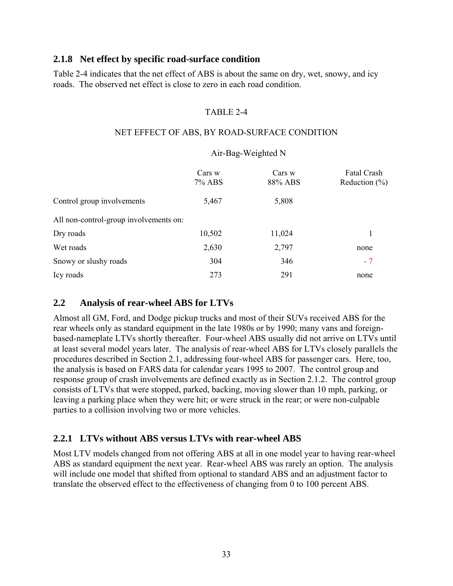#### **2.1.8 Net effect by specific road-surface condition**

Table 2-4 indicates that the net effect of ABS is about the same on dry, wet, snowy, and icy roads. The observed net effect is close to zero in each road condition.

#### TABLE 2-4

#### NET EFFECT OF ABS, BY ROAD-SURFACE CONDITION

#### Air-Bag-Weighted N

|                                        | Cars w<br><b>7% ABS</b> | Cars w<br>88% ABS | Fatal Crash<br>Reduction $(\% )$ |
|----------------------------------------|-------------------------|-------------------|----------------------------------|
| Control group involvements             | 5,467                   | 5,808             |                                  |
| All non-control-group involvements on: |                         |                   |                                  |
| Dry roads                              | 10,502                  | 11,024            |                                  |
| Wet roads                              | 2,630                   | 2,797             | none                             |
| Snowy or slushy roads                  | 304                     | 346               | $-7$                             |
| Icy roads                              | 273                     | 291               | none                             |

## **2.2 Analysis of rear-wheel ABS for LTVs**

Almost all GM, Ford, and Dodge pickup trucks and most of their SUVs received ABS for the rear wheels only as standard equipment in the late 1980s or by 1990; many vans and foreignbased-nameplate LTVs shortly thereafter. Four-wheel ABS usually did not arrive on LTVs until at least several model years later. The analysis of rear-wheel ABS for LTVs closely parallels the procedures described in Section 2.1, addressing four-wheel ABS for passenger cars. Here, too, the analysis is based on FARS data for calendar years 1995 to 2007. The control group and response group of crash involvements are defined exactly as in Section 2.1.2. The control group consists of LTVs that were stopped, parked, backing, moving slower than 10 mph, parking, or leaving a parking place when they were hit; or were struck in the rear; or were non-culpable parties to a collision involving two or more vehicles.

## **2.2.1 LTVs without ABS versus LTVs with rear-wheel ABS**

Most LTV models changed from not offering ABS at all in one model year to having rear-wheel ABS as standard equipment the next year. Rear-wheel ABS was rarely an option. The analysis will include one model that shifted from optional to standard ABS and an adjustment factor to translate the observed effect to the effectiveness of changing from 0 to 100 percent ABS.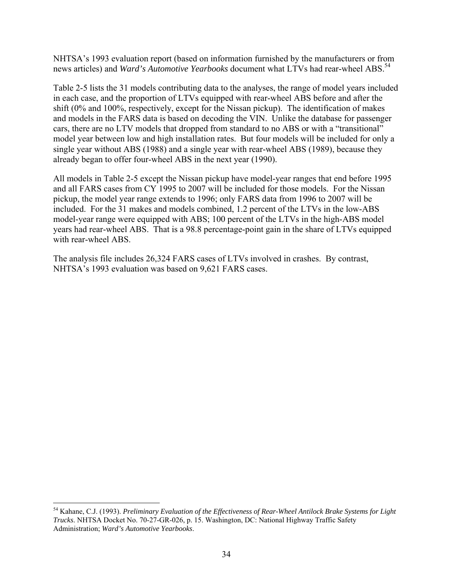news articles) and *Ward's Automotive Yearbooks* document what LTVs had rear-wheel ABS.<sup>54</sup> NHTSA's 1993 evaluation report (based on information furnished by the manufacturers or from

Table 2-5 lists the 31 models contributing data to the analyses, the range of model years included in each case, and the proportion of LTVs equipped with rear-wheel ABS before and after the shift (0% and 100%, respectively, except for the Nissan pickup). The identification of makes and models in the FARS data is based on decoding the VIN. Unlike the database for passenger cars, there are no LTV models that dropped from standard to no ABS or with a "transitional" model year between low and high installation rates. But four models will be included for only a single year without ABS (1988) and a single year with rear-wheel ABS (1989), because they already began to offer four-wheel ABS in the next year (1990).

All models in Table 2-5 except the Nissan pickup have model-year ranges that end before 1995 and all FARS cases from CY 1995 to 2007 will be included for those models. For the Nissan pickup, the model year range extends to 1996; only FARS data from 1996 to 2007 will be included. For the 31 makes and models combined, 1.2 percent of the LTVs in the low-ABS model-year range were equipped with ABS; 100 percent of the LTVs in the high-ABS model years had rear-wheel ABS. That is a 98.8 percentage-point gain in the share of LTVs equipped with rear-wheel ABS.

The analysis file includes 26,324 FARS cases of LTVs involved in crashes. By contrast, NHTSA's 1993 evaluation was based on 9,621 FARS cases.

 $\overline{a}$ 

 *Trucks*. NHTSA Docket No. 70-27-GR-026, p. 15. Washington, DC: National Highway Traffic Safety 54 Kahane, C.J. (1993). *Preliminary Evaluation of the Effectiveness of Rear-Wheel Antilock Brake Systems for Light*  Administration; *Ward's Automotive Yearbooks*.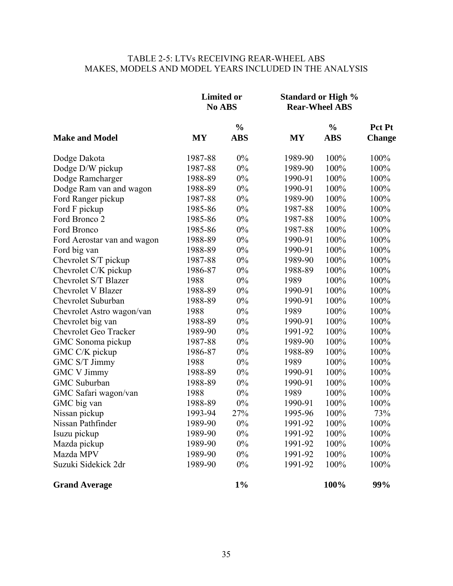## TABLE 2-5: LTVs RECEIVING REAR-WHEEL ABS MAKES, MODELS AND MODEL YEARS INCLUDED IN THE ANALYSIS

|                              | <b>Limited or</b><br>No ABS |               | <b>Standard or High %</b><br><b>Rear-Wheel ABS</b> |               |               |
|------------------------------|-----------------------------|---------------|----------------------------------------------------|---------------|---------------|
|                              |                             | $\frac{0}{0}$ |                                                    | $\frac{0}{0}$ | Pct Pt        |
| <b>Make and Model</b>        | <b>MY</b>                   | <b>ABS</b>    | <b>MY</b>                                          | <b>ABS</b>    | <b>Change</b> |
| Dodge Dakota                 | 1987-88                     | 0%            | 1989-90                                            | 100%          | 100%          |
| Dodge D/W pickup             | 1987-88                     | 0%            | 1989-90                                            | 100%          | 100%          |
| Dodge Ramcharger             | 1988-89                     | 0%            | 1990-91                                            | 100%          | 100%          |
| Dodge Ram van and wagon      | 1988-89                     | 0%            | 1990-91                                            | 100%          | 100%          |
| Ford Ranger pickup           | 1987-88                     | $0\%$         | 1989-90                                            | 100%          | 100%          |
| Ford F pickup                | 1985-86                     | 0%            | 1987-88                                            | 100%          | 100%          |
| Ford Bronco 2                | 1985-86                     | $0\%$         | 1987-88                                            | 100%          | 100%          |
| Ford Bronco                  | 1985-86                     | $0\%$         | 1987-88                                            | 100%          | 100%          |
| Ford Aerostar van and wagon  | 1988-89                     | 0%            | 1990-91                                            | 100%          | 100%          |
| Ford big van                 | 1988-89                     | 0%            | 1990-91                                            | 100%          | 100%          |
| Chevrolet S/T pickup         | 1987-88                     | $0\%$         | 1989-90                                            | 100%          | 100%          |
| Chevrolet C/K pickup         | 1986-87                     | $0\%$         | 1988-89                                            | 100%          | 100%          |
| Chevrolet S/T Blazer         | 1988                        | $0\%$         | 1989                                               | 100%          | 100%          |
| <b>Chevrolet V Blazer</b>    | 1988-89                     | $0\%$         | 1990-91                                            | 100%          | 100%          |
| Chevrolet Suburban           | 1988-89                     | $0\%$         | 1990-91                                            | 100%          | 100%          |
| Chevrolet Astro wagon/van    | 1988                        | 0%            | 1989                                               | 100%          | 100%          |
| Chevrolet big van            | 1988-89                     | $0\%$         | 1990-91                                            | 100%          | 100%          |
| <b>Chevrolet Geo Tracker</b> | 1989-90                     | $0\%$         | 1991-92                                            | 100%          | 100%          |
| GMC Sonoma pickup            | 1987-88                     | $0\%$         | 1989-90                                            | 100%          | 100%          |
| GMC C/K pickup               | 1986-87                     | 0%            | 1988-89                                            | 100%          | 100%          |
| GMC S/T Jimmy                | 1988                        | $0\%$         | 1989                                               | 100%          | 100%          |
| <b>GMC V Jimmy</b>           | 1988-89                     | $0\%$         | 1990-91                                            | 100%          | 100%          |
| GMC Suburban                 | 1988-89                     | $0\%$         | 1990-91                                            | 100%          | 100%          |
| GMC Safari wagon/van         | 1988                        | 0%            | 1989                                               | 100%          | 100%          |
| GMC big van                  | 1988-89                     | 0%            | 1990-91                                            | 100%          | 100%          |
| Nissan pickup                | 1993-94                     | 27%           | 1995-96                                            | 100%          | 73%           |
| Nissan Pathfinder            | 1989-90                     | $0\%$         | 1991-92                                            | 100%          | 100%          |
| Isuzu pickup                 | 1989-90                     | $0\%$         | 1991-92                                            | 100%          | 100%          |
| Mazda pickup                 | 1989-90                     | $0\%$         | 1991-92                                            | 100%          | 100%          |
| Mazda MPV                    | 1989-90                     | $0\%$         | 1991-92                                            | 100%          | 100%          |
| Suzuki Sidekick 2dr          | 1989-90                     | 0%            | 1991-92                                            | 100%          | 100%          |
| <b>Grand Average</b>         |                             | $1\%$         |                                                    | 100%          | 99%           |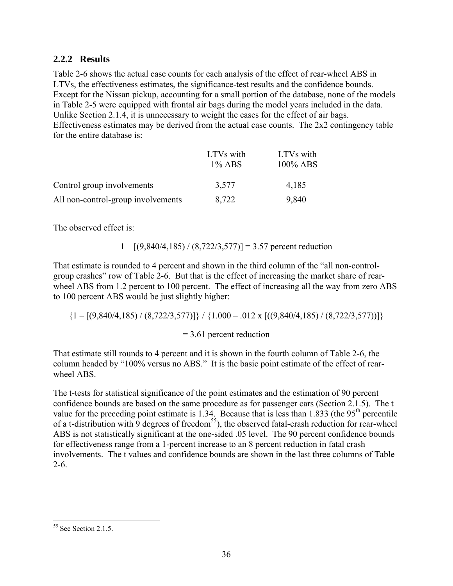## **2.2.2 Results**

Table 2-6 shows the actual case counts for each analysis of the effect of rear-wheel ABS in LTVs, the effectiveness estimates, the significance-test results and the confidence bounds. Except for the Nissan pickup, accounting for a small portion of the database, none of the models in Table 2-5 were equipped with frontal air bags during the model years included in the data. Unlike Section 2.1.4, it is unnecessary to weight the cases for the effect of air bags. Effectiveness estimates may be derived from the actual case counts. The 2x2 contingency table for the entire database is:

|                                    | LTVs with<br>$1\%$ ABS | LTVs with<br>$100\%$ ABS |
|------------------------------------|------------------------|--------------------------|
| Control group involvements         | 3,577                  | 4,185                    |
| All non-control-group involvements | 8,722                  | 9,840                    |

The observed effect is:

## $1 - [(9,840/4,185) / (8,722/3,577)] = 3.57$  percent reduction

That estimate is rounded to 4 percent and shown in the third column of the "all non-controlgroup crashes" row of Table 2-6. But that is the effect of increasing the market share of rearwheel ABS from 1.2 percent to 100 percent. The effect of increasing all the way from zero ABS to 100 percent ABS would be just slightly higher:

$$
{1 - [(9,840/4,185) / (8,722/3,577)]} / {1.000 - .012 \times [((9,840/4,185) / (8,722/3,577))]}
$$

## = 3.61 percent reduction

That estimate still rounds to 4 percent and it is shown in the fourth column of Table 2-6, the column headed by "100% versus no ABS." It is the basic point estimate of the effect of rearwheel ABS.

The t-tests for statistical significance of the point estimates and the estimation of 90 percent confidence bounds are based on the same procedure as for passenger cars (Section 2.1.5). The t value for the preceding point estimate is 1.34. Because that is less than  $1.833$  (the  $95<sup>th</sup>$  percentile of a t-distribution with 9 degrees of freedom<sup>55</sup>), the observed fatal-crash reduction for rear-wheel ABS is not statistically significant at the one-sided .05 level. The 90 percent confidence bounds for effectiveness range from a 1-percent increase to an 8 percent reduction in fatal crash involvements. The t values and confidence bounds are shown in the last three columns of Table 2-6.

 $\overline{a}$ 

 $55$  See Section 2.1.5.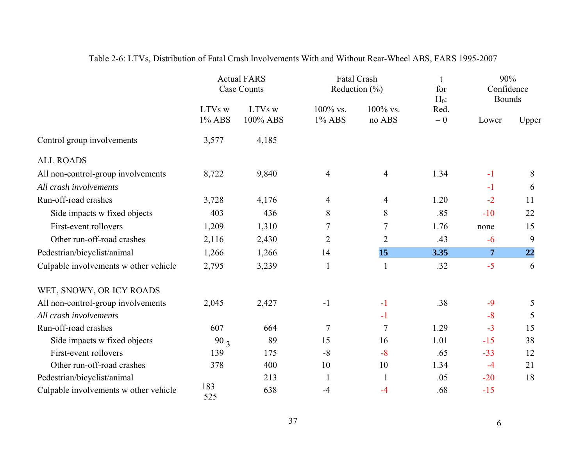|                                       | <b>Actual FARS</b><br><b>Case Counts</b> |                    |                    | <b>Fatal Crash</b><br>Reduction $(\% )$ |                          |                | 90%<br>Confidence<br><b>Bounds</b> |  |
|---------------------------------------|------------------------------------------|--------------------|--------------------|-----------------------------------------|--------------------------|----------------|------------------------------------|--|
|                                       | LTVs w<br>1% ABS                         | LTVs w<br>100% ABS | 100% vs.<br>1% ABS | 100% vs.<br>no ABS                      | $H_0$ :<br>Red.<br>$= 0$ | Lower          | Upper                              |  |
| Control group involvements            | 3,577                                    | 4,185              |                    |                                         |                          |                |                                    |  |
| <b>ALL ROADS</b>                      |                                          |                    |                    |                                         |                          |                |                                    |  |
| All non-control-group involvements    | 8,722                                    | 9,840              | $\overline{4}$     | $\overline{4}$                          | 1.34                     | $-1$           | 8                                  |  |
| All crash involvements                |                                          |                    |                    |                                         |                          | $-1$           | 6                                  |  |
| Run-off-road crashes                  | 3,728                                    | 4,176              | $\overline{4}$     | $\overline{4}$                          | 1.20                     | $-2$           | 11                                 |  |
| Side impacts w fixed objects          | 403                                      | 436                | 8                  | 8                                       | .85                      | $-10$          | 22                                 |  |
| First-event rollovers                 | 1,209                                    | 1,310              | 7                  | 7                                       | 1.76                     | none           | 15                                 |  |
| Other run-off-road crashes            | 2,116                                    | 2,430              | $\overline{2}$     | $\overline{2}$                          | .43                      | $-6$           | 9                                  |  |
| Pedestrian/bicyclist/animal           | 1,266                                    | 1,266              | 14                 | 15                                      | 3.35                     | $\overline{7}$ | 22                                 |  |
| Culpable involvements w other vehicle | 2,795                                    | 3,239              | 1                  | $\mathbf{1}$                            | .32                      | $-5$           | 6                                  |  |
| WET, SNOWY, OR ICY ROADS              |                                          |                    |                    |                                         |                          |                |                                    |  |
| All non-control-group involvements    | 2,045                                    | 2,427              | $-1$               | $-1$                                    | .38                      | $-9$           | 5                                  |  |
| All crash involvements                |                                          |                    |                    | $-1$                                    |                          | $-8$           | 5                                  |  |
| Run-off-road crashes                  | 607                                      | 664                | $\tau$             | $\overline{7}$                          | 1.29                     | $-3$           | 15                                 |  |
| Side impacts w fixed objects          | 90 <sub>3</sub>                          | 89                 | 15                 | 16                                      | 1.01                     | $-15$          | 38                                 |  |
| First-event rollovers                 | 139                                      | 175                | $-8$               | $-8$                                    | .65                      | $-33$          | 12                                 |  |
| Other run-off-road crashes            | 378                                      | 400                | 10                 | 10                                      | 1.34                     | $-4$           | 21                                 |  |
| Pedestrian/bicyclist/animal           |                                          | 213                | $\mathbf{1}$       | $\mathbf{1}$                            | .05                      | $-20$          | 18                                 |  |
| Culpable involvements w other vehicle | 183<br>525                               | 638                | $-4$               | $-4$                                    | .68                      | $-15$          |                                    |  |

# Table 2-6: LTVs, Distribution of Fatal Crash Involvements With and Without Rear-Wheel ABS, FARS 1995-2007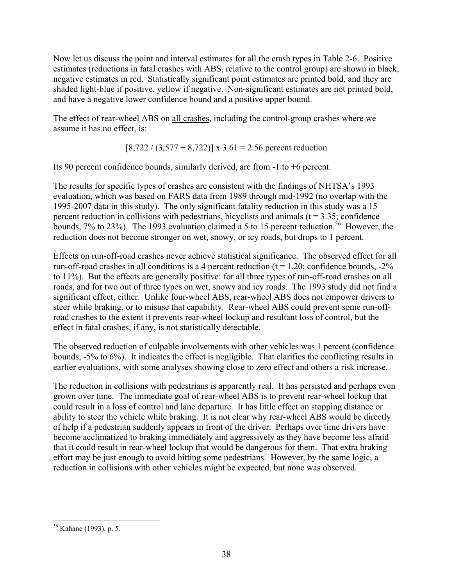Now let us discuss the point and interval estimates for all the crash types in Table 2-6. Positive estimates (reductions in fatal crashes with ABS, relative to the control group) are shown in black, negative estimates in red. Statistically significant point estimates are printed bold, and they are shaded light-blue if positive, yellow if negative. Non-significant estimates are not printed bold, and have a negative lower confidence bound and a positive upper bound.

The effect of rear-wheel ABS on all crashes, including the control-group crashes where we assume it has no effect, is:

$$
[8,722 / (3,577 + 8,722)] \times 3.61 = 2.56
$$
 percent reduction

Its 90 percent confidence bounds, similarly derived, are from -1 to +6 percent.

The results for specific types of crashes are consistent with the findings of NHTSA's 1993 evaluation, which was based on FARS data from 1989 through mid-1992 (no overlap with the 1995-2007 data in this study). The only significant fatality reduction in this study was a 15 percent reduction in collisions with pedestrians, bicyclists and animals  $(t = 3.35;$  confidence bounds, 7% to 23%). The 1993 evaluation claimed a 5 to 15 percent reduction.<sup>56</sup> However, the reduction does not become stronger on wet, snowy, or icy roads, but drops to 1 percent.

Effects on run-off-road crashes never achieve statistical significance. The observed effect for all run-off-road crashes in all conditions is a 4 percent reduction ( $t = 1.20$ ; confidence bounds,  $-2\%$ ) to 11%). But the effects are generally positive: for all three types of run-off-road crashes on all roads, and for two out of three types on wet, snowy and icy roads. The 1993 study did not find a significant effect, either. Unlike four-wheel ABS, rear-wheel ABS does not empower drivers to steer while braking, or to misuse that capability. Rear-wheel ABS could prevent some run-offroad crashes to the extent it prevents rear-wheel lockup and resultant loss of control, but the effect in fatal crashes, if any, is not statistically detectable.

The observed reduction of culpable involvements with other vehicles was 1 percent (confidence bounds, -5% to 6%). It indicates the effect is negligible. That clarifies the conflicting results in earlier evaluations, with some analyses showing close to zero effect and others a risk increase.

The reduction in collisions with pedestrians is apparently real. It has persisted and perhaps even grown over time. The immediate goal of rear-wheel ABS is to prevent rear-wheel lockup that could result in a loss of control and lane departure. It has little effect on stopping distance or ability to steer the vehicle while braking. It is not clear why rear-wheel ABS would be directly of help if a pedestrian suddenly appears in front of the driver. Perhaps over time drivers have become acclimatized to braking immediately and aggressively as they have become less afraid that it could result in rear-wheel lockup that would be dangerous for them. That extra braking effort may be just enough to avoid hitting some pedestrians. However, by the same logic, a reduction in collisions with other vehicles might be expected, but none was observed.

 $\overline{a}$ 56 Kahane (1993), p. 5.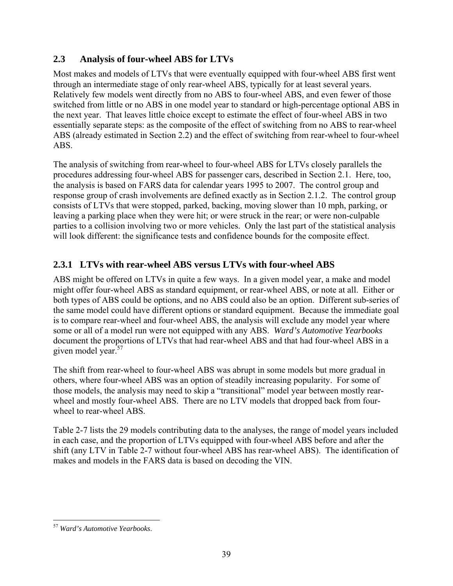## **2.3 Analysis of four-wheel ABS for LTVs**

Most makes and models of LTVs that were eventually equipped with four-wheel ABS first went through an intermediate stage of only rear-wheel ABS, typically for at least several years. Relatively few models went directly from no ABS to four-wheel ABS, and even fewer of those switched from little or no ABS in one model year to standard or high-percentage optional ABS in the next year. That leaves little choice except to estimate the effect of four-wheel ABS in two essentially separate steps: as the composite of the effect of switching from no ABS to rear-wheel ABS (already estimated in Section 2.2) and the effect of switching from rear-wheel to four-wheel ABS.

The analysis of switching from rear-wheel to four-wheel ABS for LTVs closely parallels the procedures addressing four-wheel ABS for passenger cars, described in Section 2.1. Here, too, the analysis is based on FARS data for calendar years 1995 to 2007. The control group and response group of crash involvements are defined exactly as in Section 2.1.2. The control group consists of LTVs that were stopped, parked, backing, moving slower than 10 mph, parking, or leaving a parking place when they were hit; or were struck in the rear; or were non-culpable parties to a collision involving two or more vehicles. Only the last part of the statistical analysis will look different: the significance tests and confidence bounds for the composite effect.

# **2.3.1 LTVs with rear-wheel ABS versus LTVs with four-wheel ABS**

given model year.<sup>57</sup> ABS might be offered on LTVs in quite a few ways. In a given model year, a make and model might offer four-wheel ABS as standard equipment, or rear-wheel ABS, or note at all. Either or both types of ABS could be options, and no ABS could also be an option. Different sub-series of the same model could have different options or standard equipment. Because the immediate goal is to compare rear-wheel and four-wheel ABS, the analysis will exclude any model year where some or all of a model run were not equipped with any ABS. *Ward's Automotive Yearbooks*  document the proportions of LTVs that had rear-wheel ABS and that had four-wheel ABS in a

The shift from rear-wheel to four-wheel ABS was abrupt in some models but more gradual in others, where four-wheel ABS was an option of steadily increasing popularity. For some of those models, the analysis may need to skip a "transitional" model year between mostly rearwheel and mostly four-wheel ABS. There are no LTV models that dropped back from fourwheel to rear-wheel ABS.

Table 2-7 lists the 29 models contributing data to the analyses, the range of model years included in each case, and the proportion of LTVs equipped with four-wheel ABS before and after the shift (any LTV in Table 2-7 without four-wheel ABS has rear-wheel ABS). The identification of makes and models in the FARS data is based on decoding the VIN.

<sup>&</sup>lt;u>.</u> <sup>57</sup>*Ward's Automotive Yearbooks*.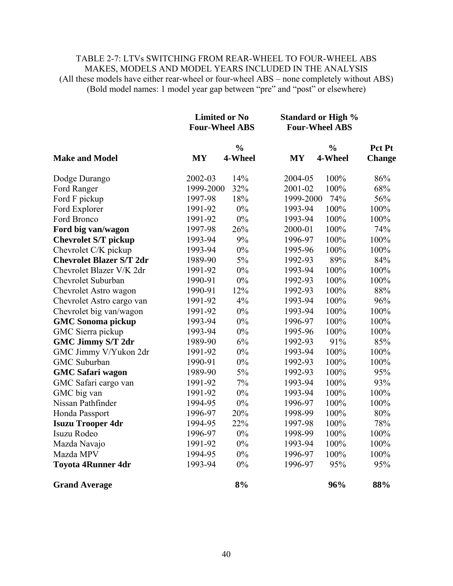## TABLE 2-7: LTVs SWITCHING FROM REAR-WHEEL TO FOUR-WHEEL ABS MAKES, MODELS AND MODEL YEARS INCLUDED IN THE ANALYSIS (All these models have either rear-wheel or four-wheel ABS – none completely without ABS) (Bold model names: 1 model year gap between "pre" and "post" or elsewhere)

|                                 |           | <b>Limited or No</b><br><b>Four-Wheel ABS</b> |           | <b>Standard or High %</b><br><b>Four-Wheel ABS</b> |               |
|---------------------------------|-----------|-----------------------------------------------|-----------|----------------------------------------------------|---------------|
|                                 |           | $\frac{0}{0}$                                 |           | $\frac{0}{0}$                                      | Pct Pt        |
| <b>Make and Model</b>           | <b>MY</b> | 4-Wheel                                       | <b>MY</b> | 4-Wheel                                            | <b>Change</b> |
| Dodge Durango                   | 2002-03   | 14%                                           | 2004-05   | 100%                                               | 86%           |
| Ford Ranger                     | 1999-2000 | 32%                                           | 2001-02   | 100%                                               | 68%           |
| Ford F pickup                   | 1997-98   | 18%                                           | 1999-2000 | 74%                                                | 56%           |
| Ford Explorer                   | 1991-92   | $0\%$                                         | 1993-94   | 100%                                               | 100%          |
| Ford Bronco                     | 1991-92   | $0\%$                                         | 1993-94   | 100%                                               | 100%          |
| Ford big van/wagon              | 1997-98   | 26%                                           | 2000-01   | 100%                                               | 74%           |
| <b>Chevrolet S/T pickup</b>     | 1993-94   | 9%                                            | 1996-97   | 100%                                               | 100%          |
| Chevrolet C/K pickup            | 1993-94   | $0\%$                                         | 1995-96   | 100%                                               | 100%          |
| <b>Chevrolet Blazer S/T 2dr</b> | 1989-90   | $5\%$                                         | 1992-93   | 89%                                                | 84%           |
| Chevrolet Blazer V/K 2dr        | 1991-92   | $0\%$                                         | 1993-94   | 100%                                               | 100%          |
| Chevrolet Suburban              | 1990-91   | 0%                                            | 1992-93   | 100%                                               | 100%          |
| Chevrolet Astro wagon           | 1990-91   | 12%                                           | 1992-93   | 100%                                               | 88%           |
| Chevrolet Astro cargo van       | 1991-92   | 4%                                            | 1993-94   | 100%                                               | 96%           |
| Chevrolet big van/wagon         | 1991-92   | 0%                                            | 1993-94   | 100%                                               | 100%          |
| <b>GMC Sonoma pickup</b>        | 1993-94   | $0\%$                                         | 1996-97   | 100%                                               | 100%          |
| GMC Sierra pickup               | 1993-94   | 0%                                            | 1995-96   | 100%                                               | 100%          |
| <b>GMC Jimmy S/T 2dr</b>        | 1989-90   | 6%                                            | 1992-93   | 91%                                                | 85%           |
| GMC Jimmy V/Yukon 2dr           | 1991-92   | $0\%$                                         | 1993-94   | 100%                                               | 100%          |
| <b>GMC</b> Suburban             | 1990-91   | 0%                                            | 1992-93   | 100%                                               | 100%          |
| <b>GMC Safari wagon</b>         | 1989-90   | 5%                                            | 1992-93   | 100%                                               | 95%           |
| GMC Safari cargo van            | 1991-92   | 7%                                            | 1993-94   | 100%                                               | 93%           |
| GMC big van                     | 1991-92   | 0%                                            | 1993-94   | 100%                                               | 100%          |
| Nissan Pathfinder               | 1994-95   | $0\%$                                         | 1996-97   | 100%                                               | 100%          |
| Honda Passport                  | 1996-97   | 20%                                           | 1998-99   | 100%                                               | 80%           |
| <b>Isuzu Trooper 4dr</b>        | 1994-95   | 22%                                           | 1997-98   | 100%                                               | 78%           |
| Isuzu Rodeo                     | 1996-97   | $0\%$                                         | 1998-99   | 100%                                               | 100%          |
| Mazda Navajo                    | 1991-92   | $0\%$                                         | 1993-94   | 100%                                               | 100%          |
| Mazda MPV                       | 1994-95   | 0%                                            | 1996-97   | 100%                                               | 100%          |
| <b>Toyota 4Runner 4dr</b>       | 1993-94   | $0\%$                                         | 1996-97   | 95%                                                | 95%           |
| <b>Grand Average</b>            |           | 8%                                            |           | 96%                                                | 88%           |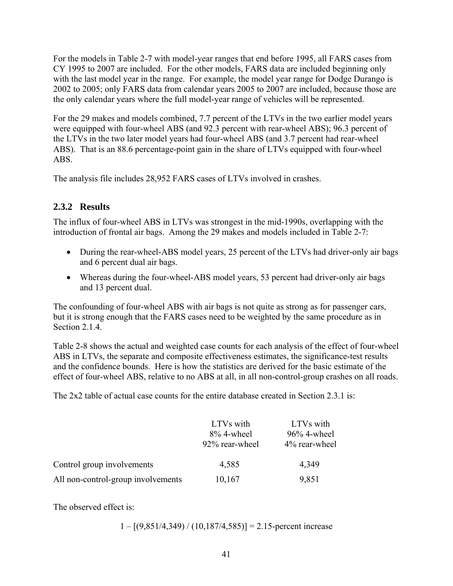For the models in Table 2-7 with model-year ranges that end before 1995, all FARS cases from CY 1995 to 2007 are included. For the other models, FARS data are included beginning only with the last model year in the range. For example, the model year range for Dodge Durango is 2002 to 2005; only FARS data from calendar years 2005 to 2007 are included, because those are the only calendar years where the full model-year range of vehicles will be represented.

For the 29 makes and models combined, 7.7 percent of the LTVs in the two earlier model years were equipped with four-wheel ABS (and 92.3 percent with rear-wheel ABS); 96.3 percent of the LTVs in the two later model years had four-wheel ABS (and 3.7 percent had rear-wheel ABS). That is an 88.6 percentage-point gain in the share of LTVs equipped with four-wheel ABS.

The analysis file includes 28,952 FARS cases of LTVs involved in crashes.

# **2.3.2 Results**

The influx of four-wheel ABS in LTVs was strongest in the mid-1990s, overlapping with the introduction of frontal air bags. Among the 29 makes and models included in Table 2-7:

- During the rear-wheel-ABS model years, 25 percent of the LTVs had driver-only air bags and 6 percent dual air bags.
- Whereas during the four-wheel-ABS model years, 53 percent had driver-only air bags and 13 percent dual.

The confounding of four-wheel ABS with air bags is not quite as strong as for passenger cars, but it is strong enough that the FARS cases need to be weighted by the same procedure as in Section 2.1.4

Table 2-8 shows the actual and weighted case counts for each analysis of the effect of four-wheel ABS in LTVs, the separate and composite effectiveness estimates, the significance-test results and the confidence bounds. Here is how the statistics are derived for the basic estimate of the effect of four-wheel ABS, relative to no ABS at all, in all non-control-group crashes on all roads.

The 2x2 table of actual case counts for the entire database created in Section 2.3.1 is:

|                                    | LTVs with<br>$8\%$ 4-wheel<br>92% rear-wheel | LTVs with<br>$96\%$ 4-wheel<br>4% rear-wheel |
|------------------------------------|----------------------------------------------|----------------------------------------------|
| Control group involvements         | 4,585                                        | 4,349                                        |
| All non-control-group involvements | 10,167                                       | 9,851                                        |

The observed effect is:

 $1 - [(9,851/4,349) / (10,187/4,585)] = 2.15$ -percent increase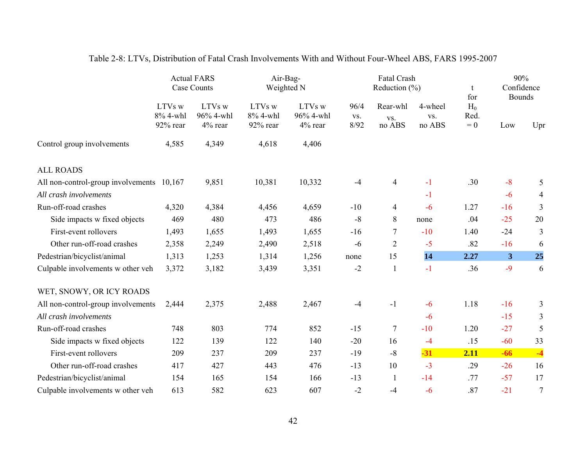|                                           |                                | <b>Actual FARS</b><br>Case Counts | Air-Bag-<br>Weighted N         |                                |                     | <b>Fatal Crash</b><br>Reduction $(\% )$ |                          | t<br>for               | 90%<br>Confidence<br><b>Bounds</b> |                |
|-------------------------------------------|--------------------------------|-----------------------------------|--------------------------------|--------------------------------|---------------------|-----------------------------------------|--------------------------|------------------------|------------------------------------|----------------|
|                                           | LTVs w<br>8% 4-whl<br>92% rear | LTVs w<br>96% 4-whl<br>4% rear    | LTVs w<br>8% 4-whl<br>92% rear | LTVs w<br>96% 4-whl<br>4% rear | 96/4<br>VS.<br>8/92 | Rear-whl<br>VS.<br>no ABS               | 4-wheel<br>VS.<br>no ABS | $H_0$<br>Red.<br>$= 0$ | Low                                | Upr            |
| Control group involvements                | 4,585                          | 4,349                             | 4,618                          | 4,406                          |                     |                                         |                          |                        |                                    |                |
| <b>ALL ROADS</b>                          |                                |                                   |                                |                                |                     |                                         |                          |                        |                                    |                |
| All non-control-group involvements 10,167 |                                | 9,851                             | 10,381                         | 10,332                         | $-4$                | $\overline{4}$                          | $-1$                     | .30                    | $-8$                               | 5              |
| All crash involvements                    |                                |                                   |                                |                                |                     |                                         | $-1$                     |                        | $-6$                               | 4              |
| Run-off-road crashes                      | 4,320                          | 4,384                             | 4,456                          | 4,659                          | $-10$               | 4                                       | $-6$                     | 1.27                   | $-16$                              | $\overline{3}$ |
| Side impacts w fixed objects              | 469                            | 480                               | 473                            | 486                            | $-8$                | 8                                       | none                     | .04                    | $-25$                              | 20             |
| First-event rollovers                     | 1,493                          | 1,655                             | 1,493                          | 1,655                          | $-16$               | $\tau$                                  | $-10$                    | 1.40                   | $-24$                              | 3              |
| Other run-off-road crashes                | 2,358                          | 2,249                             | 2,490                          | 2,518                          | $-6$                | $\overline{2}$                          | $-5$                     | .82                    | $-16$                              | 6              |
| Pedestrian/bicyclist/animal               | 1,313                          | 1,253                             | 1,314                          | 1,256                          | none                | 15                                      | 14                       | 2.27                   | 3                                  | 25             |
| Culpable involvements w other veh         | 3,372                          | 3,182                             | 3,439                          | 3,351                          | $-2$                | $\mathbf{1}$                            | $-1$                     | .36                    | $-9$                               | 6              |
| WET, SNOWY, OR ICY ROADS                  |                                |                                   |                                |                                |                     |                                         |                          |                        |                                    |                |
| All non-control-group involvements        | 2,444                          | 2,375                             | 2,488                          | 2,467                          | $-4$                | $-1$                                    | $-6$                     | 1.18                   | $-16$                              | 3              |
| All crash involvements                    |                                |                                   |                                |                                |                     |                                         | $-6$                     |                        | $-15$                              | 3              |
| Run-off-road crashes                      | 748                            | 803                               | 774                            | 852                            | $-15$               | $\tau$                                  | $-10$                    | 1.20                   | $-27$                              | 5              |
| Side impacts w fixed objects              | 122                            | 139                               | 122                            | 140                            | $-20$               | 16                                      | $-4$                     | .15                    | $-60$                              | 33             |
| First-event rollovers                     | 209                            | 237                               | 209                            | 237                            | $-19$               | $-8$                                    | $-31$                    | 2.11                   | $-66$                              | $-4$           |
| Other run-off-road crashes                | 417                            | 427                               | 443                            | 476                            | $-13$               | 10                                      | $-3$                     | .29                    | $-26$                              | 16             |
| Pedestrian/bicyclist/animal               | 154                            | 165                               | 154                            | 166                            | $-13$               | $\mathbf{1}$                            | $-14$                    | .77                    | $-57$                              | 17             |
| Culpable involvements w other veh         | 613                            | 582                               | 623                            | 607                            | $-2$                | $-4$                                    | $-6$                     | .87                    | $-21$                              | $\tau$         |

# Table 2-8: LTVs, Distribution of Fatal Crash Involvements With and Without Four-Wheel ABS, FARS 1995-2007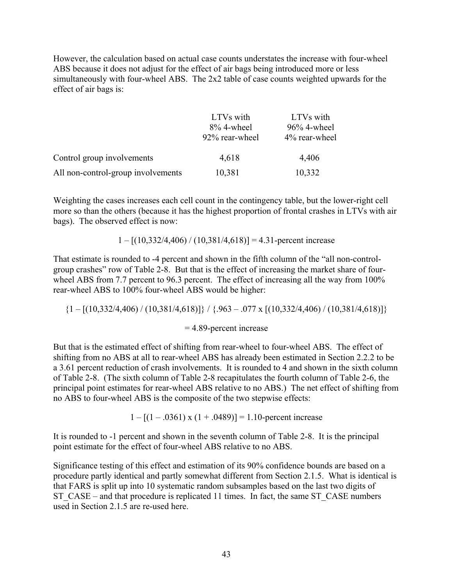However, the calculation based on actual case counts understates the increase with four-wheel ABS because it does not adjust for the effect of air bags being introduced more or less simultaneously with four-wheel ABS. The 2x2 table of case counts weighted upwards for the effect of air bags is:

|                                    | LTVs with      | LTVs with      |
|------------------------------------|----------------|----------------|
|                                    | $8\%$ 4-wheel  | $96\%$ 4-wheel |
|                                    | 92% rear-wheel | 4% rear-wheel  |
| Control group involvements         | 4,618          | 4,406          |
| All non-control-group involvements | 10,381         | 10,332         |

Weighting the cases increases each cell count in the contingency table, but the lower-right cell more so than the others (because it has the highest proportion of frontal crashes in LTVs with air bags). The observed effect is now:

 $1 - [(10,332/4,406) / (10,381/4,618)] = 4.31$ -percent increase

That estimate is rounded to -4 percent and shown in the fifth column of the "all non-controlgroup crashes" row of Table 2-8. But that is the effect of increasing the market share of fourwheel ABS from 7.7 percent to 96.3 percent. The effect of increasing all the way from 100% rear-wheel ABS to 100% four-wheel ABS would be higher:

 $\{1 - \left[\left(10,332/4,406\right) / \left(10,381/4,618\right)\right]\}$  /  $\{.963 - .077 \times \left[\left(10,332/4,406\right) / \left(10,381/4,618\right)\right]\}$ 

= 4.89-percent increase

But that is the estimated effect of shifting from rear-wheel to four-wheel ABS. The effect of shifting from no ABS at all to rear-wheel ABS has already been estimated in Section 2.2.2 to be a 3.61 percent reduction of crash involvements. It is rounded to 4 and shown in the sixth column of Table 2-8. (The sixth column of Table 2-8 recapitulates the fourth column of Table 2-6, the principal point estimates for rear-wheel ABS relative to no ABS.) The net effect of shifting from no ABS to four-wheel ABS is the composite of the two stepwise effects:

 $1 - [(1 - .0361) \times (1 + .0489)] = 1.10$ -percent increase

It is rounded to -1 percent and shown in the seventh column of Table 2-8. It is the principal point estimate for the effect of four-wheel ABS relative to no ABS.

Significance testing of this effect and estimation of its 90% confidence bounds are based on a procedure partly identical and partly somewhat different from Section 2.1.5. What is identical is that FARS is split up into 10 systematic random subsamples based on the last two digits of ST\_CASE – and that procedure is replicated 11 times. In fact, the same ST\_CASE numbers used in Section 2.1.5 are re-used here.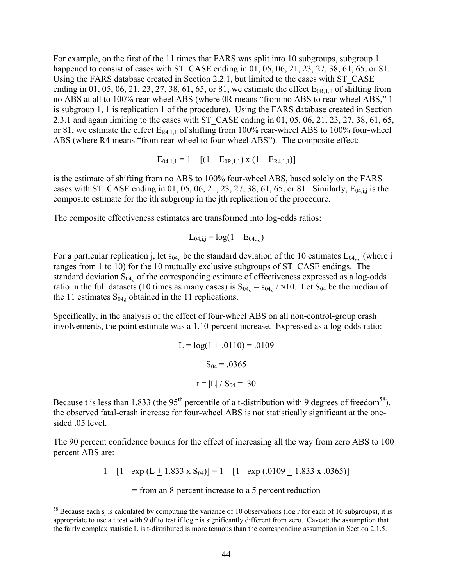For example, on the first of the 11 times that FARS was split into 10 subgroups, subgroup 1 happened to consist of cases with ST\_CASE ending in 01, 05, 06, 21, 23, 27, 38, 61, 65, or 81. Using the FARS database created in Section 2.2.1, but limited to the cases with ST\_CASE ending in 01, 05, 06, 21, 23, 27, 38, 61, 65, or 81, we estimate the effect  $E_{0R,1,1}$  of shifting from no ABS at all to 100% rear-wheel ABS (where 0R means "from no ABS to rear-wheel ABS," 1 is subgroup 1, 1 is replication 1 of the procedure). Using the FARS database created in Section 2.3.1 and again limiting to the cases with ST\_CASE ending in 01, 05, 06, 21, 23, 27, 38, 61, 65, or 81, we estimate the effect  $E_{R4,1,1}$  of shifting from 100% rear-wheel ABS to 100% four-wheel ABS (where R4 means "from rear-wheel to four-wheel ABS"). The composite effect:

$$
E_{04,1,1} = 1 - [(1 - E_{0R,1,1}) \times (1 - E_{R4,1,1})]
$$

is the estimate of shifting from no ABS to 100% four-wheel ABS, based solely on the FARS cases with ST\_CASE ending in 01, 05, 06, 21, 23, 27, 38, 61, 65, or 81. Similarly,  $E_{04,i,j}$  is the composite estimate for the ith subgroup in the jth replication of the procedure.

The composite effectiveness estimates are transformed into log-odds ratios:

$$
L_{04,i,j} = log(1 - E_{04,i,j})
$$

For a particular replication j, let  $s_{04,i}$  be the standard deviation of the 10 estimates  $L_{04,i,j}$  (where i ranges from 1 to 10) for the 10 mutually exclusive subgroups of ST\_CASE endings. The standard deviation  $S_{04,j}$  of the corresponding estimate of effectiveness expressed as a log-odds ratio in the full datasets (10 times as many cases) is  $S_{04,j} = S_{04,j} / \sqrt{10}$ . Let  $S_{04}$  be the median of the 11 estimates  $S_{04,i}$  obtained in the 11 replications.

Specifically, in the analysis of the effect of four-wheel ABS on all non-control-group crash involvements, the point estimate was a 1.10-percent increase. Expressed as a log-odds ratio:

$$
L = log(1 + .0110) = .0109
$$

$$
S_{04} = .0365
$$

$$
t = |L| / S_{04} = .30
$$

Because t is less than 1.833 (the  $95<sup>th</sup>$  percentile of a t-distribution with 9 degrees of freedom<sup>58</sup>), the observed fatal-crash increase for four-wheel ABS is not statistically significant at the onesided .05 level.

The 90 percent confidence bounds for the effect of increasing all the way from zero ABS to 100 percent ABS are:

 $1 - [1 - \exp(L + 1.833 \times S_{04})] = 1 - [1 - \exp(.0109 + 1.833 \times .0365)]$ 

= from an 8-percent increase to a 5 percent reduction

 $\overline{a}$ 

 appropriate to use a t test with 9 df to test if log r is significantly different from zero. Caveat: the assumption that the fairly complex statistic L is t-distributed is more tenuous than the corresponding assumption in Section 2.1.5. <sup>58</sup> Because each  $s_i$  is calculated by computing the variance of 10 observations (log r for each of 10 subgroups), it is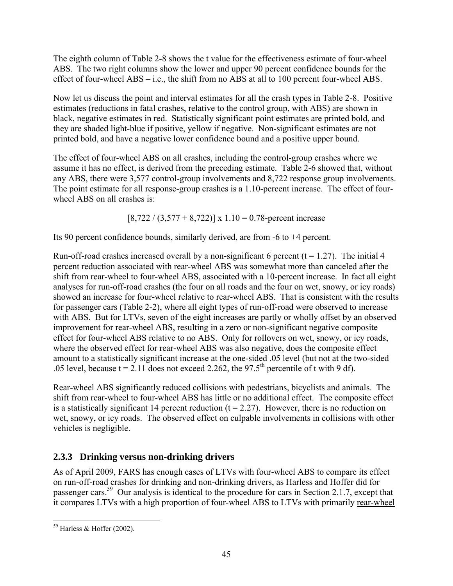The eighth column of Table 2-8 shows the t value for the effectiveness estimate of four-wheel ABS. The two right columns show the lower and upper 90 percent confidence bounds for the effect of four-wheel ABS – i.e., the shift from no ABS at all to 100 percent four-wheel ABS.

Now let us discuss the point and interval estimates for all the crash types in Table 2-8. Positive estimates (reductions in fatal crashes, relative to the control group, with ABS) are shown in black, negative estimates in red. Statistically significant point estimates are printed bold, and they are shaded light-blue if positive, yellow if negative. Non-significant estimates are not printed bold, and have a negative lower confidence bound and a positive upper bound.

The effect of four-wheel ABS on all crashes, including the control-group crashes where we assume it has no effect, is derived from the preceding estimate. Table 2-6 showed that, without any ABS, there were 3,577 control-group involvements and 8,722 response group involvements. The point estimate for all response-group crashes is a 1.10-percent increase. The effect of fourwheel ABS on all crashes is:

 $[8,722 / (3,577 + 8,722)] \times 1.10 = 0.78$ -percent increase

Its 90 percent confidence bounds, similarly derived, are from -6 to +4 percent.

Run-off-road crashes increased overall by a non-significant 6 percent ( $t = 1.27$ ). The initial 4 percent reduction associated with rear-wheel ABS was somewhat more than canceled after the shift from rear-wheel to four-wheel ABS, associated with a 10-percent increase. In fact all eight analyses for run-off-road crashes (the four on all roads and the four on wet, snowy, or icy roads) showed an increase for four-wheel relative to rear-wheel ABS. That is consistent with the results for passenger cars (Table 2-2), where all eight types of run-off-road were observed to increase with ABS. But for LTVs, seven of the eight increases are partly or wholly offset by an observed improvement for rear-wheel ABS, resulting in a zero or non-significant negative composite effect for four-wheel ABS relative to no ABS. Only for rollovers on wet, snowy, or icy roads, where the observed effect for rear-wheel ABS was also negative, does the composite effect amount to a statistically significant increase at the one-sided .05 level (but not at the two-sided .05 level, because  $t = 2.11$  does not exceed 2.262, the 97.5<sup>th</sup> percentile of t with 9 df).

Rear-wheel ABS significantly reduced collisions with pedestrians, bicyclists and animals. The shift from rear-wheel to four-wheel ABS has little or no additional effect. The composite effect is a statistically significant 14 percent reduction  $(t = 2.27)$ . However, there is no reduction on wet, snowy, or icy roads. The observed effect on culpable involvements in collisions with other vehicles is negligible.

# **2.3.3 Drinking versus non-drinking drivers**

As of April 2009, FARS has enough cases of LTVs with four-wheel ABS to compare its effect on run-off-road crashes for drinking and non-drinking drivers, as Harless and Hoffer did for passenger cars.59 Our analysis is identical to the procedure for cars in Section 2.1.7, except that it compares LTVs with a high proportion of four-wheel ABS to LTVs with primarily rear-wheel

<sup>&</sup>lt;u>.</u>  $59$  Harless & Hoffer (2002).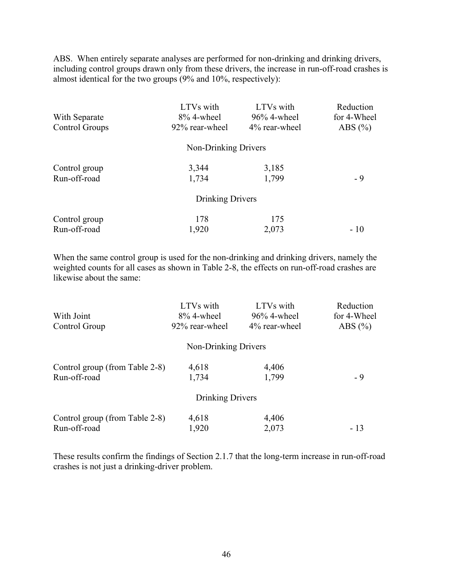ABS. When entirely separate analyses are performed for non-drinking and drinking drivers, including control groups drawn only from these drivers, the increase in run-off-road crashes is almost identical for the two groups (9% and 10%, respectively):

| With Separate<br>Control Groups | LTVs with<br>8% 4-wheel<br>92% rear-wheel | LTVs with<br>96% 4-wheel<br>4% rear-wheel | Reduction<br>for 4-Wheel<br>ABS $(\% )$ |
|---------------------------------|-------------------------------------------|-------------------------------------------|-----------------------------------------|
|                                 | Non-Drinking Drivers                      |                                           |                                         |
| Control group<br>Run-off-road   | 3,344<br>1,734                            | 3,185<br>1,799                            | $-9$                                    |
|                                 | Drinking Drivers                          |                                           |                                         |
| Control group<br>Run-off-road   | 178<br>1,920                              | 175<br>2,073                              | $-10$                                   |

When the same control group is used for the non-drinking and drinking drivers, namely the weighted counts for all cases as shown in Table 2-8, the effects on run-off-road crashes are likewise about the same:

| With Joint                     | LTVs with<br>$8\%$ 4-wheel | LTVs with<br>$96\%$ 4-wheel | Reduction<br>for 4-Wheel |
|--------------------------------|----------------------------|-----------------------------|--------------------------|
| Control Group                  | 92% rear-wheel             | 4% rear-wheel               | ABS $(\% )$              |
|                                | Non-Drinking Drivers       |                             |                          |
| Control group (from Table 2-8) | 4,618                      | 4,406                       |                          |
| Run-off-road                   | 1,734                      | 1,799                       | $-9$                     |
|                                | Drinking Drivers           |                             |                          |
| Control group (from Table 2-8) | 4,618                      | 4,406                       |                          |
| Run-off-road                   | 1,920                      | 2,073                       | $-13$                    |

These results confirm the findings of Section 2.1.7 that the long-term increase in run-off-road crashes is not just a drinking-driver problem.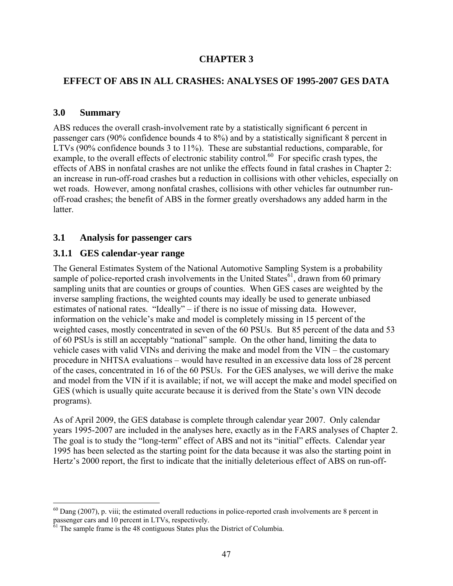## **CHAPTER 3**

## **EFFECT OF ABS IN ALL CRASHES: ANALYSES OF 1995-2007 GES DATA**

#### **3.0 Summary**

 $\overline{a}$ 

ABS reduces the overall crash-involvement rate by a statistically significant 6 percent in passenger cars (90% confidence bounds 4 to 8%) and by a statistically significant 8 percent in LTVs (90% confidence bounds 3 to 11%). These are substantial reductions, comparable, for example, to the overall effects of electronic stability control.<sup>60</sup> For specific crash types, the effects of ABS in nonfatal crashes are not unlike the effects found in fatal crashes in Chapter 2: an increase in run-off-road crashes but a reduction in collisions with other vehicles, especially on wet roads. However, among nonfatal crashes, collisions with other vehicles far outnumber runoff-road crashes; the benefit of ABS in the former greatly overshadows any added harm in the **latter** 

## **3.1 Analysis for passenger cars**

## **3.1.1 GES calendar-year range**

The General Estimates System of the National Automotive Sampling System is a probability sample of police-reported crash involvements in the United States<sup>61</sup>, drawn from 60 primary sampling units that are counties or groups of counties. When GES cases are weighted by the inverse sampling fractions, the weighted counts may ideally be used to generate unbiased estimates of national rates. "Ideally" – if there is no issue of missing data. However, information on the vehicle's make and model is completely missing in 15 percent of the weighted cases, mostly concentrated in seven of the 60 PSUs. But 85 percent of the data and 53 of 60 PSUs is still an acceptably "national" sample. On the other hand, limiting the data to vehicle cases with valid VINs and deriving the make and model from the VIN – the customary procedure in NHTSA evaluations – would have resulted in an excessive data loss of 28 percent of the cases, concentrated in 16 of the 60 PSUs. For the GES analyses, we will derive the make and model from the VIN if it is available; if not, we will accept the make and model specified on GES (which is usually quite accurate because it is derived from the State's own VIN decode programs).

As of April 2009, the GES database is complete through calendar year 2007. Only calendar years 1995-2007 are included in the analyses here, exactly as in the FARS analyses of Chapter 2. The goal is to study the "long-term" effect of ABS and not its "initial" effects. Calendar year 1995 has been selected as the starting point for the data because it was also the starting point in Hertz's 2000 report, the first to indicate that the initially deleterious effect of ABS on run-off-

 $60$  Dang (2007), p. viii; the estimated overall reductions in police-reported crash involvements are 8 percent in passenger cars and 10 percent in LTVs, respectively.

 $\delta$ <sup>1</sup> The sample frame is the 48 contiguous States plus the District of Columbia.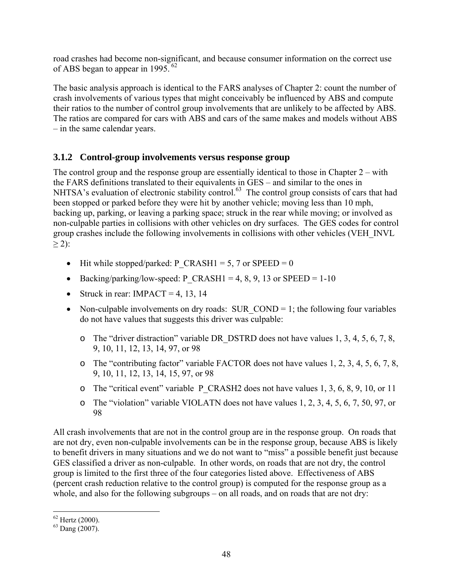of ABS began to appear in 1995.  $62$ road crashes had become non-significant, and because consumer information on the correct use

The basic analysis approach is identical to the FARS analyses of Chapter 2: count the number of crash involvements of various types that might conceivably be influenced by ABS and compute their ratios to the number of control group involvements that are unlikely to be affected by ABS. The ratios are compared for cars with ABS and cars of the same makes and models without ABS – in the same calendar years.

## **3.1.2 Control-group involvements versus response group**

The control group and the response group are essentially identical to those in Chapter 2 – with the FARS definitions translated to their equivalents in GES – and similar to the ones in NHTSA's evaluation of electronic stability control.<sup>63</sup> The control group consists of cars that had been stopped or parked before they were hit by another vehicle; moving less than 10 mph, backing up, parking, or leaving a parking space; struck in the rear while moving; or involved as non-culpable parties in collisions with other vehicles on dry surfaces. The GES codes for control group crashes include the following involvements in collisions with other vehicles (VEH\_INVL  $\geq$  2):

- Hit while stopped/parked: P\_CRASH1 = 5, 7 or SPEED = 0
- Backing/parking/low-speed: P\_CRASH1 = 4, 8, 9, 13 or SPEED =  $1-10$
- Struck in rear: IMPACT = 4, 13, 14
- Non-culpable involvements on dry roads: SUR  $\text{COMP} = 1$ ; the following four variables do not have values that suggests this driver was culpable:
	- $\circ$  The "driver distraction" variable DR\_DSTRD does not have values 1, 3, 4, 5, 6, 7, 8, 9, 10, 11, 12, 13, 14, 97, or 98
	- o The "contributing factor" variable FACTOR does not have values 1, 2, 3, 4, 5, 6, 7, 8, 9, 10, 11, 12, 13, 14, 15, 97, or 98
	- o The "critical event" variable P\_CRASH2 does not have values 1, 3, 6, 8, 9, 10, or 11
	- o The "violation" variable VIOLATN does not have values 1, 2, 3, 4, 5, 6, 7, 50, 97, or 98

All crash involvements that are not in the control group are in the response group. On roads that are not dry, even non-culpable involvements can be in the response group, because ABS is likely to benefit drivers in many situations and we do not want to "miss" a possible benefit just because GES classified a driver as non-culpable. In other words, on roads that are not dry, the control group is limited to the first three of the four categories listed above. Effectiveness of ABS (percent crash reduction relative to the control group) is computed for the response group as a whole, and also for the following subgroups – on all roads, and on roads that are not dry:

<sup>1</sup>  $62$  Hertz (2000).

<sup>63</sup> Dang (2007).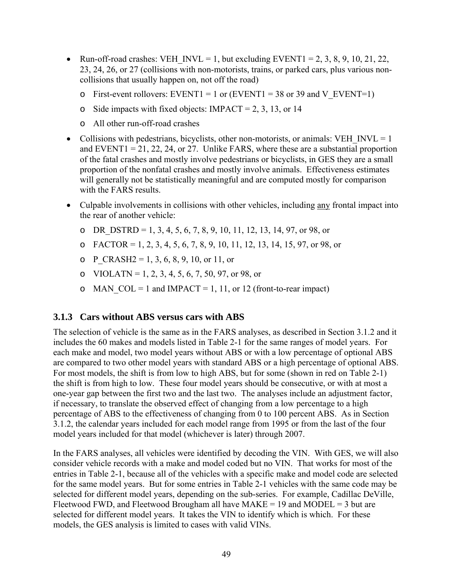- EXEMPTHENOTHEREFORE UP INVL = 1, but excluding EVENT1 = 2, 3, 8, 9, 10, 21, 22, 23, 24, 26, or 27 (collisions with non-motorists, trains, or parked cars, plus various noncollisions that usually happen on, not off the road)
	- o First-event rollovers: EVENT1 = 1 or (EVENT1 = 38 or 39 and V EVENT=1)
	- o Side impacts with fixed objects: IMPACT = 2, 3, 13, or 14
	- o All other run-off-road crashes
- Collisions with pedestrians, bicyclists, other non-motorists, or animals: VEH\_INVL =  $1$ and EVENT1 = 21, 22, 24, or 27. Unlike FARS, where these are a substantial proportion of the fatal crashes and mostly involve pedestrians or bicyclists, in GES they are a small proportion of the nonfatal crashes and mostly involve animals. Effectiveness estimates will generally not be statistically meaningful and are computed mostly for comparison with the FARS results.
- Culpable involvements in collisions with other vehicles, including any frontal impact into the rear of another vehicle:
	- o DR\_DSTRD = 1, 3, 4, 5, 6, 7, 8, 9, 10, 11, 12, 13, 14, 97, or 98, or
	- $O$  FACTOR = 1, 2, 3, 4, 5, 6, 7, 8, 9, 10, 11, 12, 13, 14, 15, 97, or 98, or
	- $\circ$  P CRASH2 = 1, 3, 6, 8, 9, 10, or 11, or
	- o VIOLATN = 1, 2, 3, 4, 5, 6, 7, 50, 97, or 98, or
	- o MAN  $COL = 1$  and IMPACT = 1, 11, or 12 (front-to-rear impact)

#### **3.1.3 Cars without ABS versus cars with ABS**

The selection of vehicle is the same as in the FARS analyses, as described in Section 3.1.2 and it includes the 60 makes and models listed in Table 2-1 for the same ranges of model years. For each make and model, two model years without ABS or with a low percentage of optional ABS are compared to two other model years with standard ABS or a high percentage of optional ABS. For most models, the shift is from low to high ABS, but for some (shown in red on Table 2-1) the shift is from high to low. These four model years should be consecutive, or with at most a one-year gap between the first two and the last two. The analyses include an adjustment factor, if necessary, to translate the observed effect of changing from a low percentage to a high percentage of ABS to the effectiveness of changing from 0 to 100 percent ABS. As in Section 3.1.2, the calendar years included for each model range from 1995 or from the last of the four model years included for that model (whichever is later) through 2007.

In the FARS analyses, all vehicles were identified by decoding the VIN. With GES, we will also consider vehicle records with a make and model coded but no VIN. That works for most of the entries in Table 2-1, because all of the vehicles with a specific make and model code are selected for the same model years. But for some entries in Table 2-1 vehicles with the same code may be selected for different model years, depending on the sub-series. For example, Cadillac DeVille, Fleetwood FWD, and Fleetwood Brougham all have  $MAKE = 19$  and  $MODEL = 3$  but are selected for different model years. It takes the VIN to identify which is which. For these models, the GES analysis is limited to cases with valid VINs.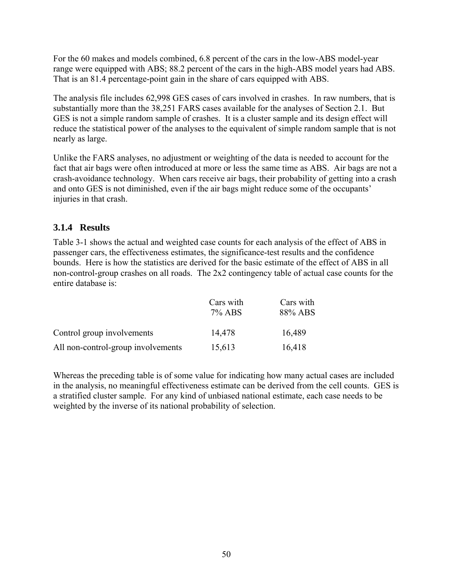For the 60 makes and models combined, 6.8 percent of the cars in the low-ABS model-year range were equipped with ABS; 88.2 percent of the cars in the high-ABS model years had ABS. That is an 81.4 percentage-point gain in the share of cars equipped with ABS.

The analysis file includes 62,998 GES cases of cars involved in crashes. In raw numbers, that is substantially more than the 38,251 FARS cases available for the analyses of Section 2.1. But GES is not a simple random sample of crashes. It is a cluster sample and its design effect will reduce the statistical power of the analyses to the equivalent of simple random sample that is not nearly as large.

Unlike the FARS analyses, no adjustment or weighting of the data is needed to account for the fact that air bags were often introduced at more or less the same time as ABS. Air bags are not a crash-avoidance technology. When cars receive air bags, their probability of getting into a crash and onto GES is not diminished, even if the air bags might reduce some of the occupants' injuries in that crash.

## **3.1.4 Results**

Table 3-1 shows the actual and weighted case counts for each analysis of the effect of ABS in passenger cars, the effectiveness estimates, the significance-test results and the confidence bounds. Here is how the statistics are derived for the basic estimate of the effect of ABS in all non-control-group crashes on all roads. The 2x2 contingency table of actual case counts for the entire database is:

|                                    | Cars with<br>$7\%$ ABS | Cars with<br>88% ABS |  |  |
|------------------------------------|------------------------|----------------------|--|--|
| Control group involvements         | 14,478                 | 16,489               |  |  |
| All non-control-group involvements | 15,613                 | 16,418               |  |  |

Whereas the preceding table is of some value for indicating how many actual cases are included in the analysis, no meaningful effectiveness estimate can be derived from the cell counts. GES is a stratified cluster sample. For any kind of unbiased national estimate, each case needs to be weighted by the inverse of its national probability of selection.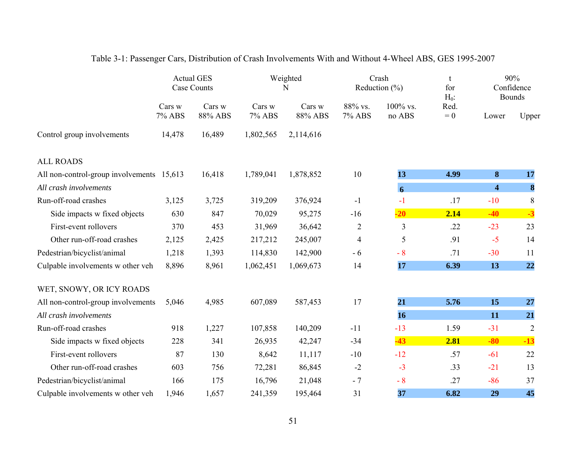|                                           | <b>Actual GES</b><br><b>Case Counts</b> |                   | Weighted<br>N    |                   | Crash<br>Reduction $(\% )$ |                       | t<br>for<br>$H_0$ : | 90%<br>Confidence<br><b>Bounds</b> |                  |
|-------------------------------------------|-----------------------------------------|-------------------|------------------|-------------------|----------------------------|-----------------------|---------------------|------------------------------------|------------------|
|                                           | Cars w<br>7% ABS                        | Cars w<br>88% ABS | Cars w<br>7% ABS | Cars w<br>88% ABS | 88% vs.<br>7% ABS          | $100\%$ vs.<br>no ABS | Red.<br>$= 0$       | Lower                              | Upper            |
| Control group involvements                | 14,478                                  | 16,489            | 1,802,565        | 2,114,616         |                            |                       |                     |                                    |                  |
| <b>ALL ROADS</b>                          |                                         |                   |                  |                   |                            |                       |                     |                                    |                  |
| All non-control-group involvements 15,613 |                                         | 16,418            | 1,789,041        | 1,878,852         | 10                         | 13                    | 4.99                | 8                                  | 17               |
| All crash involvements                    |                                         |                   |                  |                   |                            | 6                     |                     | $\overline{\mathbf{4}}$            | $\boldsymbol{8}$ |
| Run-off-road crashes                      | 3,125                                   | 3,725             | 319,209          | 376,924           | $-1$                       | $-1$                  | .17                 | $-10$                              | 8                |
| Side impacts w fixed objects              | 630                                     | 847               | 70,029           | 95,275            | $-16$                      | $-20$                 | 2.14                | $-40$                              | $-3$             |
| First-event rollovers                     | 370                                     | 453               | 31,969           | 36,642            | $\overline{2}$             | 3                     | .22                 | $-23$                              | 23               |
| Other run-off-road crashes                | 2,125                                   | 2,425             | 217,212          | 245,007           | 4                          | 5                     | .91                 | $-5$                               | 14               |
| Pedestrian/bicyclist/animal               | 1,218                                   | 1,393             | 114,830          | 142,900           | $-6$                       | $-8$                  | .71                 | $-30$                              | 11               |
| Culpable involvements w other veh         | 8,896                                   | 8,961             | 1,062,451        | 1,069,673         | 14                         | 17                    | 6.39                | 13                                 | 22               |
| WET, SNOWY, OR ICY ROADS                  |                                         |                   |                  |                   |                            |                       |                     |                                    |                  |
| All non-control-group involvements        | 5,046                                   | 4,985             | 607,089          | 587,453           | 17                         | 21                    | 5.76                | 15                                 | 27               |
| All crash involvements                    |                                         |                   |                  |                   |                            | 16                    |                     | 11                                 | 21               |
| Run-off-road crashes                      | 918                                     | 1,227             | 107,858          | 140,209           | $-11$                      | $-13$                 | 1.59                | $-31$                              | $\overline{2}$   |
| Side impacts w fixed objects              | 228                                     | 341               | 26,935           | 42,247            | $-34$                      | $-43$                 | 2.81                | $-80$                              | $-13$            |
| First-event rollovers                     | 87                                      | 130               | 8,642            | 11,117            | $-10$                      | $-12$                 | .57                 | $-61$                              | 22               |
| Other run-off-road crashes                | 603                                     | 756               | 72,281           | 86,845            | $-2$                       | $-3$                  | .33                 | $-21$                              | 13               |
| Pedestrian/bicyclist/animal               | 166                                     | 175               | 16,796           | 21,048            | $-7$                       | $-8$                  | .27                 | $-86$                              | 37               |
| Culpable involvements w other veh         | 1,946                                   | 1,657             | 241,359          | 195,464           | 31                         | 37                    | 6.82                | 29                                 | 45               |

# Table 3-1: Passenger Cars, Distribution of Crash Involvements With and Without 4-Wheel ABS, GES 1995-2007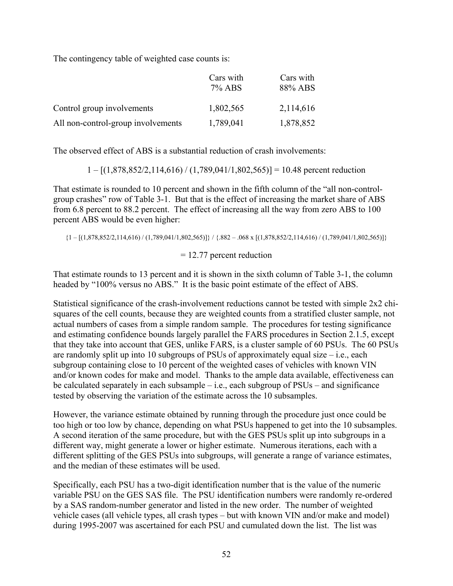The contingency table of weighted case counts is:

|                                    | Cars with<br>7% ABS | Cars with<br>88% ABS |
|------------------------------------|---------------------|----------------------|
| Control group involvements         | 1,802,565           | 2,114,616            |
| All non-control-group involvements | 1,789,041           | 1,878,852            |

The observed effect of ABS is a substantial reduction of crash involvements:

 $1 - [(1,878,852/2,114,616) / (1,789,041/1,802,565)] = 10.48$  percent reduction

That estimate is rounded to 10 percent and shown in the fifth column of the "all non-controlgroup crashes" row of Table 3-1. But that is the effect of increasing the market share of ABS from 6.8 percent to 88.2 percent. The effect of increasing all the way from zero ABS to 100 percent ABS would be even higher:

 ${1 - [(1,878,852/2,114,616) / (1,789,041/1,802,565)]} / {882 - .068 \times [(1,878,852/2,114,616) / (1,789,041/1,802,565)]}$ <br>= 12.77 percent reduction

That estimate rounds to 13 percent and it is shown in the sixth column of Table 3-1, the column headed by "100% versus no ABS." It is the basic point estimate of the effect of ABS.

Statistical significance of the crash-involvement reductions cannot be tested with simple 2x2 chisquares of the cell counts, because they are weighted counts from a stratified cluster sample, not actual numbers of cases from a simple random sample. The procedures for testing significance and estimating confidence bounds largely parallel the FARS procedures in Section 2.1.5, except that they take into account that GES, unlike FARS, is a cluster sample of 60 PSUs. The 60 PSUs are randomly split up into 10 subgroups of PSUs of approximately equal size  $-$  i.e., each subgroup containing close to 10 percent of the weighted cases of vehicles with known VIN and/or known codes for make and model. Thanks to the ample data available, effectiveness can be calculated separately in each subsample – i.e., each subgroup of  $PSUs$  – and significance tested by observing the variation of the estimate across the 10 subsamples.

However, the variance estimate obtained by running through the procedure just once could be too high or too low by chance, depending on what PSUs happened to get into the 10 subsamples. A second iteration of the same procedure, but with the GES PSUs split up into subgroups in a different way, might generate a lower or higher estimate. Numerous iterations, each with a different splitting of the GES PSUs into subgroups, will generate a range of variance estimates, and the median of these estimates will be used.

Specifically, each PSU has a two-digit identification number that is the value of the numeric variable PSU on the GES SAS file. The PSU identification numbers were randomly re-ordered by a SAS random-number generator and listed in the new order. The number of weighted vehicle cases (all vehicle types, all crash types – but with known VIN and/or make and model) during 1995-2007 was ascertained for each PSU and cumulated down the list. The list was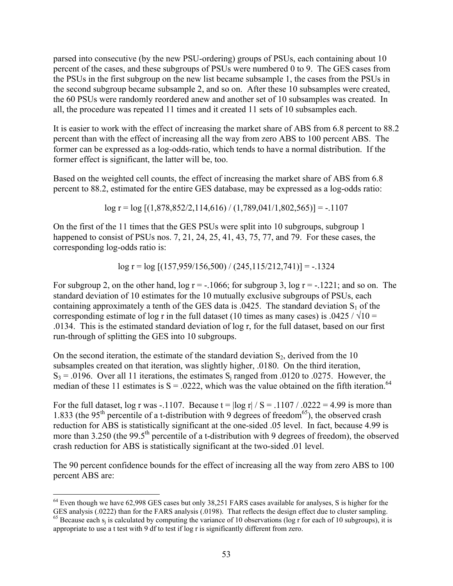parsed into consecutive (by the new PSU-ordering) groups of PSUs, each containing about 10 percent of the cases, and these subgroups of PSUs were numbered 0 to 9. The GES cases from the PSUs in the first subgroup on the new list became subsample 1, the cases from the PSUs in the second subgroup became subsample 2, and so on. After these 10 subsamples were created, the 60 PSUs were randomly reordered anew and another set of 10 subsamples was created. In all, the procedure was repeated 11 times and it created 11 sets of 10 subsamples each.

It is easier to work with the effect of increasing the market share of ABS from 6.8 percent to 88.2 percent than with the effect of increasing all the way from zero ABS to 100 percent ABS. The former can be expressed as a log-odds-ratio, which tends to have a normal distribution. If the former effect is significant, the latter will be, too.

Based on the weighted cell counts, the effect of increasing the market share of ABS from 6.8 percent to 88.2, estimated for the entire GES database, may be expressed as a log-odds ratio:

 $log r = log [(1,878,852/2,114,616)/(1,789,041/1,802,565)] = -1107$ 

On the first of the 11 times that the GES PSUs were split into 10 subgroups, subgroup 1 happened to consist of PSUs nos. 7, 21, 24, 25, 41, 43, 75, 77, and 79. For these cases, the corresponding log-odds ratio is:

 $log r = log [(157,959/156,500) / (245,115/212,741)] = -.1324$ 

For subgroup 2, on the other hand,  $\log r = -1066$ ; for subgroup 3,  $\log r = -1221$ ; and so on. The standard deviation of 10 estimates for the 10 mutually exclusive subgroups of PSUs, each containing approximately a tenth of the GES data is  $.0425$ . The standard deviation S<sub>1</sub> of the corresponding estimate of log r in the full dataset (10 times as many cases) is .0425 /  $\sqrt{10}$  = .0134. This is the estimated standard deviation of log r, for the full dataset, based on our first run-through of splitting the GES into 10 subgroups.

median of these 11 estimates is  $S = 0.0222$ , which was the value obtained on the fifth iteration.<sup>64</sup> On the second iteration, the estimate of the standard deviation  $S_2$ , derived from the 10 subsamples created on that iteration, was slightly higher, .0180. On the third iteration,  $S_3$  = .0196. Over all 11 iterations, the estimates  $S_i$  ranged from .0120 to .0275. However, the

For the full dataset, log r was -.1107. Because  $t = \log r / S = .1107 / .0222 = 4.99$  is more than 1.833 (the 95<sup>th</sup> percentile of a t-distribution with 9 degrees of freedom<sup>65</sup>), the observed crash reduction for ABS is statistically significant at the one-sided .05 level. In fact, because 4.99 is more than 3.250 (the 99.5<sup>th</sup> percentile of a t-distribution with 9 degrees of freedom), the observed crash reduction for ABS is statistically significant at the two-sided .01 level.

The 90 percent confidence bounds for the effect of increasing all the way from zero ABS to 100 percent ABS are:

 $\overline{a}$  $64$  Even though we have 62,998 GES cases but only 38,251 FARS cases available for analyses, S is higher for the GES analysis (.0222) than for the FARS analysis (.0198). That reflects the design effect due to cluster sampling.

 appropriate to use a t test with 9 df to test if log r is significantly different from zero. <sup>65</sup> Because each  $s_i$  is calculated by computing the variance of 10 observations (log r for each of 10 subgroups), it is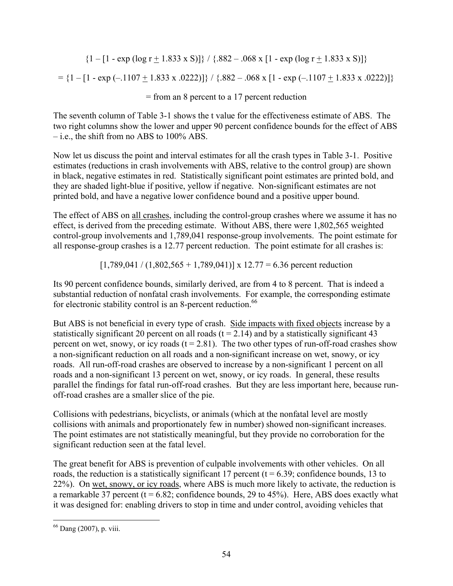$\{1 - [1 - \exp(\log r + 1.833 \times S)]\}$  /  $\{.882 - .068 \times [1 - \exp(\log r + 1.833 \times S)]\}$  $= {1 - [1 - exp(-.1107 + 1.833 \times .0222)]} / {.882 - .068 \times [1 - exp(-.1107 + 1.833 \times .0222)]}$ = from an 8 percent to a 17 percent reduction

The seventh column of Table 3-1 shows the t value for the effectiveness estimate of ABS. The two right columns show the lower and upper 90 percent confidence bounds for the effect of ABS – i.e., the shift from no ABS to 100% ABS.

Now let us discuss the point and interval estimates for all the crash types in Table 3-1. Positive estimates (reductions in crash involvements with ABS, relative to the control group) are shown in black, negative estimates in red. Statistically significant point estimates are printed bold, and they are shaded light-blue if positive, yellow if negative. Non-significant estimates are not printed bold, and have a negative lower confidence bound and a positive upper bound.

The effect of ABS on all crashes, including the control-group crashes where we assume it has no effect, is derived from the preceding estimate. Without ABS, there were 1,802,565 weighted control-group involvements and 1,789,041 response-group involvements. The point estimate for all response-group crashes is a 12.77 percent reduction. The point estimate for all crashes is:

 $[1,789,041 / (1,802,565 + 1,789,041)]$  x 12.77 = 6.36 percent reduction

Its 90 percent confidence bounds, similarly derived, are from 4 to 8 percent. That is indeed a substantial reduction of nonfatal crash involvements. For example, the corresponding estimate for electronic stability control is an 8-percent reduction.<sup>66</sup>

But ABS is not beneficial in every type of crash. Side impacts with fixed objects increase by a statistically significant 20 percent on all roads  $(t = 2.14)$  and by a statistically significant 43 percent on wet, snowy, or icy roads  $(t = 2.81)$ . The two other types of run-off-road crashes show a non-significant reduction on all roads and a non-significant increase on wet, snowy, or icy roads. All run-off-road crashes are observed to increase by a non-significant 1 percent on all roads and a non-significant 13 percent on wet, snowy, or icy roads. In general, these results parallel the findings for fatal run-off-road crashes. But they are less important here, because runoff-road crashes are a smaller slice of the pie.

Collisions with pedestrians, bicyclists, or animals (which at the nonfatal level are mostly collisions with animals and proportionately few in number) showed non-significant increases. The point estimates are not statistically meaningful, but they provide no corroboration for the significant reduction seen at the fatal level.

The great benefit for ABS is prevention of culpable involvements with other vehicles. On all roads, the reduction is a statistically significant 17 percent ( $t = 6.39$ ; confidence bounds, 13 to 22%). On wet, snowy, or icy roads, where ABS is much more likely to activate, the reduction is a remarkable 37 percent ( $t = 6.82$ ; confidence bounds, 29 to 45%). Here, ABS does exactly what it was designed for: enabling drivers to stop in time and under control, avoiding vehicles that

 $\overline{a}$ 66 Dang (2007), p. viii.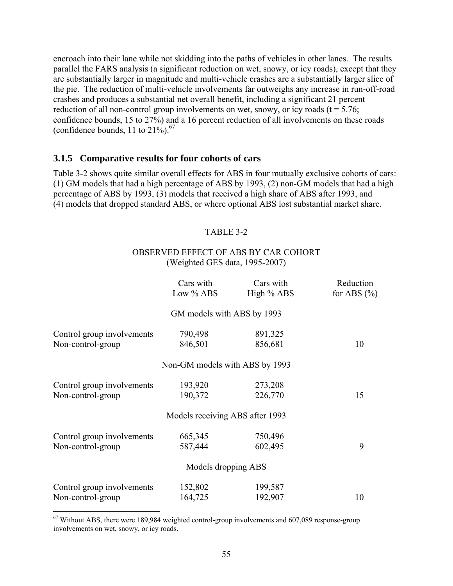encroach into their lane while not skidding into the paths of vehicles in other lanes. The results parallel the FARS analysis (a significant reduction on wet, snowy, or icy roads), except that they are substantially larger in magnitude and multi-vehicle crashes are a substantially larger slice of the pie. The reduction of multi-vehicle involvements far outweighs any increase in run-off-road crashes and produces a substantial net overall benefit, including a significant 21 percent reduction of all non-control group involvements on wet, snowy, or icy roads  $(t = 5.76)$ ; confidence bounds, 15 to 27%) and a 16 percent reduction of all involvements on these roads (confidence bounds, 11 to  $21\%$ ).<sup>67</sup>

#### **3.1.5 Comparative results for four cohorts of cars**

Table 3-2 shows quite similar overall effects for ABS in four mutually exclusive cohorts of cars: (1) GM models that had a high percentage of ABS by 1993, (2) non-GM models that had a high percentage of ABS by 1993, (3) models that received a high share of ABS after 1993, and (4) models that dropped standard ABS, or where optional ABS lost substantial market share.

#### TABLE 3-2

#### OBSERVED EFFECT OF ABS BY CAR COHORT (Weighted GES data, 1995-2007)

|                            | Cars with<br>Low % ABS          | Cars with<br>High $%$ ABS | Reduction<br>for ABS $(\% )$ |
|----------------------------|---------------------------------|---------------------------|------------------------------|
|                            | GM models with ABS by 1993      |                           |                              |
| Control group involvements | 790,498                         | 891,325                   |                              |
| Non-control-group          | 846,501                         | 856,681                   | 10                           |
|                            | Non-GM models with ABS by 1993  |                           |                              |
| Control group involvements | 193,920                         | 273,208                   |                              |
| Non-control-group          | 190,372                         | 226,770                   | 15                           |
|                            | Models receiving ABS after 1993 |                           |                              |
| Control group involvements | 665,345                         | 750,496                   |                              |
| Non-control-group          | 587,444                         | 602,495                   | 9                            |
|                            | Models dropping ABS             |                           |                              |
| Control group involvements | 152,802                         | 199,587                   |                              |
| Non-control-group          | 164,725                         | 192,907                   | 10                           |

 $67$  Without ABS, there were 189,984 weighted control-group involvements and  $607,089$  response-group involvements on wet, snowy, or icy roads.

 $\overline{a}$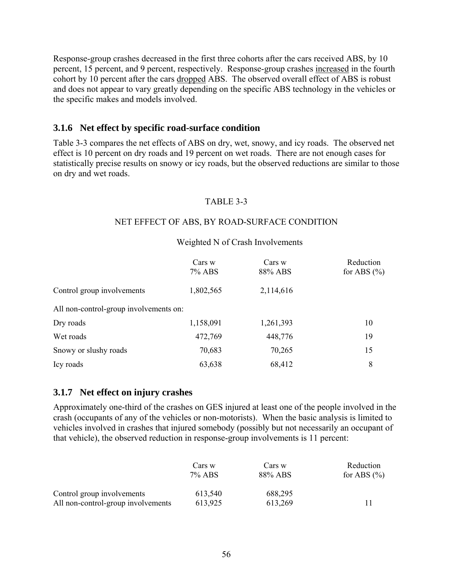Response-group crashes decreased in the first three cohorts after the cars received ABS, by 10 percent, 15 percent, and 9 percent, respectively. Response-group crashes increased in the fourth cohort by 10 percent after the cars dropped ABS. The observed overall effect of ABS is robust and does not appear to vary greatly depending on the specific ABS technology in the vehicles or the specific makes and models involved.

#### **3.1.6 Net effect by specific road-surface condition**

Table 3-3 compares the net effects of ABS on dry, wet, snowy, and icy roads. The observed net effect is 10 percent on dry roads and 19 percent on wet roads. There are not enough cases for statistically precise results on snowy or icy roads, but the observed reductions are similar to those on dry and wet roads.

#### TABLE 3-3

#### NET EFFECT OF ABS, BY ROAD-SURFACE CONDITION

#### Weighted N of Crash Involvements

|                                        | Cars w<br>7% ABS | Cars w<br>88% ABS | Reduction<br>for ABS $(\% )$ |
|----------------------------------------|------------------|-------------------|------------------------------|
| Control group involvements             | 1,802,565        | 2,114,616         |                              |
| All non-control-group involvements on: |                  |                   |                              |
| Dry roads                              | 1,158,091        | 1,261,393         | 10                           |
| Wet roads                              | 472,769          | 448,776           | 19                           |
| Snowy or slushy roads                  | 70,683           | 70,265            | 15                           |
| Icy roads                              | 63,638           | 68,412            | 8                            |

#### **3.1.7 Net effect on injury crashes**

Approximately one-third of the crashes on GES injured at least one of the people involved in the crash (occupants of any of the vehicles or non-motorists). When the basic analysis is limited to vehicles involved in crashes that injured somebody (possibly but not necessarily an occupant of that vehicle), the observed reduction in response-group involvements is 11 percent:

|                                    | Cars w    | Cars w  | Reduction       |
|------------------------------------|-----------|---------|-----------------|
|                                    | $7\%$ ABS | 88% ABS | for ABS $(\% )$ |
| Control group involvements         | 613,540   | 688,295 |                 |
| All non-control-group involvements | 613,925   | 613.269 |                 |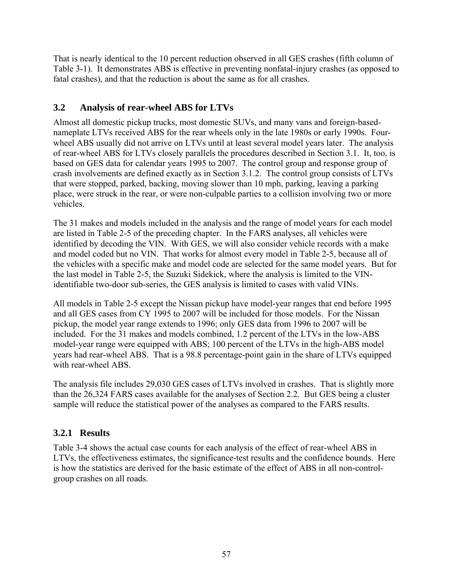That is nearly identical to the 10 percent reduction observed in all GES crashes (fifth column of Table 3-1). It demonstrates ABS is effective in preventing nonfatal-injury crashes (as opposed to fatal crashes), and that the reduction is about the same as for all crashes.

# **3.2 Analysis of rear-wheel ABS for LTVs**

Almost all domestic pickup trucks, most domestic SUVs, and many vans and foreign-basednameplate LTVs received ABS for the rear wheels only in the late 1980s or early 1990s. Fourwheel ABS usually did not arrive on LTVs until at least several model years later. The analysis of rear-wheel ABS for LTVs closely parallels the procedures described in Section 3.1. It, too, is based on GES data for calendar years 1995 to 2007. The control group and response group of crash involvements are defined exactly as in Section 3.1.2. The control group consists of LTVs that were stopped, parked, backing, moving slower than 10 mph, parking, leaving a parking place, were struck in the rear, or were non-culpable parties to a collision involving two or more vehicles.

The 31 makes and models included in the analysis and the range of model years for each model are listed in Table 2-5 of the preceding chapter. In the FARS analyses, all vehicles were identified by decoding the VIN. With GES, we will also consider vehicle records with a make and model coded but no VIN. That works for almost every model in Table 2-5, because all of the vehicles with a specific make and model code are selected for the same model years. But for the last model in Table 2-5, the Suzuki Sidekick, where the analysis is limited to the VINidentifiable two-door sub-series, the GES analysis is limited to cases with valid VINs.

All models in Table 2-5 except the Nissan pickup have model-year ranges that end before 1995 and all GES cases from CY 1995 to 2007 will be included for those models. For the Nissan pickup, the model year range extends to 1996; only GES data from 1996 to 2007 will be included. For the 31 makes and models combined, 1.2 percent of the LTVs in the low-ABS model-year range were equipped with ABS; 100 percent of the LTVs in the high-ABS model years had rear-wheel ABS. That is a 98.8 percentage-point gain in the share of LTVs equipped with rear-wheel ABS.

The analysis file includes 29,030 GES cases of LTVs involved in crashes. That is slightly more than the 26,324 FARS cases available for the analyses of Section 2.2. But GES being a cluster sample will reduce the statistical power of the analyses as compared to the FARS results.

# **3.2.1 Results**

Table 3-4 shows the actual case counts for each analysis of the effect of rear-wheel ABS in LTVs, the effectiveness estimates, the significance-test results and the confidence bounds. Here is how the statistics are derived for the basic estimate of the effect of ABS in all non-controlgroup crashes on all roads.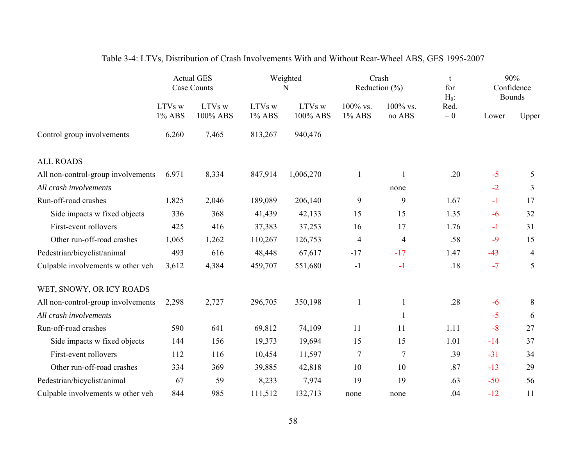|                                    | <b>Actual GES</b><br>Case Counts |                    | Weighted<br>N    |                    | Crash<br>Reduction $(\% )$ |                       | t<br>for<br>$H_0$ : | 90%<br>Confidence<br><b>Bounds</b> |                |
|------------------------------------|----------------------------------|--------------------|------------------|--------------------|----------------------------|-----------------------|---------------------|------------------------------------|----------------|
|                                    | LTVs w<br>1% ABS                 | LTVs w<br>100% ABS | LTVs w<br>1% ABS | LTVs w<br>100% ABS | 100% vs.<br>1% ABS         | $100\%$ vs.<br>no ABS | Red.<br>$= 0$       | Lower                              | Upper          |
| Control group involvements         | 6,260                            | 7,465              | 813,267          | 940,476            |                            |                       |                     |                                    |                |
| <b>ALL ROADS</b>                   |                                  |                    |                  |                    |                            |                       |                     |                                    |                |
| All non-control-group involvements | 6,971                            | 8,334              | 847,914          | 1,006,270          | $\mathbf{1}$               | $\mathbf{1}$          | .20                 | $-5$                               | 5              |
| All crash involvements             |                                  |                    |                  |                    |                            | none                  |                     | $-2$                               | 3              |
| Run-off-road crashes               | 1,825                            | 2,046              | 189,089          | 206,140            | 9                          | 9                     | 1.67                | $-1$                               | 17             |
| Side impacts w fixed objects       | 336                              | 368                | 41,439           | 42,133             | 15                         | 15                    | 1.35                | $-6$                               | 32             |
| First-event rollovers              | 425                              | 416                | 37,383           | 37,253             | 16                         | 17                    | 1.76                | $-1$                               | 31             |
| Other run-off-road crashes         | 1,065                            | 1,262              | 110,267          | 126,753            | 4                          | $\overline{4}$        | .58                 | $-9$                               | 15             |
| Pedestrian/bicyclist/animal        | 493                              | 616                | 48,448           | 67,617             | $-17$                      | $-17$                 | 1.47                | $-43$                              | $\overline{4}$ |
| Culpable involvements w other veh  | 3,612                            | 4,384              | 459,707          | 551,680            | $-1$                       | $-1$                  | .18                 | $-7$                               | 5              |
| WET, SNOWY, OR ICY ROADS           |                                  |                    |                  |                    |                            |                       |                     |                                    |                |
| All non-control-group involvements | 2,298                            | 2,727              | 296,705          | 350,198            | $\mathbf{1}$               | $\mathbf{1}$          | .28                 | $-6$                               | 8              |
| All crash involvements             |                                  |                    |                  |                    |                            | $\mathbf{1}$          |                     | $-5$                               | 6              |
| Run-off-road crashes               | 590                              | 641                | 69,812           | 74,109             | 11                         | 11                    | 1.11                | $-8$                               | 27             |
| Side impacts w fixed objects       | 144                              | 156                | 19,373           | 19,694             | 15                         | 15                    | 1.01                | $-14$                              | 37             |
| First-event rollovers              | 112                              | 116                | 10,454           | 11,597             | $\overline{7}$             | $\tau$                | .39                 | $-31$                              | 34             |
| Other run-off-road crashes         | 334                              | 369                | 39,885           | 42,818             | 10                         | 10                    | .87                 | $-13$                              | 29             |
| Pedestrian/bicyclist/animal        | 67                               | 59                 | 8,233            | 7,974              | 19                         | 19                    | .63                 | $-50$                              | 56             |
| Culpable involvements w other veh  | 844                              | 985                | 111,512          | 132,713            | none                       | none                  | .04                 | $-12$                              | 11             |

# Table 3-4: LTVs, Distribution of Crash Involvements With and Without Rear-Wheel ABS, GES 1995-2007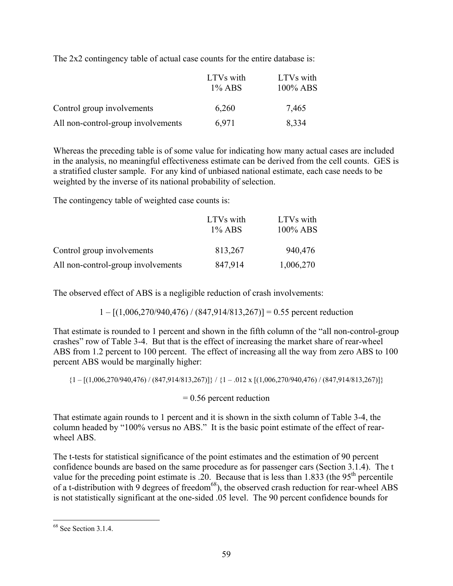The 2x2 contingency table of actual case counts for the entire database is:

|                                    | LTVs with<br>$1\%$ ABS | LTVs with<br>$100\%$ ABS |
|------------------------------------|------------------------|--------------------------|
| Control group involvements         | 6,260                  | 7,465                    |
| All non-control-group involvements | 6.971                  | 8,334                    |

Whereas the preceding table is of some value for indicating how many actual cases are included in the analysis, no meaningful effectiveness estimate can be derived from the cell counts. GES is a stratified cluster sample. For any kind of unbiased national estimate, each case needs to be weighted by the inverse of its national probability of selection.

The contingency table of weighted case counts is:

|                                    | LTVs with<br>$1\%$ ABS | LTVs with<br>$100\%$ ABS |
|------------------------------------|------------------------|--------------------------|
|                                    |                        |                          |
| Control group involvements         | 813,267                | 940,476                  |
| All non-control-group involvements | 847,914                | 1,006,270                |

The observed effect of ABS is a negligible reduction of crash involvements:

 $1 - [(1,006,270/940,476) / (847,914/813,267)] = 0.55$  percent reduction

That estimate is rounded to 1 percent and shown in the fifth column of the "all non-control-group crashes" row of Table 3-4. But that is the effect of increasing the market share of rear-wheel ABS from 1.2 percent to 100 percent. The effect of increasing all the way from zero ABS to 100 percent ABS would be marginally higher:

 ${1 - [(1,006,270/940,476) / (847,914/813,267)]} / {1 - .012 \times [(1,006,270/940,476) / (847,914/813,267)]}$ <br>= 0.56 percent reduction

That estimate again rounds to 1 percent and it is shown in the sixth column of Table 3-4, the column headed by "100% versus no ABS." It is the basic point estimate of the effect of rearwheel ABS

The t-tests for statistical significance of the point estimates and the estimation of 90 percent confidence bounds are based on the same procedure as for passenger cars (Section 3.1.4). The t value for the preceding point estimate is .20. Because that is less than  $1.833$  (the 95<sup>th</sup> percentile of a t-distribution with 9 degrees of freedom<sup>68</sup>), the observed crash reduction for rear-wheel ABS is not statistically significant at the one-sided .05 level. The 90 percent confidence bounds for

<sup>&</sup>lt;u>.</u> <sup>68</sup> See Section 3.1.4.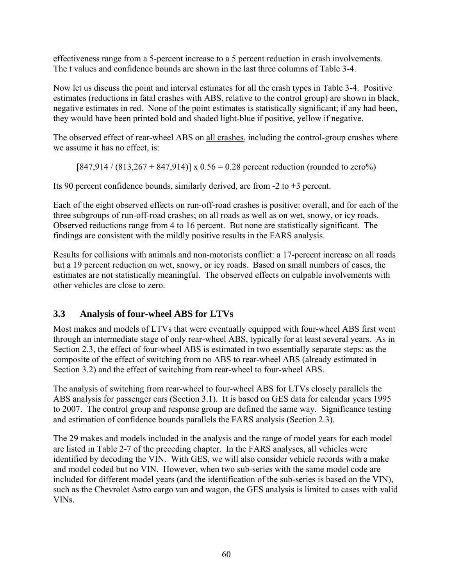effectiveness range from a 5-percent increase to a 5 percent reduction in crash involvements. The t values and confidence bounds are shown in the last three columns of Table 3-4.

Now let us discuss the point and interval estimates for all the crash types in Table 3-4. Positive estimates (reductions in fatal crashes with ABS, relative to the control group) are shown in black, negative estimates in red. None of the point estimates is statistically significant; if any had been, they would have been printed bold and shaded light-blue if positive, yellow if negative.

The observed effect of rear-wheel ABS on all crashes, including the control-group crashes where we assume it has no effect, is:

 $[847,914 / (813,267 + 847,914)] \times 0.56 = 0.28$  percent reduction (rounded to zero%)

Its 90 percent confidence bounds, similarly derived, are from -2 to +3 percent.

Each of the eight observed effects on run-off-road crashes is positive: overall, and for each of the three subgroups of run-off-road crashes; on all roads as well as on wet, snowy, or icy roads. Observed reductions range from 4 to 16 percent. But none are statistically significant. The findings are consistent with the mildly positive results in the FARS analysis.

Results for collisions with animals and non-motorists conflict: a 17-percent increase on all roads but a 19 percent reduction on wet, snowy, or icy roads. Based on small numbers of cases, the estimates are not statistically meaningful. The observed effects on culpable involvements with other vehicles are close to zero.

# **3.3 Analysis of four-wheel ABS for LTVs**

Most makes and models of LTVs that were eventually equipped with four-wheel ABS first went through an intermediate stage of only rear-wheel ABS, typically for at least several years. As in Section 2.3, the effect of four-wheel ABS is estimated in two essentially separate steps: as the composite of the effect of switching from no ABS to rear-wheel ABS (already estimated in Section 3.2) and the effect of switching from rear-wheel to four-wheel ABS.

The analysis of switching from rear-wheel to four-wheel ABS for LTVs closely parallels the ABS analysis for passenger cars (Section 3.1). It is based on GES data for calendar years 1995 to 2007. The control group and response group are defined the same way. Significance testing and estimation of confidence bounds parallels the FARS analysis (Section 2.3).

The 29 makes and models included in the analysis and the range of model years for each model are listed in Table 2-7 of the preceding chapter. In the FARS analyses, all vehicles were identified by decoding the VIN. With GES, we will also consider vehicle records with a make and model coded but no VIN. However, when two sub-series with the same model code are included for different model years (and the identification of the sub-series is based on the VIN), such as the Chevrolet Astro cargo van and wagon, the GES analysis is limited to cases with valid VINs.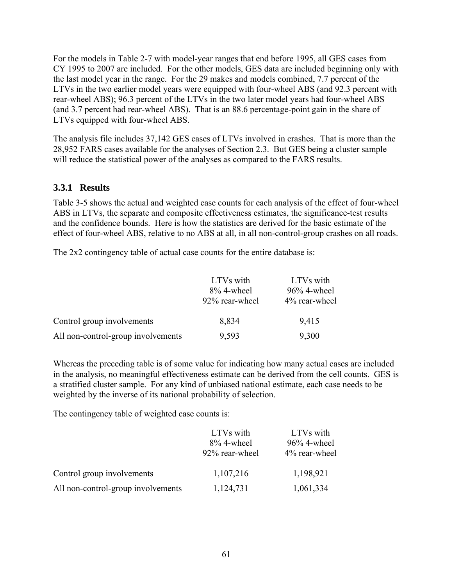For the models in Table 2-7 with model-year ranges that end before 1995, all GES cases from CY 1995 to 2007 are included. For the other models, GES data are included beginning only with the last model year in the range. For the 29 makes and models combined, 7.7 percent of the LTVs in the two earlier model years were equipped with four-wheel ABS (and 92.3 percent with rear-wheel ABS); 96.3 percent of the LTVs in the two later model years had four-wheel ABS (and 3.7 percent had rear-wheel ABS). That is an 88.6 percentage-point gain in the share of LTVs equipped with four-wheel ABS.

The analysis file includes 37,142 GES cases of LTVs involved in crashes. That is more than the 28,952 FARS cases available for the analyses of Section 2.3. But GES being a cluster sample will reduce the statistical power of the analyses as compared to the FARS results.

## **3.3.1 Results**

Table 3-5 shows the actual and weighted case counts for each analysis of the effect of four-wheel ABS in LTVs, the separate and composite effectiveness estimates, the significance-test results and the confidence bounds. Here is how the statistics are derived for the basic estimate of the effect of four-wheel ABS, relative to no ABS at all, in all non-control-group crashes on all roads.

The 2x2 contingency table of actual case counts for the entire database is:

|                                    | LTVs with      | LTVs with      |
|------------------------------------|----------------|----------------|
|                                    | $8\%$ 4-wheel  | $96\%$ 4-wheel |
|                                    | 92% rear-wheel | 4% rear-wheel  |
| Control group involvements         | 8,834          | 9,415          |
| All non-control-group involvements | 9,593          | 9,300          |

Whereas the preceding table is of some value for indicating how many actual cases are included in the analysis, no meaningful effectiveness estimate can be derived from the cell counts. GES is a stratified cluster sample. For any kind of unbiased national estimate, each case needs to be weighted by the inverse of its national probability of selection.

The contingency table of weighted case counts is:

|                                    | LTVs with      | LTVs with      |
|------------------------------------|----------------|----------------|
|                                    | $8\%$ 4-wheel  | $96\%$ 4-wheel |
|                                    | 92% rear-wheel | 4% rear-wheel  |
| Control group involvements         | 1,107,216      | 1,198,921      |
| All non-control-group involvements | 1,124,731      | 1,061,334      |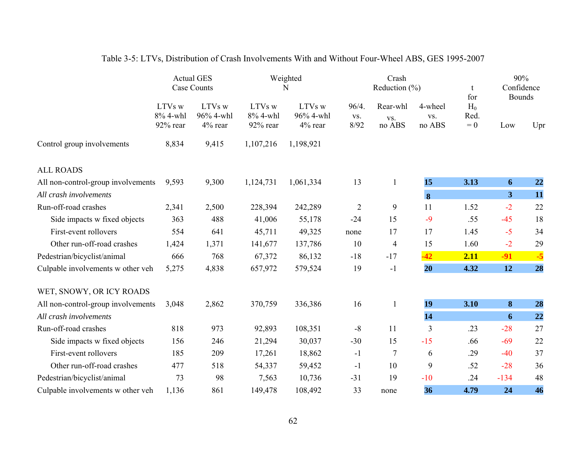|                                    |                                | <b>Actual GES</b><br>Case Counts | Weighted<br>N                  |                                | Crash<br>Reduction $(\% )$ |                           | t<br>for                 | 90%<br>Confidence<br><b>Bounds</b> |                         |      |
|------------------------------------|--------------------------------|----------------------------------|--------------------------------|--------------------------------|----------------------------|---------------------------|--------------------------|------------------------------------|-------------------------|------|
|                                    | LTVs w<br>8% 4-whl<br>92% rear | LTVs w<br>96% 4-whl<br>4% rear   | LTVs w<br>8% 4-whl<br>92% rear | LTVs w<br>96% 4-whl<br>4% rear | 96/4.<br>VS.<br>8/92       | Rear-whl<br>VS.<br>no ABS | 4-wheel<br>VS.<br>no ABS | $H_0$<br>Red.<br>$= 0$             | Low                     | Upr  |
| Control group involvements         | 8,834                          | 9,415                            | 1,107,216                      | 1,198,921                      |                            |                           |                          |                                    |                         |      |
| <b>ALL ROADS</b>                   |                                |                                  |                                |                                |                            |                           |                          |                                    |                         |      |
| All non-control-group involvements | 9,593                          | 9,300                            | 1,124,731                      | 1,061,334                      | 13                         | $\mathbf{1}$              | 15                       | 3.13                               | 6                       | 22   |
| All crash involvements             |                                |                                  |                                |                                |                            |                           | $\bf{8}$                 |                                    | $\overline{\mathbf{3}}$ | 11   |
| Run-off-road crashes               | 2,341                          | 2,500                            | 228,394                        | 242,289                        | $\overline{2}$             | 9                         | 11                       | 1.52                               | $-2$                    | 22   |
| Side impacts w fixed objects       | 363                            | 488                              | 41,006                         | 55,178                         | $-24$                      | 15                        | $-9$                     | .55                                | $-45$                   | 18   |
| First-event rollovers              | 554                            | 641                              | 45,711                         | 49,325                         | none                       | 17                        | 17                       | 1.45                               | $-5$                    | 34   |
| Other run-off-road crashes         | 1,424                          | 1,371                            | 141,677                        | 137,786                        | 10                         | $\overline{4}$            | 15                       | 1.60                               | $-2$                    | 29   |
| Pedestrian/bicyclist/animal        | 666                            | 768                              | 67,372                         | 86,132                         | $-18$                      | $-17$                     | $-42$                    | 2.11                               | $-91$                   | $-5$ |
| Culpable involvements w other veh  | 5,275                          | 4,838                            | 657,972                        | 579,524                        | 19                         | $-1$                      | 20                       | 4.32                               | 12                      | 28   |
| WET, SNOWY, OR ICY ROADS           |                                |                                  |                                |                                |                            |                           |                          |                                    |                         |      |
| All non-control-group involvements | 3,048                          | 2,862                            | 370,759                        | 336,386                        | 16                         | $\mathbf{1}$              | 19                       | 3.10                               | 8                       | 28   |
| All crash involvements             |                                |                                  |                                |                                |                            |                           | 14                       |                                    | 6                       | 22   |
| Run-off-road crashes               | 818                            | 973                              | 92,893                         | 108,351                        | $-8$                       | 11                        | 3                        | .23                                | $-28$                   | 27   |
| Side impacts w fixed objects       | 156                            | 246                              | 21,294                         | 30,037                         | $-30$                      | 15                        | $-15$                    | .66                                | $-69$                   | 22   |
| First-event rollovers              | 185                            | 209                              | 17,261                         | 18,862                         | $-1$                       | 7                         | 6                        | .29                                | $-40$                   | 37   |
| Other run-off-road crashes         | 477                            | 518                              | 54,337                         | 59,452                         | $-1$                       | 10                        | 9                        | .52                                | $-28$                   | 36   |
| Pedestrian/bicyclist/animal        | 73                             | 98                               | 7,563                          | 10,736                         | $-31$                      | 19                        | $-10$                    | .24                                | $-134$                  | 48   |
| Culpable involvements w other veh  | 1,136                          | 861                              | 149,478                        | 108,492                        | 33                         | none                      | 36                       | 4.79                               | 24                      | 46   |

# Table 3-5: LTVs, Distribution of Crash Involvements With and Without Four-Wheel ABS, GES 1995-2007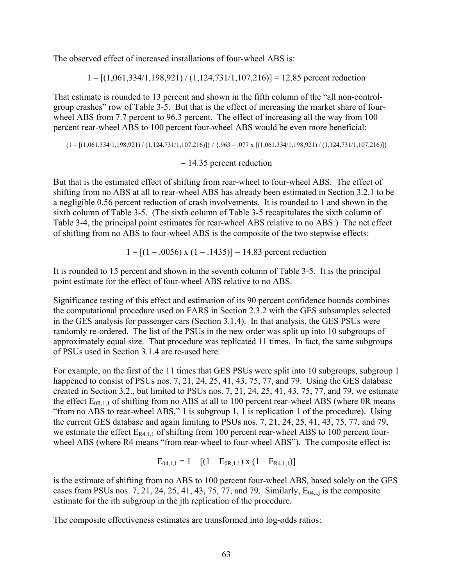The observed effect of increased installations of four-wheel ABS is:

 $1 - [(1,061,334/1,198,921)/(1,124,731/1,107,216)] = 12.85$  percent reduction

That estimate is rounded to 13 percent and shown in the fifth column of the "all non-controlgroup crashes" row of Table 3-5. But that is the effect of increasing the market share of fourwheel ABS from 7.7 percent to 96.3 percent. The effect of increasing all the way from 100 percent rear-wheel ABS to 100 percent four-wheel ABS would be even more beneficial:

 ${1 - [(1,061,334/1,198,921) / (1,124,731/1,107,216)]} / {0.963 - .077 \times [(1,061,334/1,198,921) / (1,124,731/1,107,216)]}$ <br>= 14.35 percent reduction

But that is the estimated effect of shifting from rear-wheel to four-wheel ABS. The effect of shifting from no ABS at all to rear-wheel ABS has already been estimated in Section 3.2.1 to be a negligible 0.56 percent reduction of crash involvements. It is rounded to 1 and shown in the sixth column of Table 3-5. (The sixth column of Table 3-5 recapitulates the sixth column of Table 3-4, the principal point estimates for rear-wheel ABS relative to no ABS.) The net effect of shifting from no ABS to four-wheel ABS is the composite of the two stepwise effects:

 $1 - [(1 - .0056) \times (1 - .1435)] = 14.83$  percent reduction

It is rounded to 15 percent and shown in the seventh column of Table 3-5. It is the principal point estimate for the effect of four-wheel ABS relative to no ABS.

Significance testing of this effect and estimation of its 90 percent confidence bounds combines the computational procedure used on FARS in Section 2.3.2 with the GES subsamples selected in the GES analysis for passenger cars (Section 3.1.4). In that analysis, the GES PSUs were randomly re-ordered. The list of the PSUs in the new order was split up into 10 subgroups of approximately equal size. That procedure was replicated 11 times. In fact, the same subgroups of PSUs used in Section 3.1.4 are re-used here.

For example, on the first of the 11 times that GES PSUs were split into 10 subgroups, subgroup 1 happened to consist of PSUs nos. 7, 21, 24, 25, 41, 43, 75, 77, and 79. Using the GES database created in Section 3.2., but limited to PSUs nos. 7, 21, 24, 25, 41, 43, 75, 77, and 79, we estimate the effect  $E_{0R,1,1}$  of shifting from no ABS at all to 100 percent rear-wheel ABS (where 0R means "from no ABS to rear-wheel ABS," 1 is subgroup 1, 1 is replication 1 of the procedure). Using the current GES database and again limiting to PSUs nos. 7, 21, 24, 25, 41, 43, 75, 77, and 79, we estimate the effect  $E_{R4,1,1}$  of shifting from 100 percent rear-wheel ABS to 100 percent fourwheel ABS (where R4 means "from rear-wheel to four-wheel ABS"). The composite effect is:

$$
E_{04,1,1} = 1 - [(1 - E_{0R,1,1}) \times (1 - E_{R4,1,1})]
$$

is the estimate of shifting from no ABS to 100 percent four-wheel ABS, based solely on the GES cases from PSUs nos. 7, 21, 24, 25, 41, 43, 75, 77, and 79. Similarly,  $E_{0,4,i,j}$  is the composite estimate for the ith subgroup in the jth replication of the procedure.

The composite effectiveness estimates are transformed into log-odds ratios: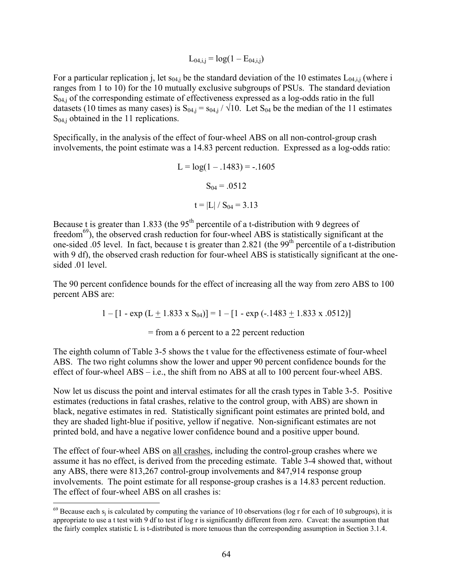$$
L_{04,i,j} = log(1 - E_{04,i,j})
$$

For a particular replication j, let  $s_{04,i}$  be the standard deviation of the 10 estimates  $L_{04,i,i}$  (where i ranges from 1 to 10) for the 10 mutually exclusive subgroups of PSUs. The standard deviation  $S<sub>04,i</sub>$  of the corresponding estimate of effectiveness expressed as a log-odds ratio in the full datasets (10 times as many cases) is  $S_{04,i} = S_{04,i} / \sqrt{10}$ . Let  $S_{04}$  be the median of the 11 estimates  $S_{04,i}$  obtained in the 11 replications.

Specifically, in the analysis of the effect of four-wheel ABS on all non-control-group crash involvements, the point estimate was a 14.83 percent reduction. Expressed as a log-odds ratio:

$$
L = log(1 - .1483) = -.1605
$$

$$
S_{04} = .0512
$$

$$
t = |L| / S_{04} = 3.13
$$

Because t is greater than 1.833 (the  $95<sup>th</sup>$  percentile of a t-distribution with 9 degrees of freedom<sup>69</sup>), the observed crash reduction for four-wheel ABS is statistically significant at the one-sided .05 level. In fact, because t is greater than 2.821 (the 99<sup>th</sup> percentile of a t-distribution with 9 df), the observed crash reduction for four-wheel ABS is statistically significant at the onesided .01 level.

The 90 percent confidence bounds for the effect of increasing all the way from zero ABS to 100 percent ABS are:

 $1 - [1 - \exp(L + 1.833 \times S_{04})] = 1 - [1 - \exp(-.1483 + 1.833 \times .0512)]$ 

= from a 6 percent to a 22 percent reduction

The eighth column of Table 3-5 shows the t value for the effectiveness estimate of four-wheel ABS. The two right columns show the lower and upper 90 percent confidence bounds for the effect of four-wheel ABS – i.e., the shift from no ABS at all to 100 percent four-wheel ABS.

Now let us discuss the point and interval estimates for all the crash types in Table 3-5. Positive estimates (reductions in fatal crashes, relative to the control group, with ABS) are shown in black, negative estimates in red. Statistically significant point estimates are printed bold, and they are shaded light-blue if positive, yellow if negative. Non-significant estimates are not printed bold, and have a negative lower confidence bound and a positive upper bound.

The effect of four-wheel ABS on all crashes, including the control-group crashes where we assume it has no effect, is derived from the preceding estimate. Table 3-4 showed that, without any ABS, there were 813,267 control-group involvements and 847,914 response group involvements. The point estimate for all response-group crashes is a 14.83 percent reduction. The effect of four-wheel ABS on all crashes is:

 $\overline{a}$ 

 appropriate to use a t test with 9 df to test if log r is significantly different from zero. Caveat: the assumption that the fairly complex statistic L is t-distributed is more tenuous than the corresponding assumption in Section 3.1.4.  $69$  Because each s<sub>i</sub> is calculated by computing the variance of 10 observations (log r for each of 10 subgroups), it is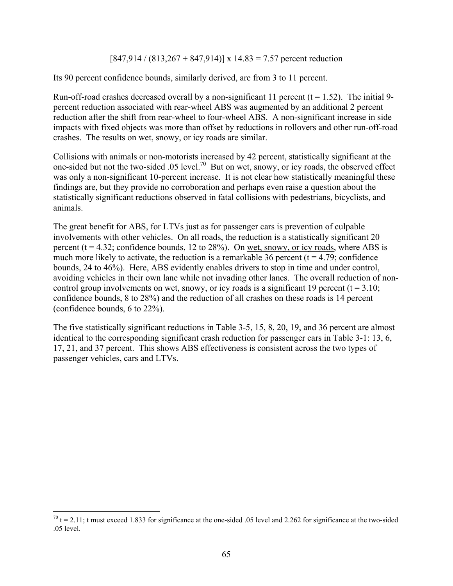$[847,914 / (813,267 + 847,914)] \times 14.83 = 7.57$  percent reduction

Its 90 percent confidence bounds, similarly derived, are from 3 to 11 percent.

Run-off-road crashes decreased overall by a non-significant 11 percent  $(t = 1.52)$ . The initial 9percent reduction associated with rear-wheel ABS was augmented by an additional 2 percent reduction after the shift from rear-wheel to four-wheel ABS. A non-significant increase in side impacts with fixed objects was more than offset by reductions in rollovers and other run-off-road crashes. The results on wet, snowy, or icy roads are similar.

Collisions with animals or non-motorists increased by 42 percent, statistically significant at the one-sided but not the two-sided .05 level.<sup>70</sup> But on wet, snowy, or icy roads, the observed effect was only a non-significant 10-percent increase. It is not clear how statistically meaningful these findings are, but they provide no corroboration and perhaps even raise a question about the statistically significant reductions observed in fatal collisions with pedestrians, bicyclists, and animals.

The great benefit for ABS, for LTVs just as for passenger cars is prevention of culpable involvements with other vehicles. On all roads, the reduction is a statistically significant 20 percent ( $t = 4.32$ ; confidence bounds, 12 to 28%). On wet, snowy, or icy roads, where ABS is much more likely to activate, the reduction is a remarkable 36 percent  $(t = 4.79)$ ; confidence bounds, 24 to 46%). Here, ABS evidently enables drivers to stop in time and under control, avoiding vehicles in their own lane while not invading other lanes. The overall reduction of noncontrol group involvements on wet, snowy, or icy roads is a significant 19 percent ( $t = 3.10$ ; confidence bounds, 8 to 28%) and the reduction of all crashes on these roads is 14 percent (confidence bounds, 6 to 22%).

The five statistically significant reductions in Table 3-5, 15, 8, 20, 19, and 36 percent are almost identical to the corresponding significant crash reduction for passenger cars in Table 3-1: 13, 6, 17, 21, and 37 percent. This shows ABS effectiveness is consistent across the two types of passenger vehicles, cars and LTVs.

 $\overline{a}$ 

 $70$  t = 2.11; t must exceed 1.833 for significance at the one-sided .05 level and 2.262 for significance at the two-sided .05 level.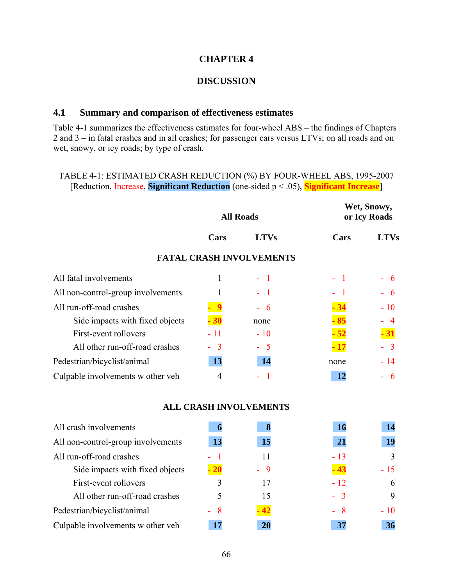#### **CHAPTER 4**

#### **DISCUSSION**

#### **4.1 Summary and comparison of effectiveness estimates**

Table 4-1 summarizes the effectiveness estimates for four-wheel ABS – the findings of Chapters 2 and 3 – in fatal crashes and in all crashes; for passenger cars versus LTVs; on all roads and on wet, snowy, or icy roads; by type of crash.

## TABLE 4-1: ESTIMATED CRASH REDUCTION (%) BY FOUR-WHEEL ABS, 1995-2007 [Reduction, Increase, **Significant Reduction** (one-sided p < .05), **Significant Increase**]

|                                    | <b>All Roads</b> |                                 | Wet, Snowy,<br>or Icy Roads |             |  |
|------------------------------------|------------------|---------------------------------|-----------------------------|-------------|--|
|                                    | Cars             | <b>LTVs</b>                     | Cars                        | <b>LTVs</b> |  |
|                                    |                  | <b>FATAL CRASH INVOLVEMENTS</b> |                             |             |  |
| All fatal involvements             | 1                | $-1$                            | - 1                         | - 6         |  |
| All non-control-group involvements |                  | - 1                             |                             | 6           |  |
| All run-off-road crashes           |                  | $-6$                            |                             | $-10$       |  |
| Side impacts with fixed objects    | 30               | none                            |                             |             |  |
| First-event rollovers              | $-11$            | $-10$                           |                             | $\cdot$ 31  |  |
| All other run-off-road crashes     | $-3$             | $-5$                            | $\cdot$ 17                  | $-3$        |  |
| Pedestrian/bicyclist/animal        | 13               | 14                              | none                        | $-14$       |  |
| Culpable involvements w other veh  | 4                | - 1                             | 12                          | - 6         |  |
|                                    |                  | <b>ALL CRASH INVOLVEMENTS</b>   |                             |             |  |
| All crash involvements             | 6                | 8                               | <b>16</b>                   | 14          |  |

|                                    |            |           | --    |       |
|------------------------------------|------------|-----------|-------|-------|
| All non-control-group involvements | 13         | <b>15</b> | 21    | 19    |
| All run-off-road crashes           |            | 11        | $-13$ | 3     |
| Side impacts with fixed objects    | $\cdot$ 20 | - 9       | $-43$ | $-15$ |
| First-event rollovers              | 3          | 17        | $-12$ | 6     |
| All other run-off-road crashes     |            | 15        | $-3$  | 9     |
| Pedestrian/bicyclist/animal        | - 8        | 42        | - 8   | - 10  |
| Culpable involvements w other veh  |            | 20        | 37    | 36    |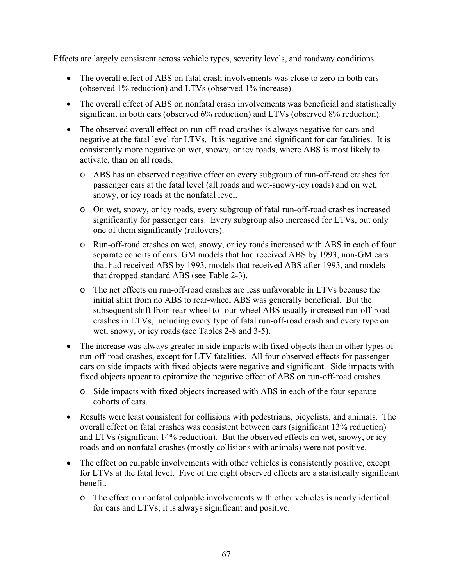Effects are largely consistent across vehicle types, severity levels, and roadway conditions.

- The overall effect of ABS on fatal crash involvements was close to zero in both cars (observed 1% reduction) and LTVs (observed 1% increase).
- The overall effect of ABS on nonfatal crash involvements was beneficial and statistically significant in both cars (observed 6% reduction) and LTVs (observed 8% reduction).
- The observed overall effect on run-off-road crashes is always negative for cars and negative at the fatal level for LTVs. It is negative and significant for car fatalities. It is consistently more negative on wet, snowy, or icy roads, where ABS is most likely to activate, than on all roads.
	- o ABS has an observed negative effect on every subgroup of run-off-road crashes for passenger cars at the fatal level (all roads and wet-snowy-icy roads) and on wet, snowy, or icy roads at the nonfatal level.
	- o On wet, snowy, or icy roads, every subgroup of fatal run-off-road crashes increased significantly for passenger cars. Every subgroup also increased for LTVs, but only one of them significantly (rollovers).
	- o Run-off-road crashes on wet, snowy, or icy roads increased with ABS in each of four separate cohorts of cars: GM models that had received ABS by 1993, non-GM cars that had received ABS by 1993, models that received ABS after 1993, and models that dropped standard ABS (see Table 2-3).
	- o The net effects on run-off-road crashes are less unfavorable in LTVs because the initial shift from no ABS to rear-wheel ABS was generally beneficial. But the subsequent shift from rear-wheel to four-wheel ABS usually increased run-off-road crashes in LTVs, including every type of fatal run-off-road crash and every type on wet, snowy, or icy roads (see Tables 2-8 and 3-5).
- The increase was always greater in side impacts with fixed objects than in other types of run-off-road crashes, except for LTV fatalities. All four observed effects for passenger cars on side impacts with fixed objects were negative and significant. Side impacts with fixed objects appear to epitomize the negative effect of ABS on run-off-road crashes.
	- o Side impacts with fixed objects increased with ABS in each of the four separate cohorts of cars.
- Results were least consistent for collisions with pedestrians, bicyclists, and animals. The overall effect on fatal crashes was consistent between cars (significant 13% reduction) and LTVs (significant 14% reduction). But the observed effects on wet, snowy, or icy roads and on nonfatal crashes (mostly collisions with animals) were not positive.
- The effect on culpable involvements with other vehicles is consistently positive, except for LTVs at the fatal level. Five of the eight observed effects are a statistically significant benefit.
	- o The effect on nonfatal culpable involvements with other vehicles is nearly identical for cars and LTVs; it is always significant and positive.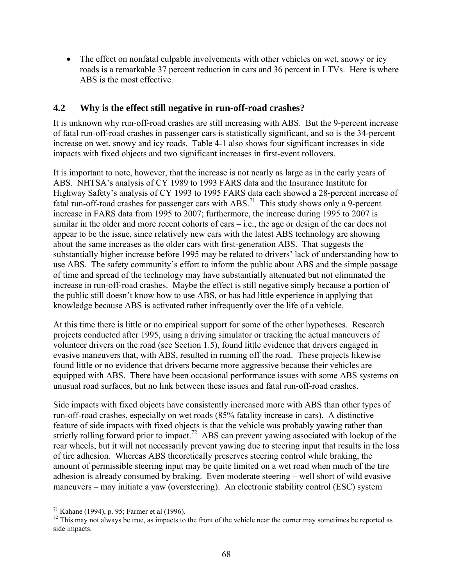• The effect on nonfatal culpable involvements with other vehicles on wet, snowy or icy roads is a remarkable 37 percent reduction in cars and 36 percent in LTVs. Here is where ABS is the most effective.

### **4.2 Why is the effect still negative in run-off-road crashes?**

It is unknown why run-off-road crashes are still increasing with ABS. But the 9-percent increase of fatal run-off-road crashes in passenger cars is statistically significant, and so is the 34-percent increase on wet, snowy and icy roads. Table 4-1 also shows four significant increases in side impacts with fixed objects and two significant increases in first-event rollovers.

It is important to note, however, that the increase is not nearly as large as in the early years of ABS. NHTSA's analysis of CY 1989 to 1993 FARS data and the Insurance Institute for Highway Safety's analysis of CY 1993 to 1995 FARS data each showed a 28-percent increase of fatal run-off-road crashes for passenger cars with ABS.<sup>71</sup> This study shows only a 9-percent increase in FARS data from 1995 to 2007; furthermore, the increase during 1995 to 2007 is similar in the older and more recent cohorts of cars – i.e., the age or design of the car does not appear to be the issue, since relatively new cars with the latest ABS technology are showing about the same increases as the older cars with first-generation ABS. That suggests the substantially higher increase before 1995 may be related to drivers' lack of understanding how to use ABS. The safety community's effort to inform the public about ABS and the simple passage of time and spread of the technology may have substantially attenuated but not eliminated the increase in run-off-road crashes. Maybe the effect is still negative simply because a portion of the public still doesn't know how to use ABS, or has had little experience in applying that knowledge because ABS is activated rather infrequently over the life of a vehicle.

At this time there is little or no empirical support for some of the other hypotheses. Research projects conducted after 1995, using a driving simulator or tracking the actual maneuvers of volunteer drivers on the road (see Section 1.5), found little evidence that drivers engaged in evasive maneuvers that, with ABS, resulted in running off the road. These projects likewise found little or no evidence that drivers became more aggressive because their vehicles are equipped with ABS. There have been occasional performance issues with some ABS systems on unusual road surfaces, but no link between these issues and fatal run-off-road crashes.

Side impacts with fixed objects have consistently increased more with ABS than other types of run-off-road crashes, especially on wet roads (85% fatality increase in cars). A distinctive feature of side impacts with fixed objects is that the vehicle was probably yawing rather than strictly rolling forward prior to impact.<sup>72</sup> ABS can prevent yawing associated with lockup of the rear wheels, but it will not necessarily prevent yawing due to steering input that results in the loss of tire adhesion. Whereas ABS theoretically preserves steering control while braking, the amount of permissible steering input may be quite limited on a wet road when much of the tire adhesion is already consumed by braking. Even moderate steering – well short of wild evasive maneuvers – may initiate a yaw (oversteering). An electronic stability control (ESC) system

1

 $71$  Kahane (1994), p. 95; Farmer et al (1996).

 $72$  This may not always be true, as impacts to the front of the vehicle near the corner may sometimes be reported as side impacts.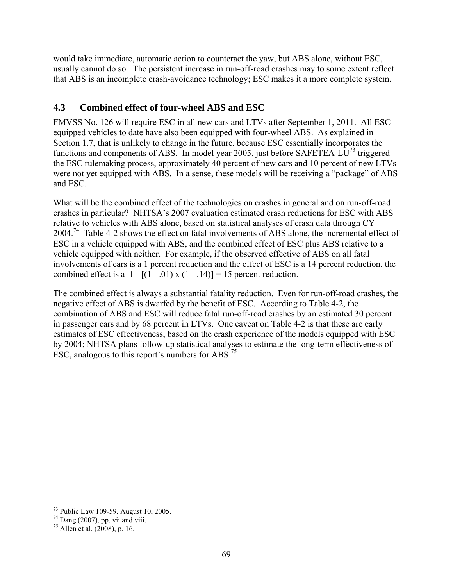would take immediate, automatic action to counteract the yaw, but ABS alone, without ESC, usually cannot do so. The persistent increase in run-off-road crashes may to some extent reflect that ABS is an incomplete crash-avoidance technology; ESC makes it a more complete system.

## **4.3 Combined effect of four-wheel ABS and ESC**

FMVSS No. 126 will require ESC in all new cars and LTVs after September 1, 2011. All ESCequipped vehicles to date have also been equipped with four-wheel ABS. As explained in Section 1.7, that is unlikely to change in the future, because ESC essentially incorporates the functions and components of ABS. In model year 2005, just before SAFETEA-LU<sup>73</sup> triggered the ESC rulemaking process, approximately 40 percent of new cars and 10 percent of new LTVs were not yet equipped with ABS. In a sense, these models will be receiving a "package" of ABS and ESC.

What will be the combined effect of the technologies on crashes in general and on run-off-road crashes in particular? NHTSA's 2007 evaluation estimated crash reductions for ESC with ABS relative to vehicles with ABS alone, based on statistical analyses of crash data through CY 2004.74 Table 4-2 shows the effect on fatal involvements of ABS alone, the incremental effect of ESC in a vehicle equipped with ABS, and the combined effect of ESC plus ABS relative to a vehicle equipped with neither. For example, if the observed effective of ABS on all fatal involvements of cars is a 1 percent reduction and the effect of ESC is a 14 percent reduction, the combined effect is a  $1 - [(1 - .01) \times (1 - .14)] = 15$  percent reduction.

ESC, analogous to this report's numbers for ABS.<sup>75</sup> The combined effect is always a substantial fatality reduction. Even for run-off-road crashes, the negative effect of ABS is dwarfed by the benefit of ESC. According to Table 4-2, the combination of ABS and ESC will reduce fatal run-off-road crashes by an estimated 30 percent in passenger cars and by 68 percent in LTVs. One caveat on Table 4-2 is that these are early estimates of ESC effectiveness, based on the crash experience of the models equipped with ESC by 2004; NHTSA plans follow-up statistical analyses to estimate the long-term effectiveness of

<sup>&</sup>lt;sup>73</sup> Public Law 109-59, August 10, 2005.

 $74$  Dang (2007), pp. vii and viii.

<sup>75</sup> Allen et al. (2008), p. 16.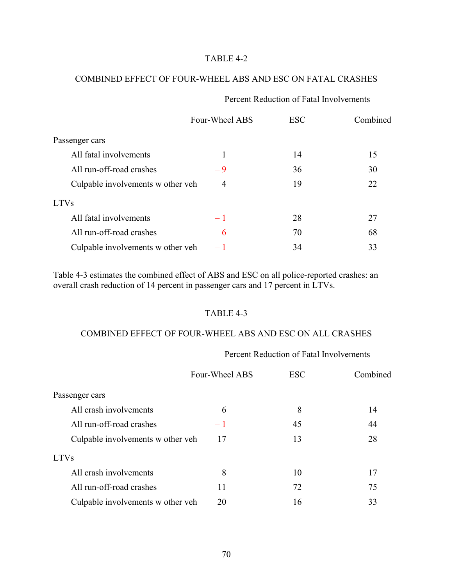#### TABLE 4-2

#### COMBINED EFFECT OF FOUR-WHEEL ABS AND ESC ON FATAL CRASHES

#### Percent Reduction of Fatal Involvements

|                                   | Four-Wheel ABS | <b>ESC</b> | Combined |
|-----------------------------------|----------------|------------|----------|
| Passenger cars                    |                |            |          |
| All fatal involvements            | 1              | 14         | 15       |
| All run-off-road crashes          | -9             | 36         | 30       |
| Culpable involvements w other veh | 4              | 19         | 22       |
| <b>LTVs</b>                       |                |            |          |
| All fatal involvements            | $-1$           | 28         | 27       |
| All run-off-road crashes          | $-6$           | 70         | 68       |
| Culpable involvements w other veh | $-1$           | 34         | 33       |

Table 4-3 estimates the combined effect of ABS and ESC on all police-reported crashes: an overall crash reduction of 14 percent in passenger cars and 17 percent in LTVs.

#### TABLE 4-3

#### COMBINED EFFECT OF FOUR-WHEEL ABS AND ESC ON ALL CRASHES

#### Percent Reduction of Fatal Involvements

|                                   | Four-Wheel ABS | <b>ESC</b> | Combined |
|-----------------------------------|----------------|------------|----------|
| Passenger cars                    |                |            |          |
| All crash involvements            | 6              | 8          | 14       |
| All run-off-road crashes          | $-1$           | 45         | 44       |
| Culpable involvements w other veh | 17             | 13         | 28       |
| <b>LTVs</b>                       |                |            |          |
| All crash involvements            | 8              | 10         | 17       |
| All run-off-road crashes          | 11             | 72         | 75       |
| Culpable involvements w other veh | 20             | 16         | 33       |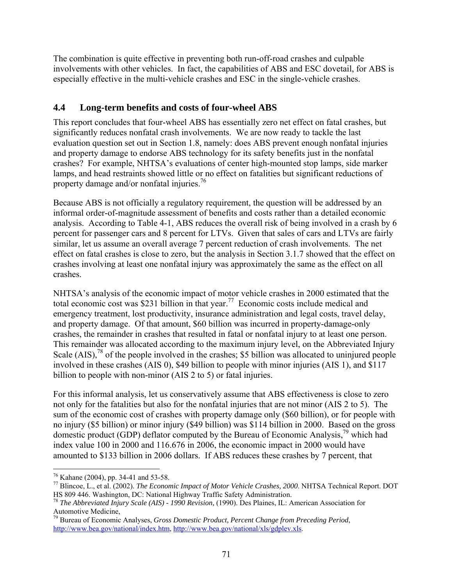The combination is quite effective in preventing both run-off-road crashes and culpable involvements with other vehicles. In fact, the capabilities of ABS and ESC dovetail, for ABS is especially effective in the multi-vehicle crashes and ESC in the single-vehicle crashes.

## **4.4 Long-term benefits and costs of four-wheel ABS**

This report concludes that four-wheel ABS has essentially zero net effect on fatal crashes, but significantly reduces nonfatal crash involvements. We are now ready to tackle the last evaluation question set out in Section 1.8, namely: does ABS prevent enough nonfatal injuries and property damage to endorse ABS technology for its safety benefits just in the nonfatal crashes? For example, NHTSA's evaluations of center high-mounted stop lamps, side marker lamps, and head restraints showed little or no effect on fatalities but significant reductions of property damage and/or nonfatal injuries.<sup>76</sup>

Because ABS is not officially a regulatory requirement, the question will be addressed by an informal order-of-magnitude assessment of benefits and costs rather than a detailed economic analysis. According to Table 4-1, ABS reduces the overall risk of being involved in a crash by 6 percent for passenger cars and 8 percent for LTVs. Given that sales of cars and LTVs are fairly similar, let us assume an overall average 7 percent reduction of crash involvements. The net effect on fatal crashes is close to zero, but the analysis in Section 3.1.7 showed that the effect on crashes involving at least one nonfatal injury was approximately the same as the effect on all crashes.

NHTSA's analysis of the economic impact of motor vehicle crashes in 2000 estimated that the total economic cost was \$231 billion in that year.77 Economic costs include medical and emergency treatment, lost productivity, insurance administration and legal costs, travel delay, and property damage. Of that amount, \$60 billion was incurred in property-damage-only crashes, the remainder in crashes that resulted in fatal or nonfatal injury to at least one person. This remainder was allocated according to the maximum injury level, on the Abbreviated Injury Scale  $(AIS)$ ,<sup>78</sup> of the people involved in the crashes; \$5 billion was allocated to uninjured people involved in these crashes (AIS 0), \$49 billion to people with minor injuries (AIS 1), and \$117 billion to people with non-minor (AIS 2 to 5) or fatal injuries.

For this informal analysis, let us conservatively assume that ABS effectiveness is close to zero not only for the fatalities but also for the nonfatal injuries that are not minor (AIS 2 to 5). The sum of the economic cost of crashes with property damage only (\$60 billion), or for people with no injury (\$5 billion) or minor injury (\$49 billion) was \$114 billion in 2000. Based on the gross domestic product (GDP) deflator computed by the Bureau of Economic Analysis,<sup>79</sup> which had index value 100 in 2000 and 116.676 in 2006, the economic impact in 2000 would have amounted to \$133 billion in 2006 dollars. If ABS reduces these crashes by 7 percent, that

 $\overline{a}$ 76 Kahane (2004), pp. 34-41 and 53-58.

<sup>77</sup> Blincoe, L., et al. (2002). *The Economic Impact of Motor Vehicle Crashes, 2000*. NHTSA Technical Report. DOT HS 809 446. Washington, DC: National Highway Traffic Safety Administration.

<sup>&</sup>lt;sup>78</sup> The Abbreviated Injury Scale (AIS) - 1990 Revision, (1990). Des Plaines, IL: American Association for Automotive Medicine,

<sup>79</sup> Bureau of Economic Analyses, *Gross Domestic Product, Percent Change from Preceding Period*, http://www.bea.gov/national/index.htm, http://www.bea.gov/national/xls/gdplev.xls.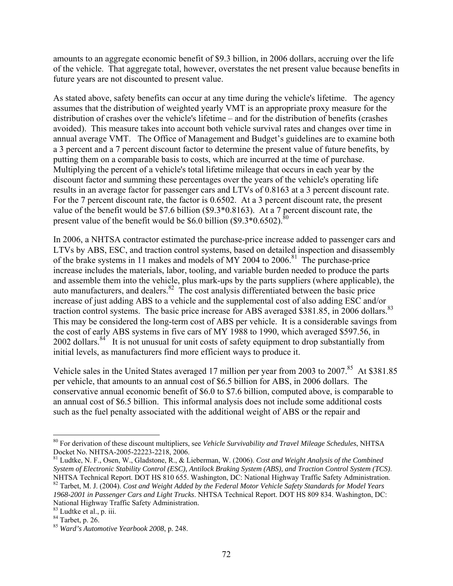amounts to an aggregate economic benefit of \$9.3 billion, in 2006 dollars, accruing over the life of the vehicle. That aggregate total, however, overstates the net present value because benefits in future years are not discounted to present value.

present value of the benefit would be \$6.0 billion (\$9.3 $*0.6502$ ).<sup>80</sup> As stated above, safety benefits can occur at any time during the vehicle's lifetime. The agency assumes that the distribution of weighted yearly VMT is an appropriate proxy measure for the distribution of crashes over the vehicle's lifetime – and for the distribution of benefits (crashes avoided). This measure takes into account both vehicle survival rates and changes over time in annual average VMT. The Office of Management and Budget's guidelines are to examine both a 3 percent and a 7 percent discount factor to determine the present value of future benefits, by putting them on a comparable basis to costs, which are incurred at the time of purchase. Multiplying the percent of a vehicle's total lifetime mileage that occurs in each year by the discount factor and summing these percentages over the years of the vehicle's operating life results in an average factor for passenger cars and LTVs of 0.8163 at a 3 percent discount rate. For the 7 percent discount rate, the factor is 0.6502. At a 3 percent discount rate, the present value of the benefit would be \$7.6 billion (\$9.3\*0.8163). At a 7 percent discount rate, the

traction control systems. The basic price increase for ABS averaged \$381.85, in 2006 dollars.<sup>83</sup> In 2006, a NHTSA contractor estimated the purchase-price increase added to passenger cars and LTVs by ABS, ESC, and traction control systems, based on detailed inspection and disassembly of the brake systems in 11 makes and models of MY 2004 to 2006.<sup>81</sup> The purchase-price increase includes the materials, labor, tooling, and variable burden needed to produce the parts and assemble them into the vehicle, plus mark-ups by the parts suppliers (where applicable), the auto manufacturers, and dealers. $82$  The cost analysis differentiated between the basic price increase of just adding ABS to a vehicle and the supplemental cost of also adding ESC and/or This may be considered the long-term cost of ABS per vehicle. It is a considerable savings from the cost of early ABS systems in five cars of MY 1988 to 1990, which averaged \$597.56, in 2002 dollars.<sup>84</sup> It is not unusual for unit costs of safety equipment to drop substantially from initial levels, as manufacturers find more efficient ways to produce it.

Vehicle sales in the United States averaged 17 million per year from 2003 to 2007.<sup>85</sup> At \$381.85 per vehicle, that amounts to an annual cost of \$6.5 billion for ABS, in 2006 dollars. The conservative annual economic benefit of \$6.0 to \$7.6 billion, computed above, is comparable to an annual cost of \$6.5 billion. This informal analysis does not include some additional costs such as the fuel penalty associated with the additional weight of ABS or the repair and

 $\overline{a}$ 

<sup>80</sup> For derivation of these discount multipliers, see *Vehicle Survivability and Travel Mileage Schedules*, NHTSA Docket No. NHTSA-2005-22223-2218, 2006.

 NHTSA Technical Report. DOT HS 810 655. Washington, DC: National Highway Traffic Safety Administration. 82 Tarbet, M. J. (2004). *Cost and Weight Added by the Federal Motor Vehicle Safety Standards for Model Years*  81 Ludtke, N. F., Osen, W., Gladstone, R., & Lieberman, W. (2006). *Cost and Weight Analysis of the Combined System of Electronic Stability Control (ESC), Antilock Braking System (ABS), and Traction Control System (TCS)*. *1968-2001 in Passenger Cars and Light Trucks*. NHTSA Technical Report. DOT HS 809 834. Washington, DC: National Highway Traffic Safety Administration.<br><sup>83</sup> Ludtke et al., p. iii.<br><sup>84</sup> Tarbet, p. 26.

<sup>&</sup>lt;sup>84</sup> Tarbet, p. 26.<br><sup>85</sup> Ward's Automotive Yearbook 2008, p. 248.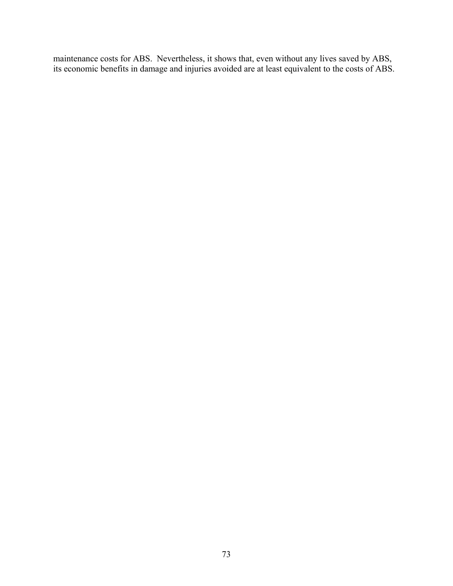maintenance costs for ABS. Nevertheless, it shows that, even without any lives saved by ABS, its economic benefits in damage and injuries avoided are at least equivalent to the costs of ABS.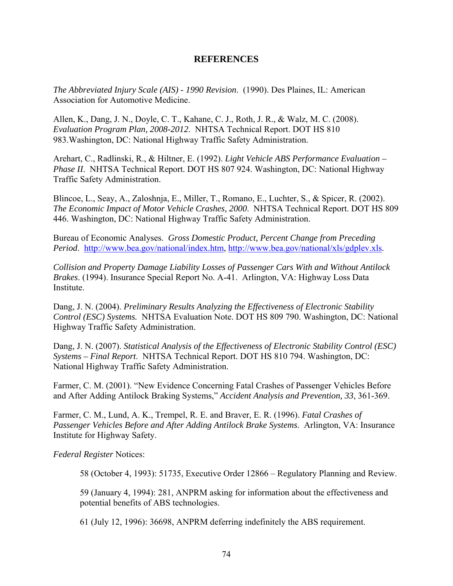#### **REFERENCES**

*The Abbreviated Injury Scale (AIS) - 1990 Revision*. (1990). Des Plaines, IL: American Association for Automotive Medicine.

Allen, K., Dang, J. N., Doyle, C. T., Kahane, C. J., Roth, J. R., & Walz, M. C. (2008). *Evaluation Program Plan, 2008-2012*. NHTSA Technical Report. DOT HS 810 983.Washington, DC: National Highway Traffic Safety Administration.

Arehart, C., Radlinski, R., & Hiltner, E. (1992). *Light Vehicle ABS Performance Evaluation – Phase II.* NHTSA Technical Report. DOT HS 807 924. Washington, DC: National Highway Traffic Safety Administration.

Blincoe, L., Seay, A., Zaloshnja, E., Miller, T., Romano, E., Luchter, S., & Spicer, R. (2002). *The Economic Impact of Motor Vehicle Crashes, 2000*. NHTSA Technical Report. DOT HS 809 446. Washington, DC: National Highway Traffic Safety Administration.

Bureau of Economic Analyses. *Gross Domestic Product, Percent Change from Preceding Period*. http://www.bea.gov/national/index.htm, http://www.bea.gov/national/xls/gdplev.xls.

*Collision and Property Damage Liability Losses of Passenger Cars With and Without Antilock Brakes*. (1994). Insurance Special Report No. A-41. Arlington, VA: Highway Loss Data Institute.

Dang, J. N. (2004). *Preliminary Results Analyzing the Effectiveness of Electronic Stability Control (ESC) Systems.* NHTSA Evaluation Note. DOT HS 809 790. Washington, DC: National Highway Traffic Safety Administration.

Dang, J. N. (2007). *Statistical Analysis of the Effectiveness of Electronic Stability Control (ESC) Systems – Final Report*. NHTSA Technical Report. DOT HS 810 794. Washington, DC: National Highway Traffic Safety Administration.

Farmer, C. M. (2001). "New Evidence Concerning Fatal Crashes of Passenger Vehicles Before and After Adding Antilock Braking Systems," *Accident Analysis and Prevention, 33*, 361-369.

Farmer, C. M., Lund, A. K., Trempel, R. E. and Braver, E. R. (1996). *Fatal Crashes of Passenger Vehicles Before and After Adding Antilock Brake Systems*. Arlington, VA: Insurance Institute for Highway Safety.

*Federal Register* Notices:

58 (October 4, 1993): 51735, Executive Order 12866 – Regulatory Planning and Review.

59 (January 4, 1994): 281, ANPRM asking for information about the effectiveness and potential benefits of ABS technologies.

61 (July 12, 1996): 36698, ANPRM deferring indefinitely the ABS requirement.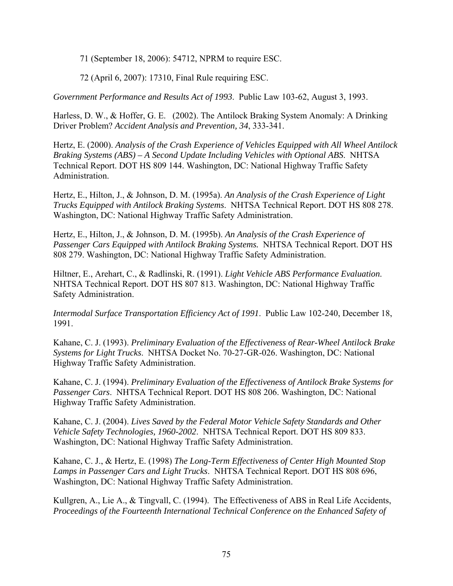71 (September 18, 2006): 54712, NPRM to require ESC.

72 (April 6, 2007): 17310, Final Rule requiring ESC.

*Government Performance and Results Act of 1993*. Public Law 103-62, August 3, 1993.

Harless, D. W., & Hoffer, G. E. (2002). The Antilock Braking System Anomaly: A Drinking Driver Problem? *Accident Analysis and Prevention, 34*, 333-341.

Hertz, E. (2000). *Analysis of the Crash Experience of Vehicles Equipped with All Wheel Antilock Braking Systems (ABS) – A Second Update Including Vehicles with Optional ABS*. NHTSA Technical Report. DOT HS 809 144. Washington, DC: National Highway Traffic Safety Administration.

Hertz, E., Hilton, J., & Johnson, D. M. (1995a). *An Analysis of the Crash Experience of Light Trucks Equipped with Antilock Braking Systems*. NHTSA Technical Report. DOT HS 808 278. Washington, DC: National Highway Traffic Safety Administration.

Hertz, E., Hilton, J., & Johnson, D. M. (1995b). *An Analysis of the Crash Experience of Passenger Cars Equipped with Antilock Braking Systems.* NHTSA Technical Report. DOT HS 808 279. Washington, DC: National Highway Traffic Safety Administration.

Hiltner, E., Arehart, C., & Radlinski, R. (1991). *Light Vehicle ABS Performance Evaluation*. NHTSA Technical Report. DOT HS 807 813. Washington, DC: National Highway Traffic Safety Administration.

*Intermodal Surface Transportation Efficiency Act of 1991*. Public Law 102-240, December 18, 1991.

Kahane, C. J. (1993). *Preliminary Evaluation of the Effectiveness of Rear-Wheel Antilock Brake Systems for Light Trucks*. NHTSA Docket No. 70-27-GR-026. Washington, DC: National Highway Traffic Safety Administration.

Kahane, C. J. (1994). *Preliminary Evaluation of the Effectiveness of Antilock Brake Systems for Passenger Cars*. NHTSA Technical Report. DOT HS 808 206. Washington, DC: National Highway Traffic Safety Administration.

Kahane, C. J. (2004). *Lives Saved by the Federal Motor Vehicle Safety Standards and Other Vehicle Safety Technologies, 1960-2002*. NHTSA Technical Report. DOT HS 809 833. Washington, DC: National Highway Traffic Safety Administration.

Kahane, C. J., & Hertz, E. (1998) *The Long-Term Effectiveness of Center High Mounted Stop Lamps in Passenger Cars and Light Trucks*. NHTSA Technical Report. DOT HS 808 696, Washington, DC: National Highway Traffic Safety Administration.

Kullgren, A., Lie A., & Tingvall, C. (1994). The Effectiveness of ABS in Real Life Accidents, *Proceedings of the Fourteenth International Technical Conference on the Enhanced Safety of*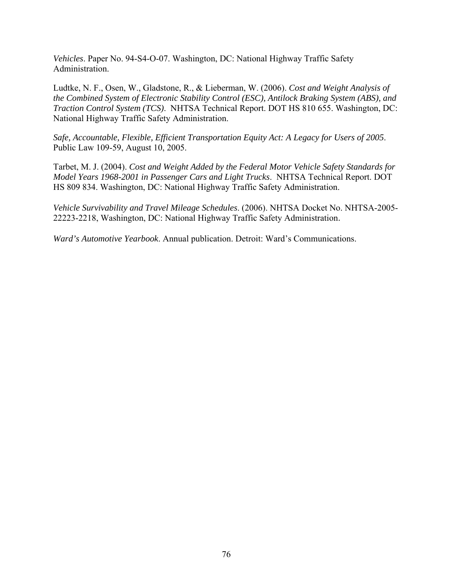*Vehicles*. Paper No. 94-S4-O-07. Washington, DC: National Highway Traffic Safety Administration.

Ludtke, N. F., Osen, W., Gladstone, R., & Lieberman, W. (2006). *Cost and Weight Analysis of the Combined System of Electronic Stability Control (ESC), Antilock Braking System (ABS), and Traction Control System (TCS)*. NHTSA Technical Report. DOT HS 810 655. Washington, DC: National Highway Traffic Safety Administration.

*Safe, Accountable, Flexible, Efficient Transportation Equity Act: A Legacy for Users of 2005*. Public Law 109-59, August 10, 2005.

Tarbet, M. J. (2004). *Cost and Weight Added by the Federal Motor Vehicle Safety Standards for Model Years 1968-2001 in Passenger Cars and Light Trucks*. NHTSA Technical Report. DOT HS 809 834. Washington, DC: National Highway Traffic Safety Administration.

*Vehicle Survivability and Travel Mileage Schedules*. (2006). NHTSA Docket No. NHTSA-2005- 22223-2218, Washington, DC: National Highway Traffic Safety Administration.

*Ward's Automotive Yearbook*. Annual publication. Detroit: Ward's Communications.